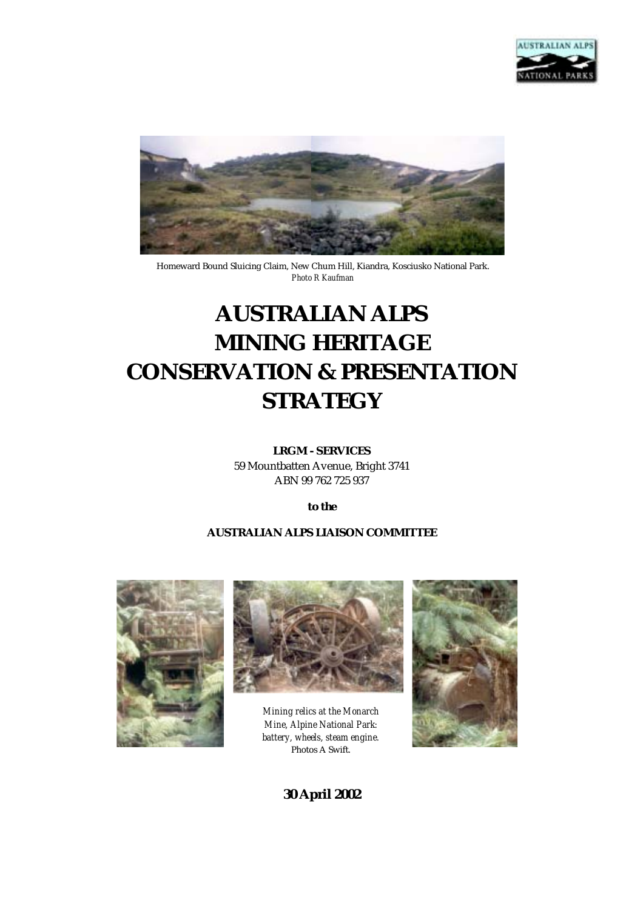



Homeward Bound Sluicing Claim, New Chum Hill, Kiandra, Kosciusko National Park. *Photo R Kaufman* 

# **AUSTRALIAN ALPS MINING HERITAGE CONSERVATION & PRESENTATION STRATEGY**

#### **LRGM - SERVICES**

59 Mountbatten Avenue, Bright 3741 ABN 99 762 725 937

*to the* 

#### **AUSTRALIAN ALPS LIAISON COMMITTEE**





*Mining relics at the Monarch Mine, Alpine National Park: battery, wheels, steam engine.*  Photos A Swift.



**30 April 2002**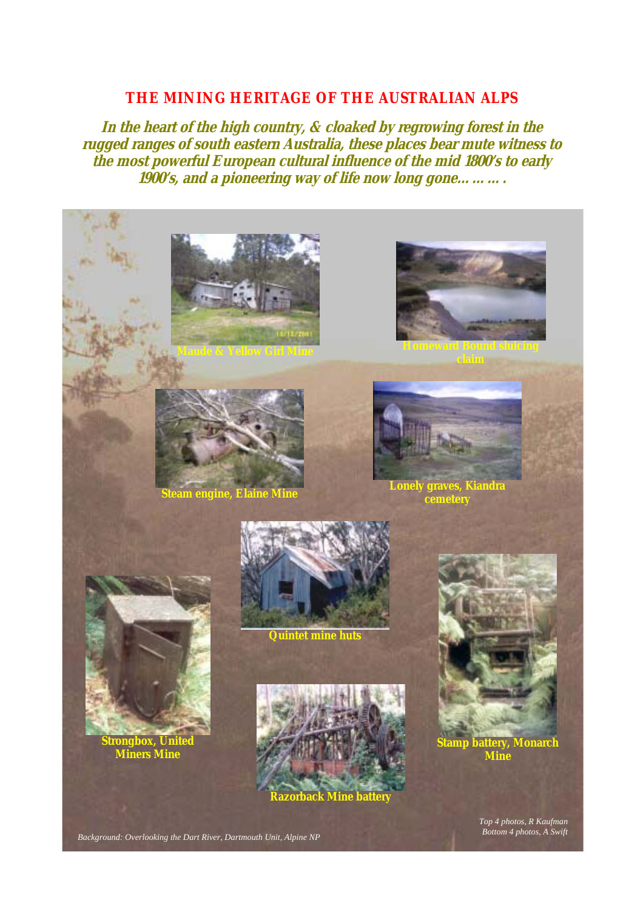## **THE MINING HERITAGE OF THE AUSTRALIAN ALPS**

**In the heart of the high country, & cloaked by regrowing forest in the rugged ranges of south eastern Australia, these places bear mute witness to the most powerful European cultural influence of the mid 1800's to early 1900's, and a pioneering way of life now long gone……….** 







**Steam engine, Elaine Mine Lonely graves, Kiandra cemetery** 



**Strongbox, United Miners Mine** 



**Quintet mine huts** 



**Stamp battery, Monarch Mine** 

*Top 4 photos, R Kaufman*

*Bottom 4 photos, A Swift Background: Overlooking the Dart River, Dartmouth Unit, Alpine NP*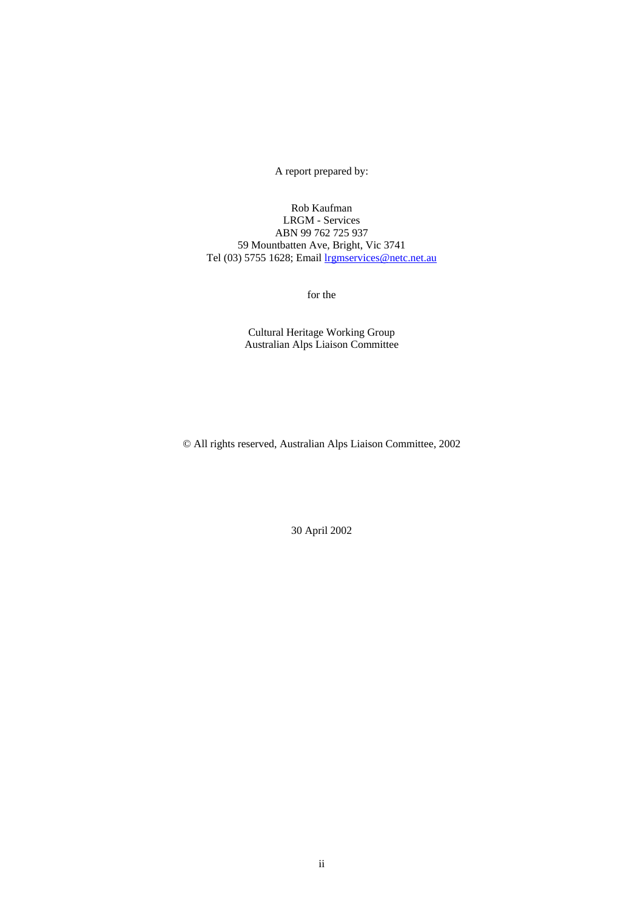A report prepared by:

Rob Kaufman LRGM - Services ABN 99 762 725 937 59 Mountbatten Ave, Bright, Vic 3741 Tel (03) 5755 1628; Email lrgmservices@netc.net.au

for the

Cultural Heritage Working Group Australian Alps Liaison Committee

© All rights reserved, Australian Alps Liaison Committee, 2002

30 April 2002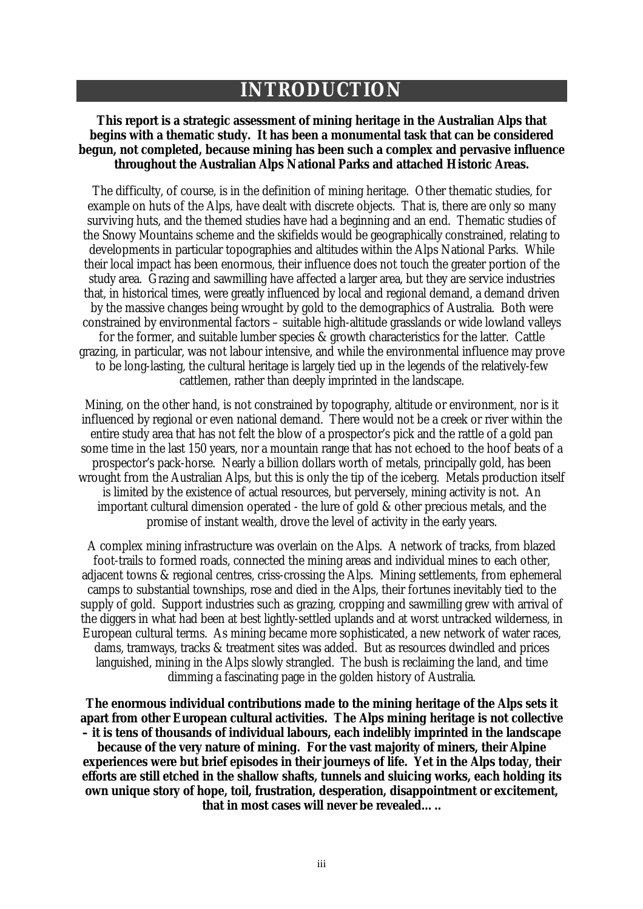# **INTRODUCTION**

#### **This report is a strategic assessment of mining heritage in the Australian Alps that begins with a thematic study. It has been a monumental task that can be considered begun, not completed, because mining has been such a complex and pervasive influence throughout the Australian Alps National Parks and attached Historic Areas.**

The difficulty, of course, is in the definition of mining heritage. Other thematic studies, for example on huts of the Alps, have dealt with discrete objects. That is, there are only so many surviving huts, and the themed studies have had a beginning and an end. Thematic studies of the Snowy Mountains scheme and the skifields would be geographically constrained, relating to developments in particular topographies and altitudes within the Alps National Parks. While their local impact has been enormous, their influence does not touch the greater portion of the study area. Grazing and sawmilling have affected a larger area, but they are service industries that, in historical times, were greatly influenced by local and regional demand, a demand driven by the massive changes being wrought by gold to the demographics of Australia. Both were constrained by environmental factors – suitable high-altitude grasslands or wide lowland valleys for the former, and suitable lumber species & growth characteristics for the latter. Cattle grazing, in particular, was not labour intensive, and while the environmental influence may prove to be long-lasting, the cultural heritage is largely tied up in the legends of the relatively-few cattlemen, rather than deeply imprinted in the landscape.

Mining, on the other hand, is not constrained by topography, altitude or environment, nor is it influenced by regional or even national demand. There would not be a creek or river within the entire study area that has not felt the blow of a prospector's pick and the rattle of a gold pan some time in the last 150 years, nor a mountain range that has not echoed to the hoof beats of a prospector's pack-horse. Nearly a billion dollars worth of metals, principally gold, has been wrought from the Australian Alps, but this is only the tip of the iceberg. Metals production itself is limited by the existence of actual resources, but perversely, mining activity is not. An important cultural dimension operated - the lure of gold & other precious metals, and the promise of instant wealth, drove the level of activity in the early years.

A complex mining infrastructure was overlain on the Alps. A network of tracks, from blazed foot-trails to formed roads, connected the mining areas and individual mines to each other, adjacent towns & regional centres, criss-crossing the Alps. Mining settlements, from ephemeral camps to substantial townships, rose and died in the Alps, their fortunes inevitably tied to the supply of gold. Support industries such as grazing, cropping and sawmilling grew with arrival of the diggers in what had been at best lightly-settled uplands and at worst untracked wilderness, in European cultural terms. As mining became more sophisticated, a new network of water races, dams, tramways, tracks & treatment sites was added. But as resources dwindled and prices languished, mining in the Alps slowly strangled. The bush is reclaiming the land, and time dimming a fascinating page in the golden history of Australia.

**The enormous individual contributions made to the mining heritage of the Alps sets it apart from other European cultural activities. The Alps mining heritage is not collective – it is tens of thousands of individual labours, each indelibly imprinted in the landscape because of the very nature of mining. For the vast majority of miners, their Alpine experiences were but brief episodes in their journeys of life. Yet in the Alps today, their efforts are still etched in the shallow shafts, tunnels and sluicing works, each holding its own unique story of hope, toil, frustration, desperation, disappointment or excitement, that in most cases will never be revealed…..**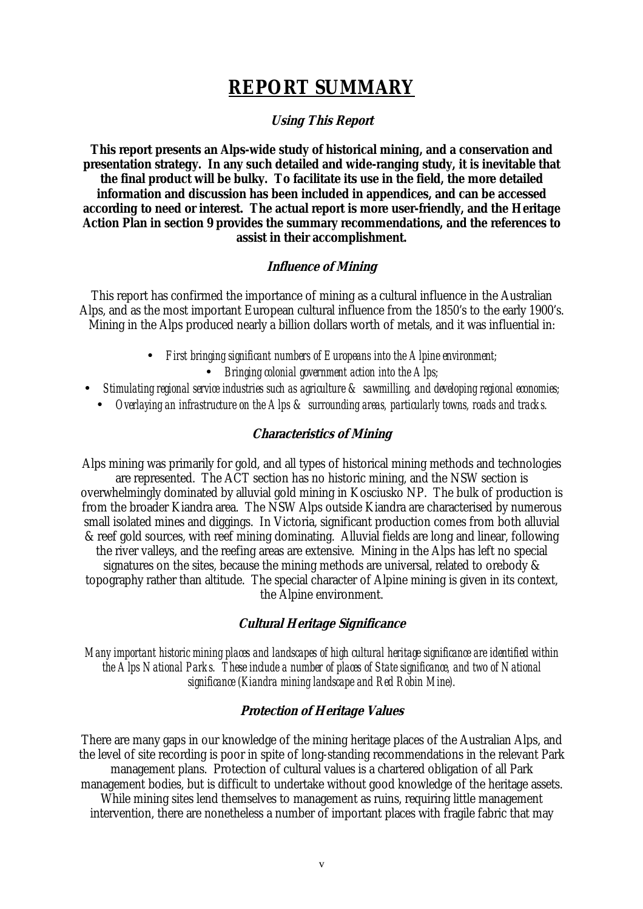# **REPORT SUMMARY**

#### **Using This Report**

**This report presents an Alps-wide study of historical mining, and a conservation and presentation strategy. In any such detailed and wide-ranging study, it is inevitable that the final product will be bulky. To facilitate its use in the field, the more detailed information and discussion has been included in appendices, and can be accessed according to need or interest. The actual report is more user-friendly, and the Heritage Action Plan in section 9 provides the summary recommendations, and the references to assist in their accomplishment.** 

#### **Influence of Mining**

This report has confirmed the importance of mining as a cultural influence in the Australian Alps, and as the most important European cultural influence from the 1850's to the early 1900's. Mining in the Alps produced nearly a billion dollars worth of metals, and it was influential in:

- *First bringing significant numbers of Europeans into the Alpine environment;* 
	- *Bringing colonial government action into the Alps;*
- *Stimulating regional service industries such as agriculture & sawmilling, and developing regional economies;* 
	- *Overlaying an infrastructure on the Alps & surrounding areas, particularly towns, roads and tracks.*

#### **Characteristics of Mining**

Alps mining was primarily for gold, and all types of historical mining methods and technologies are represented. The ACT section has no historic mining, and the NSW section is overwhelmingly dominated by alluvial gold mining in Kosciusko NP. The bulk of production is from the broader Kiandra area. The NSW Alps outside Kiandra are characterised by numerous small isolated mines and diggings. In Victoria, significant production comes from both alluvial & reef gold sources, with reef mining dominating. Alluvial fields are long and linear, following the river valleys, and the reefing areas are extensive. Mining in the Alps has left no special signatures on the sites, because the mining methods are universal, related to orebody & topography rather than altitude. The special character of Alpine mining is given in its context, the Alpine environment.

#### **Cultural Heritage Significance**

*Many important historic mining places and landscapes of high cultural heritage significance are identified within the Alps National Parks. These include a number of places of State significance, and two of National significance (Kiandra mining landscape and Red Robin Mine).* 

#### **Protection of Heritage Values**

There are many gaps in our knowledge of the mining heritage places of the Australian Alps, and the level of site recording is poor in spite of long-standing recommendations in the relevant Park management plans. Protection of cultural values is a chartered obligation of all Park management bodies, but is difficult to undertake without good knowledge of the heritage assets. While mining sites lend themselves to management as ruins, requiring little management

intervention, there are nonetheless a number of important places with fragile fabric that may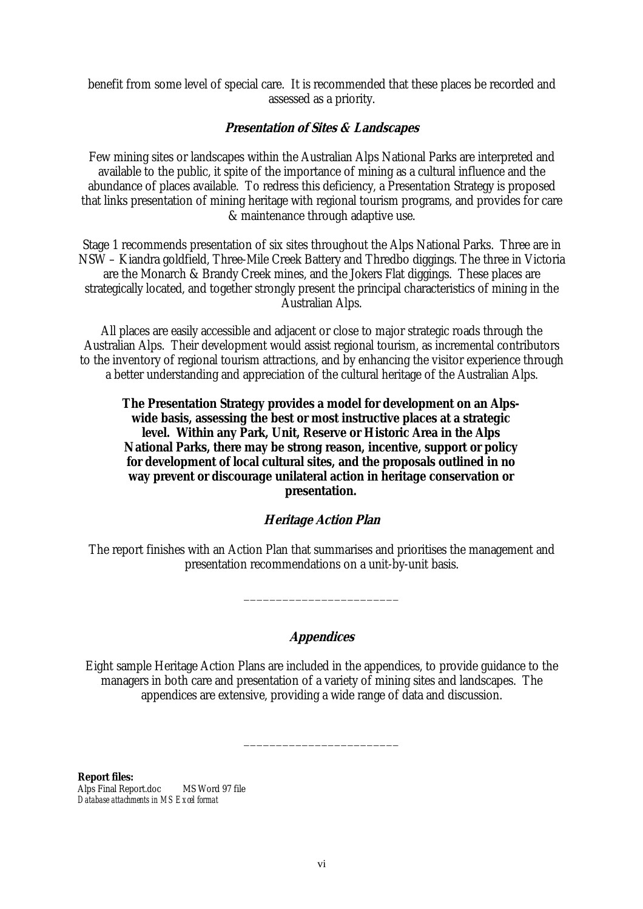benefit from some level of special care. It is recommended that these places be recorded and assessed as a priority.

#### **Presentation of Sites & Landscapes**

Few mining sites or landscapes within the Australian Alps National Parks are interpreted and available to the public, it spite of the importance of mining as a cultural influence and the abundance of places available. To redress this deficiency, a Presentation Strategy is proposed that links presentation of mining heritage with regional tourism programs, and provides for care & maintenance through adaptive use.

Stage 1 recommends presentation of six sites throughout the Alps National Parks. Three are in NSW – Kiandra goldfield, Three-Mile Creek Battery and Thredbo diggings. The three in Victoria are the Monarch & Brandy Creek mines, and the Jokers Flat diggings. These places are strategically located, and together strongly present the principal characteristics of mining in the Australian Alps.

All places are easily accessible and adjacent or close to major strategic roads through the Australian Alps. Their development would assist regional tourism, as incremental contributors to the inventory of regional tourism attractions, and by enhancing the visitor experience through a better understanding and appreciation of the cultural heritage of the Australian Alps.

#### **The Presentation Strategy provides a model for development on an Alpswide basis, assessing the best or most instructive places at a strategic level. Within any Park, Unit, Reserve or Historic Area in the Alps National Parks, there may be strong reason, incentive, support or policy for development of local cultural sites, and the proposals outlined in no way prevent or discourage unilateral action in heritage conservation or presentation.**

### **Heritage Action Plan**

The report finishes with an Action Plan that summarises and prioritises the management and presentation recommendations on a unit-by-unit basis.

\_\_\_\_\_\_\_\_\_\_\_\_\_\_\_\_\_\_\_\_\_\_\_\_

#### **Appendices**

Eight sample Heritage Action Plans are included in the appendices, to provide guidance to the managers in both care and presentation of a variety of mining sites and landscapes. The appendices are extensive, providing a wide range of data and discussion.

\_\_\_\_\_\_\_\_\_\_\_\_\_\_\_\_\_\_\_\_\_\_\_\_

**Report files:**  Alps Final Report.doc MS Word 97 file *Database attachments in MS Excel format*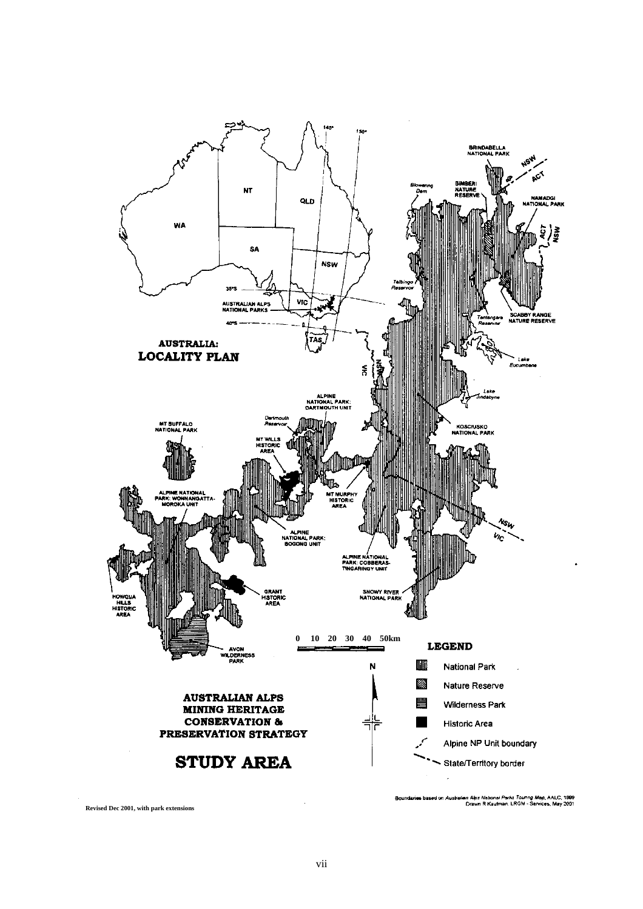

**Revised Dec 2001, with park extensions**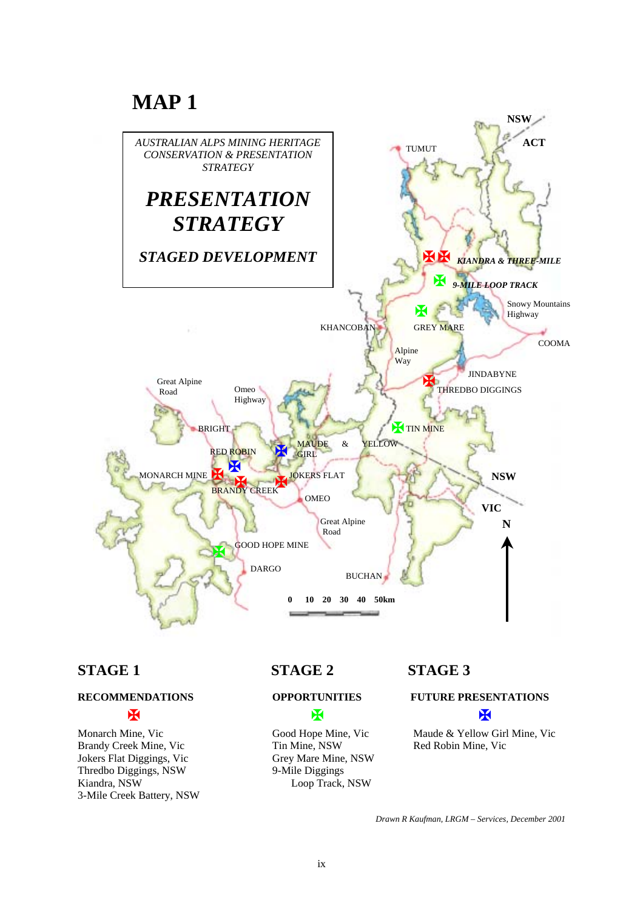# **MAP 1**



Brandy Creek Mine, Vic Tin Mine, NSW Red Robin Mine, Vic Jokers Flat Diggings, Vic Grey Mare Mine, NSW Thredbo Diggings, NSW 9-Mile Diggings Kiandra, NSW Loop Track, NSW 3-Mile Creek Battery, NSW

# **STAGE 1** STAGE 2 STAGE 3



# **RECOMMENDATIONS OPPORTUNITIES FUTURE PRESENTATIONS**

# !!!

Monarch Mine, Vic Good Hope Mine, Vic Maude & Yellow Girl Mine, Vic

*Drawn R Kaufman, LRGM – Services, December 2001*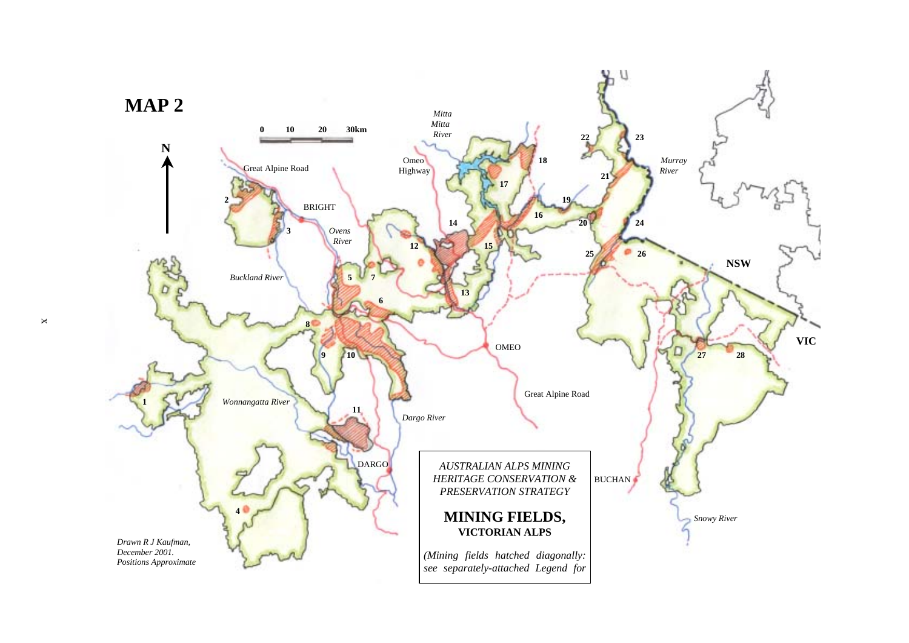

x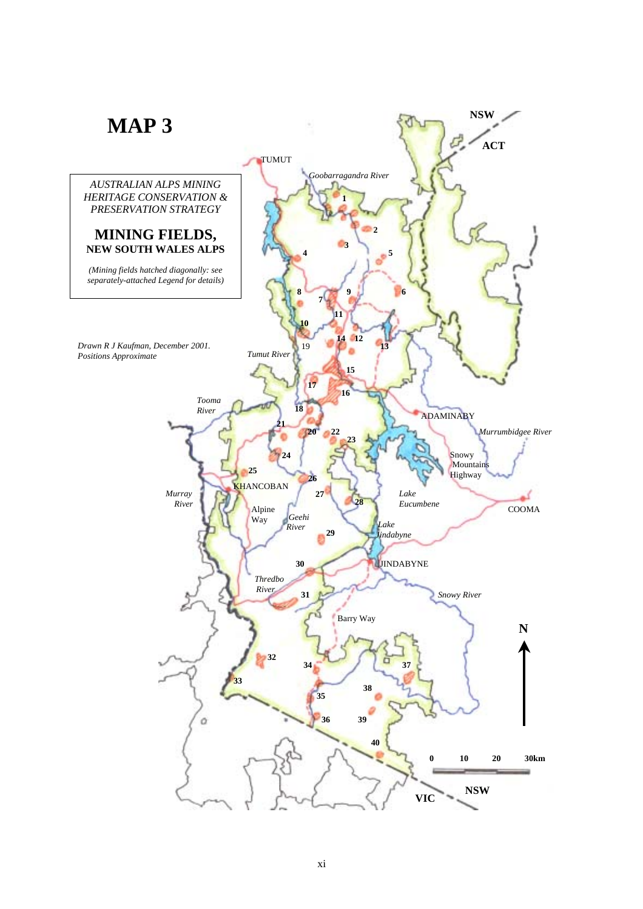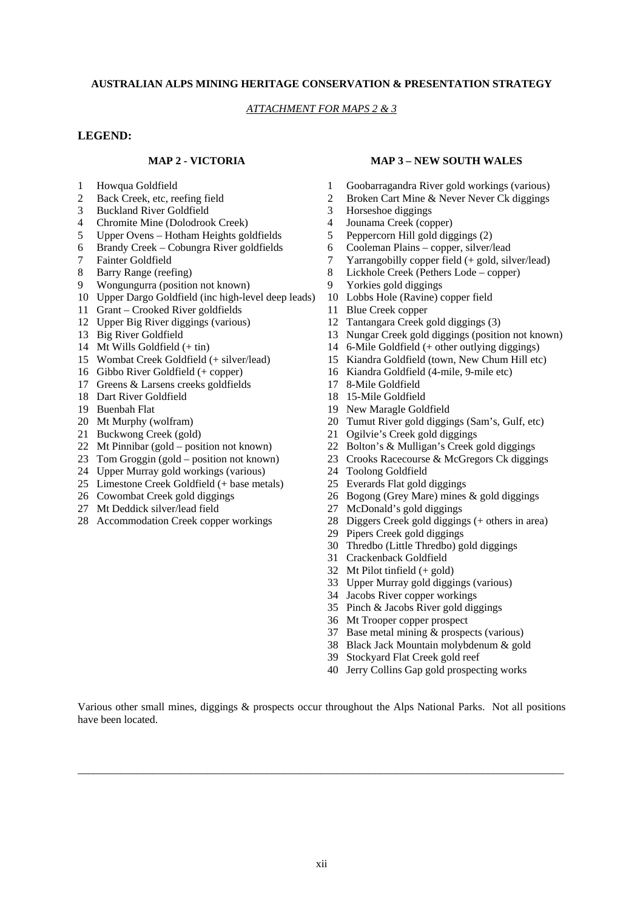#### **AUSTRALIAN ALPS MINING HERITAGE CONSERVATION & PRESENTATION STRATEGY**

#### *ATTACHMENT FOR MAPS 2 & 3*

#### **LEGEND:**

- 
- 
- 3 Buckland River Goldfield 3 Horseshoe diggings
- 4 Chromite Mine (Dolodrook Creek) 4 Jounama Creek (copper)<br>5 Unner Ovens Hotham Heights goldfields 5 Penner Corn Hill gold dig
- 5 Upper Ovens Hotham Heights goldfields 5 Peppercorn Hill gold diggings (2)
- 6 Brandy Creek Cobungra River goldfields 6 Cooleman Plains copper, silver/lead
- 
- 
- 9 Wongungurra (position not known) 9 Yorkies gold diggings
- 10 Upper Dargo Goldfield (inc high-level deep leads) 10 Lobbs Hole (Ravine) copper field
- 11 Grant Crooked River goldfields 11 Blue Creek copper
- 12 Upper Big River diggings (various) 12 Tantangara Creek gold diggings (3)<br>13 Big River Goldfield 13 Nungar Creek gold diggings (positional)
- 
- 
- 
- 
- 17 Greens & Larsens creeks goldfields 17 8-Mile Goldfield
- 18 Dart River Goldfield 18 15-Mile Goldfield
- 
- 
- 
- 
- 
- 24 Upper Murray gold workings (various) 24 Toolong Goldfield
- 25 Limestone Creek Goldfield (+ base metals) 25 Everards Flat gold diggings
- 
- 27 Mt Deddick silver/lead field 27 McDonald's gold diggings
- 

#### **MAP 2 - VICTORIA MAP 3 – NEW SOUTH WALES**

- 1 Howqua Goldfield 1 Goobarragandra River gold workings (various)
- 2 Back Creek, etc. reefing field 2 Broken Cart Mine & Never Never Ck diggings
	-
	-
	-
	-
- 7 Fainter Goldfield 7 Yarrangobilly copper field (+ gold, silver/lead)
- 8 Barry Range (reefing) 8 Lickhole Creek (Pethers Lode copper)
	-
	-
	-
	-
	- 13 Nungar Creek gold diggings (position not known)
- 14 Mt Wills Goldfield (+ tin) 14 6-Mile Goldfield (+ other outlying diggings)
- 15 Wombat Creek Goldfield (+ silver/lead) 15 Kiandra Goldfield (town, New Chum Hill etc)
- 16 Gibbo River Goldfield (+ copper) 16 Kiandra Goldfield (4-mile, 9-mile etc)
	-
	-
- 19 Buenbah Flat 19 New Maragle Goldfield
- 20 Mt Murphy (wolfram) 20 Tumut River gold diggings (Sam's, Gulf, etc)
- 21 Buckwong Creek (gold) 21 Ogilvie's Creek gold diggings
- 22 Mt Pinnibar (gold position not known) 22 Bolton's & Mulligan's Creek gold diggings
- 23 Tom Groggin (gold position not known) 23 Crooks Racecourse & McGregors Ck diggings
	-
	-
- 26 Cowombat Creek gold diggings 26 Bogong (Grey Mare) mines & gold diggings
	-
- 28 Accommodation Creek copper workings 28 Diggers Creek gold diggings (+ others in area)
	- 29 Pipers Creek gold diggings
	- 30 Thredbo (Little Thredbo) gold diggings
	- 31 Crackenback Goldfield
	- 32 Mt Pilot tinfield (+ gold)
	- 33 Upper Murray gold diggings (various)
	- 34 Jacobs River copper workings
	- 35 Pinch & Jacobs River gold diggings
	- 36 Mt Trooper copper prospect
	- 37 Base metal mining & prospects (various)
	- 38 Black Jack Mountain molybdenum & gold
	- 39 Stockyard Flat Creek gold reef
	- 40 Jerry Collins Gap gold prospecting works

Various other small mines, diggings & prospects occur throughout the Alps National Parks. Not all positions have been located.

\_\_\_\_\_\_\_\_\_\_\_\_\_\_\_\_\_\_\_\_\_\_\_\_\_\_\_\_\_\_\_\_\_\_\_\_\_\_\_\_\_\_\_\_\_\_\_\_\_\_\_\_\_\_\_\_\_\_\_\_\_\_\_\_\_\_\_\_\_\_\_\_\_\_\_\_\_\_\_\_\_\_\_\_\_\_\_\_\_\_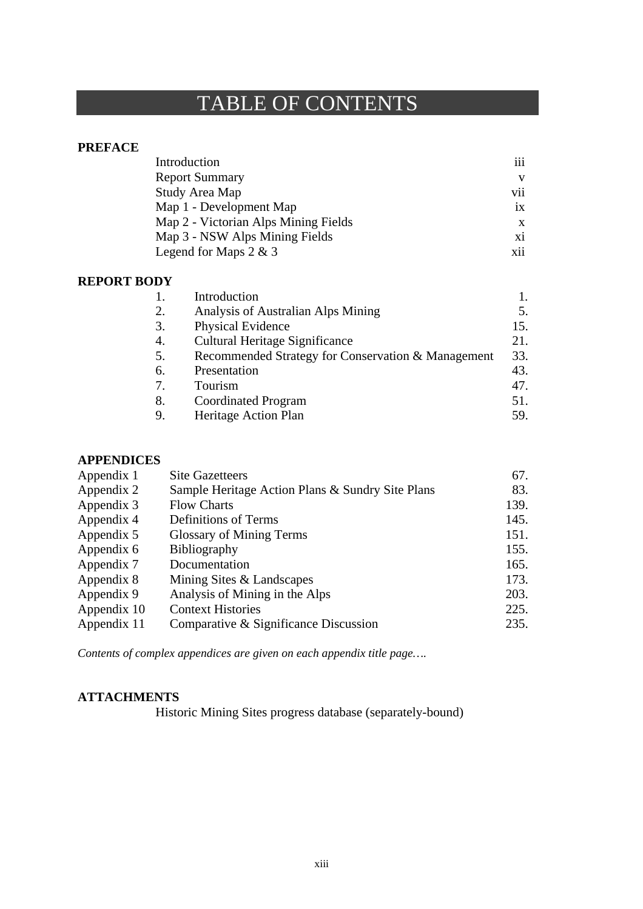# TABLE OF CONTENTS

### **PREFACE**

| Introduction                         | iii             |
|--------------------------------------|-----------------|
| <b>Report Summary</b>                | V               |
| Study Area Map                       | vii             |
| Map 1 - Development Map              | $\overline{1}X$ |
| Map 2 - Victorian Alps Mining Fields | X               |
| Map 3 - NSW Alps Mining Fields       | хi              |
| Legend for Maps $2 \& 3$             | xii             |

### **REPORT BODY**

|    | Introduction                                       |     |
|----|----------------------------------------------------|-----|
| 2. | Analysis of Australian Alps Mining                 | 5.  |
| 3. | Physical Evidence                                  | 15. |
| 4. | Cultural Heritage Significance                     | 21. |
| 5. | Recommended Strategy for Conservation & Management | 33. |
| 6. | Presentation                                       | 43. |
| 7. | Tourism                                            | 47. |
| 8. | <b>Coordinated Program</b>                         | 51. |
| 9. | Heritage Action Plan                               | 59. |

## **APPENDICES**

| Appendix 1  | <b>Site Gazetteers</b>                           | 67.  |
|-------------|--------------------------------------------------|------|
| Appendix 2  | Sample Heritage Action Plans & Sundry Site Plans | 83.  |
| Appendix 3  | <b>Flow Charts</b>                               | 139. |
| Appendix 4  | Definitions of Terms                             | 145. |
| Appendix 5  | <b>Glossary of Mining Terms</b>                  | 151. |
| Appendix 6  | <b>Bibliography</b>                              | 155. |
| Appendix 7  | Documentation                                    | 165. |
| Appendix 8  | Mining Sites & Landscapes                        | 173. |
| Appendix 9  | Analysis of Mining in the Alps                   | 203. |
| Appendix 10 | <b>Context Histories</b>                         | 225. |
| Appendix 11 | Comparative & Significance Discussion            | 235. |
|             |                                                  |      |

*Contents of complex appendices are given on each appendix title page….* 

### **ATTACHMENTS**

Historic Mining Sites progress database (separately-bound)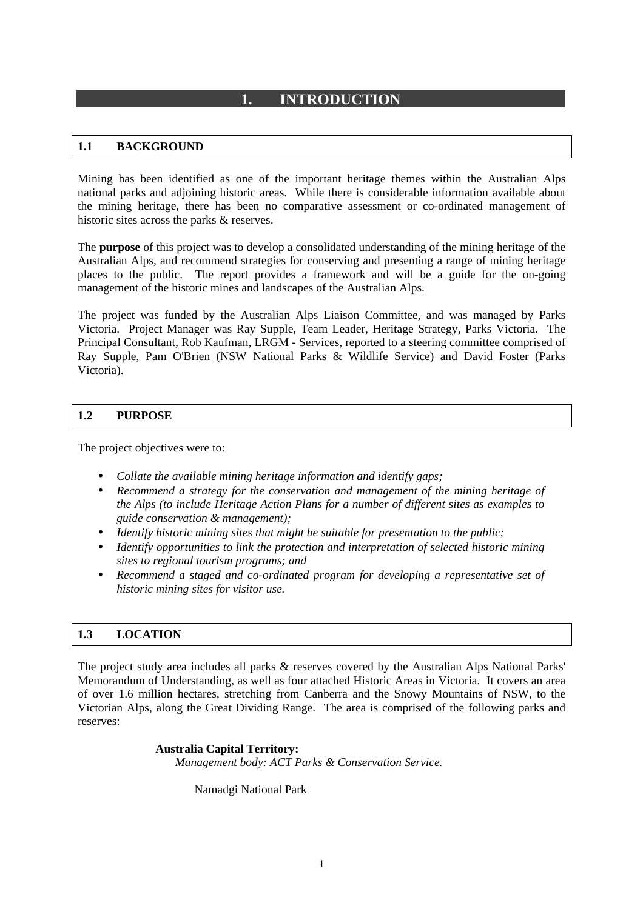## **1. INTRODUCTION**

#### **1.1 BACKGROUND**

Mining has been identified as one of the important heritage themes within the Australian Alps national parks and adjoining historic areas. While there is considerable information available about the mining heritage, there has been no comparative assessment or co-ordinated management of historic sites across the parks & reserves.

The **purpose** of this project was to develop a consolidated understanding of the mining heritage of the Australian Alps, and recommend strategies for conserving and presenting a range of mining heritage places to the public. The report provides a framework and will be a guide for the on-going management of the historic mines and landscapes of the Australian Alps.

The project was funded by the Australian Alps Liaison Committee, and was managed by Parks Victoria. Project Manager was Ray Supple, Team Leader, Heritage Strategy, Parks Victoria. The Principal Consultant, Rob Kaufman, LRGM - Services, reported to a steering committee comprised of Ray Supple, Pam O'Brien (NSW National Parks & Wildlife Service) and David Foster (Parks Victoria).

#### **1.2 PURPOSE**

The project objectives were to:

- *Collate the available mining heritage information and identify gaps;*
- *Recommend a strategy for the conservation and management of the mining heritage of the Alps (to include Heritage Action Plans for a number of different sites as examples to guide conservation & management);*
- *Identify historic mining sites that might be suitable for presentation to the public;*
- *Identify opportunities to link the protection and interpretation of selected historic mining sites to regional tourism programs; and*
- *Recommend a staged and co-ordinated program for developing a representative set of historic mining sites for visitor use.*

#### **1.3 LOCATION**

The project study area includes all parks & reserves covered by the Australian Alps National Parks' Memorandum of Understanding, as well as four attached Historic Areas in Victoria. It covers an area of over 1.6 million hectares, stretching from Canberra and the Snowy Mountains of NSW, to the Victorian Alps, along the Great Dividing Range. The area is comprised of the following parks and reserves:

**Australia Capital Territory:** 

*Management body: ACT Parks & Conservation Service.* 

Namadgi National Park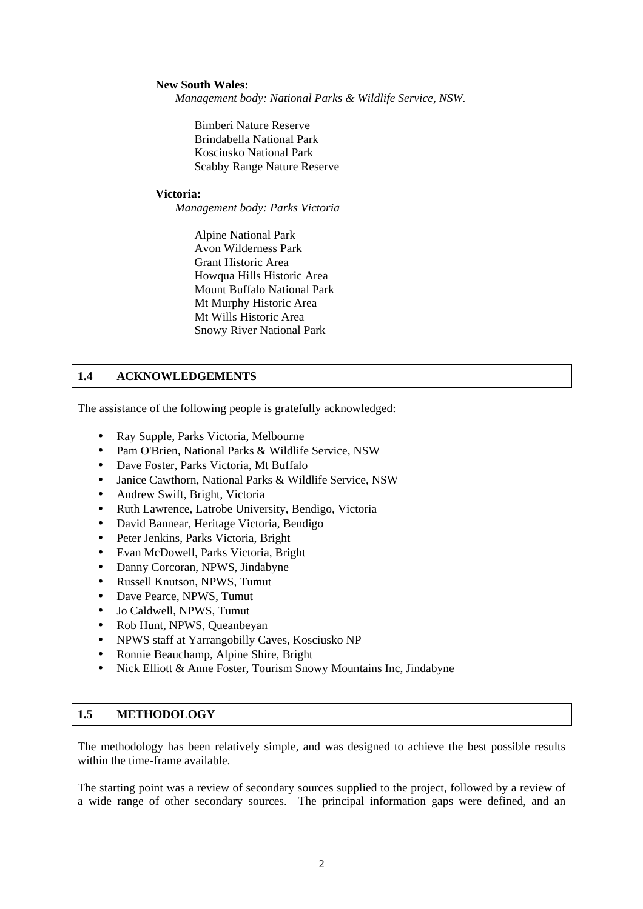#### **New South Wales:**

*Management body: National Parks & Wildlife Service, NSW.* 

Bimberi Nature Reserve Brindabella National Park Kosciusko National Park Scabby Range Nature Reserve

#### **Victoria:**

*Management body: Parks Victoria* 

Alpine National Park Avon Wilderness Park Grant Historic Area Howqua Hills Historic Area Mount Buffalo National Park Mt Murphy Historic Area Mt Wills Historic Area Snowy River National Park

#### **1.4 ACKNOWLEDGEMENTS**

The assistance of the following people is gratefully acknowledged:

- Ray Supple, Parks Victoria, Melbourne
- Pam O'Brien, National Parks & Wildlife Service, NSW
- Dave Foster, Parks Victoria, Mt Buffalo
- Janice Cawthorn, National Parks & Wildlife Service, NSW
- Andrew Swift, Bright, Victoria
- Ruth Lawrence, Latrobe University, Bendigo, Victoria
- David Bannear, Heritage Victoria, Bendigo
- Peter Jenkins, Parks Victoria, Bright
- Evan McDowell, Parks Victoria, Bright
- Danny Corcoran, NPWS, Jindabyne
- Russell Knutson, NPWS, Tumut
- Dave Pearce, NPWS, Tumut
- Jo Caldwell, NPWS, Tumut
- Rob Hunt, NPWS, Queanbeyan
- NPWS staff at Yarrangobilly Caves, Kosciusko NP
- Ronnie Beauchamp, Alpine Shire, Bright
- Nick Elliott & Anne Foster, Tourism Snowy Mountains Inc, Jindabyne

#### **1.5 METHODOLOGY**

The methodology has been relatively simple, and was designed to achieve the best possible results within the time-frame available.

The starting point was a review of secondary sources supplied to the project, followed by a review of a wide range of other secondary sources. The principal information gaps were defined, and an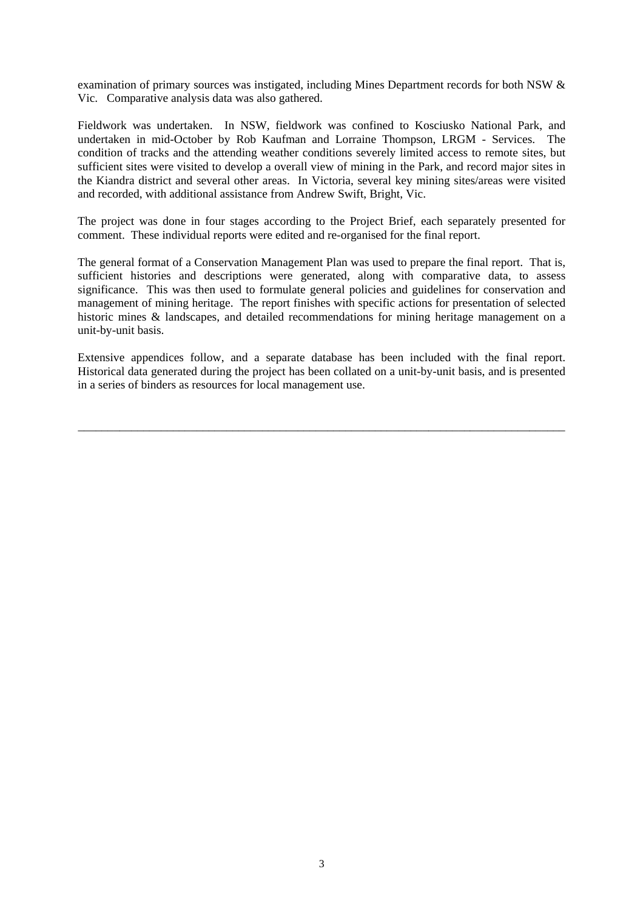examination of primary sources was instigated, including Mines Department records for both NSW & Vic. Comparative analysis data was also gathered.

Fieldwork was undertaken. In NSW, fieldwork was confined to Kosciusko National Park, and undertaken in mid-October by Rob Kaufman and Lorraine Thompson, LRGM - Services. The condition of tracks and the attending weather conditions severely limited access to remote sites, but sufficient sites were visited to develop a overall view of mining in the Park, and record major sites in the Kiandra district and several other areas. In Victoria, several key mining sites/areas were visited and recorded, with additional assistance from Andrew Swift, Bright, Vic.

The project was done in four stages according to the Project Brief, each separately presented for comment. These individual reports were edited and re-organised for the final report.

The general format of a Conservation Management Plan was used to prepare the final report. That is, sufficient histories and descriptions were generated, along with comparative data, to assess significance. This was then used to formulate general policies and guidelines for conservation and management of mining heritage. The report finishes with specific actions for presentation of selected historic mines & landscapes, and detailed recommendations for mining heritage management on a unit-by-unit basis.

Extensive appendices follow, and a separate database has been included with the final report. Historical data generated during the project has been collated on a unit-by-unit basis, and is presented in a series of binders as resources for local management use.

\_\_\_\_\_\_\_\_\_\_\_\_\_\_\_\_\_\_\_\_\_\_\_\_\_\_\_\_\_\_\_\_\_\_\_\_\_\_\_\_\_\_\_\_\_\_\_\_\_\_\_\_\_\_\_\_\_\_\_\_\_\_\_\_\_\_\_\_\_\_\_\_\_\_\_\_\_\_\_\_\_\_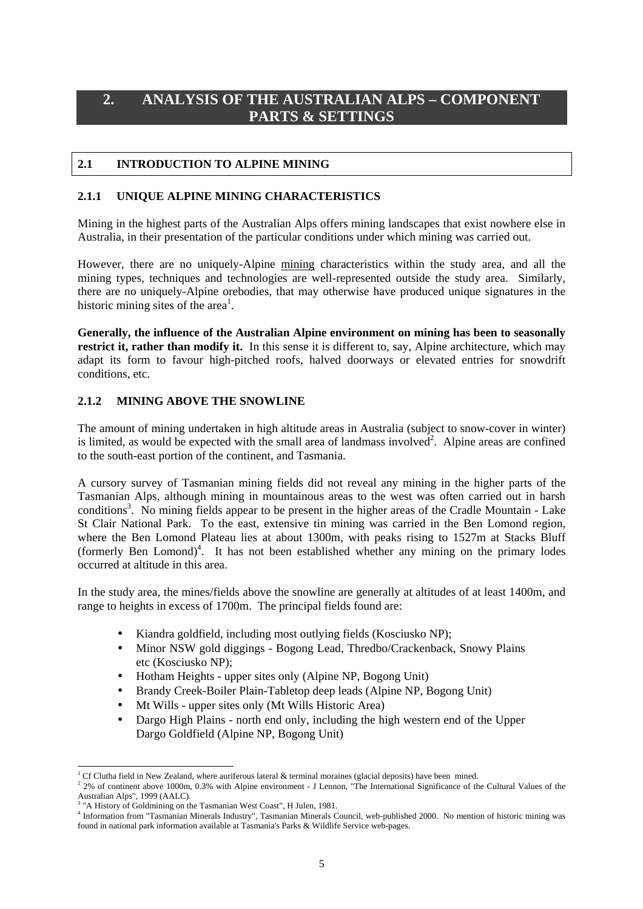# **2. ANALYSIS OF THE AUSTRALIAN ALPS – COMPONENT PARTS & SETTINGS**

#### **2.1 INTRODUCTION TO ALPINE MINING**

#### **2.1.1 UNIQUE ALPINE MINING CHARACTERISTICS**

Mining in the highest parts of the Australian Alps offers mining landscapes that exist nowhere else in Australia, in their presentation of the particular conditions under which mining was carried out.

However, there are no uniquely-Alpine mining characteristics within the study area, and all the mining types, techniques and technologies are well-represented outside the study area. Similarly, there are no uniquely-Alpine orebodies, that may otherwise have produced unique signatures in the historic mining sites of the area<sup>1</sup>.

**Generally, the influence of the Australian Alpine environment on mining has been to seasonally restrict it, rather than modify it.** In this sense it is different to, say, Alpine architecture, which may adapt its form to favour high-pitched roofs, halved doorways or elevated entries for snowdrift conditions, etc.

#### **2.1.2 MINING ABOVE THE SNOWLINE**

The amount of mining undertaken in high altitude areas in Australia (subject to snow-cover in winter) is limited, as would be expected with the small area of landmass involved<sup>2</sup>. Alpine areas are confined to the south-east portion of the continent, and Tasmania.

A cursory survey of Tasmanian mining fields did not reveal any mining in the higher parts of the Tasmanian Alps, although mining in mountainous areas to the west was often carried out in harsh conditions<sup>3</sup>. No mining fields appear to be present in the higher areas of the Cradle Mountain - Lake St Clair National Park. To the east, extensive tin mining was carried in the Ben Lomond region, where the Ben Lomond Plateau lies at about 1300m, with peaks rising to 1527m at Stacks Bluff (formerly Ben Lomond)<sup>4</sup>. It has not been established whether any mining on the primary lodes occurred at altitude in this area.

In the study area, the mines/fields above the snowline are generally at altitudes of at least 1400m, and range to heights in excess of 1700m. The principal fields found are:

- Kiandra goldfield, including most outlying fields (Kosciusko NP);
- Minor NSW gold diggings Bogong Lead, Thredbo/Crackenback, Snowy Plains etc (Kosciusko NP);
- Hotham Heights upper sites only (Alpine NP, Bogong Unit)
- Brandy Creek-Boiler Plain-Tabletop deep leads (Alpine NP, Bogong Unit)
- Mt Wills upper sites only (Mt Wills Historic Area)
- Dargo High Plains north end only, including the high western end of the Upper Dargo Goldfield (Alpine NP, Bogong Unit)

l <sup>1</sup> Cf Clutha field in New Zealand, where auriferous lateral & terminal moraines (glacial deposits) have been mined.<br><sup>2</sup> 2% of equipment chain 1000m, 0.2% with Algins equipment. I Legacy "The International Significance of

<sup>&</sup>lt;sup>2</sup> 2% of continent above 1000m, 0.3% with Alpine environment - J Lennon, "The International Significance of the Cultural Values of the Australian Alps", 1999 (AALC).<br> $3 \times A$  History of Goldmining on the

 <sup>&</sup>quot;A History of Goldmining on the Tasmanian West Coast", H Julen, 1981.

<sup>4</sup> Information from "Tasmanian Minerals Industry", Tasmanian Minerals Council, web-published 2000. No mention of historic mining was found in national park information available at Tasmania's Parks & Wildlife Service web-pages.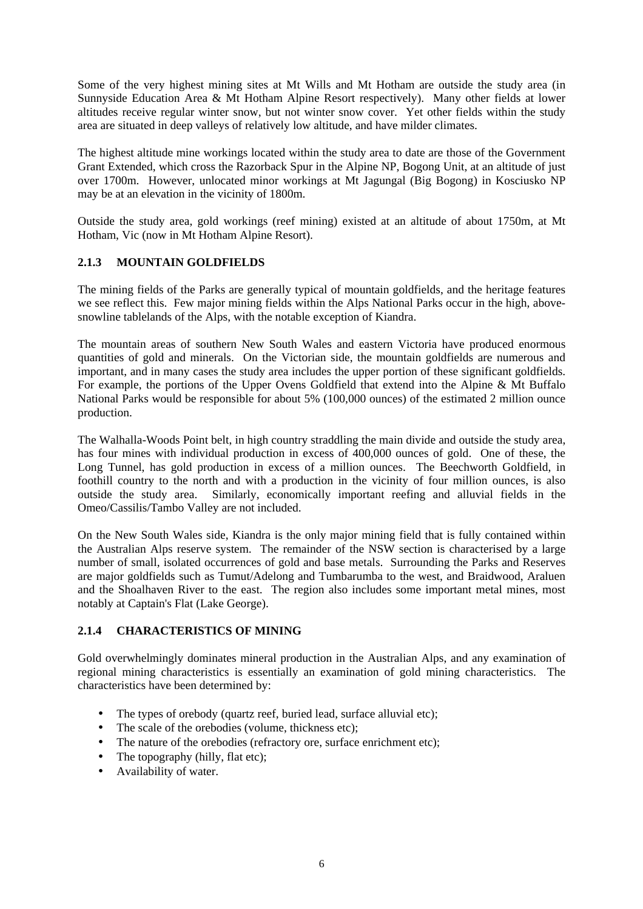Some of the very highest mining sites at Mt Wills and Mt Hotham are outside the study area (in Sunnyside Education Area & Mt Hotham Alpine Resort respectively). Many other fields at lower altitudes receive regular winter snow, but not winter snow cover. Yet other fields within the study area are situated in deep valleys of relatively low altitude, and have milder climates.

The highest altitude mine workings located within the study area to date are those of the Government Grant Extended, which cross the Razorback Spur in the Alpine NP, Bogong Unit, at an altitude of just over 1700m. However, unlocated minor workings at Mt Jagungal (Big Bogong) in Kosciusko NP may be at an elevation in the vicinity of 1800m.

Outside the study area, gold workings (reef mining) existed at an altitude of about 1750m, at Mt Hotham, Vic (now in Mt Hotham Alpine Resort).

#### **2.1.3 MOUNTAIN GOLDFIELDS**

The mining fields of the Parks are generally typical of mountain goldfields, and the heritage features we see reflect this. Few major mining fields within the Alps National Parks occur in the high, abovesnowline tablelands of the Alps, with the notable exception of Kiandra.

The mountain areas of southern New South Wales and eastern Victoria have produced enormous quantities of gold and minerals. On the Victorian side, the mountain goldfields are numerous and important, and in many cases the study area includes the upper portion of these significant goldfields. For example, the portions of the Upper Ovens Goldfield that extend into the Alpine & Mt Buffalo National Parks would be responsible for about 5% (100,000 ounces) of the estimated 2 million ounce production.

The Walhalla-Woods Point belt, in high country straddling the main divide and outside the study area, has four mines with individual production in excess of 400,000 ounces of gold. One of these, the Long Tunnel, has gold production in excess of a million ounces. The Beechworth Goldfield, in foothill country to the north and with a production in the vicinity of four million ounces, is also outside the study area. Similarly, economically important reefing and alluvial fields in the Omeo/Cassilis/Tambo Valley are not included.

On the New South Wales side, Kiandra is the only major mining field that is fully contained within the Australian Alps reserve system. The remainder of the NSW section is characterised by a large number of small, isolated occurrences of gold and base metals. Surrounding the Parks and Reserves are major goldfields such as Tumut/Adelong and Tumbarumba to the west, and Braidwood, Araluen and the Shoalhaven River to the east. The region also includes some important metal mines, most notably at Captain's Flat (Lake George).

#### **2.1.4 CHARACTERISTICS OF MINING**

Gold overwhelmingly dominates mineral production in the Australian Alps, and any examination of regional mining characteristics is essentially an examination of gold mining characteristics. The characteristics have been determined by:

- The types of orebody (quartz reef, buried lead, surface alluvial etc);
- The scale of the orebodies (volume, thickness etc):
- The nature of the orebodies (refractory ore, surface enrichment etc);
- The topography (hilly, flat etc);
- Availability of water.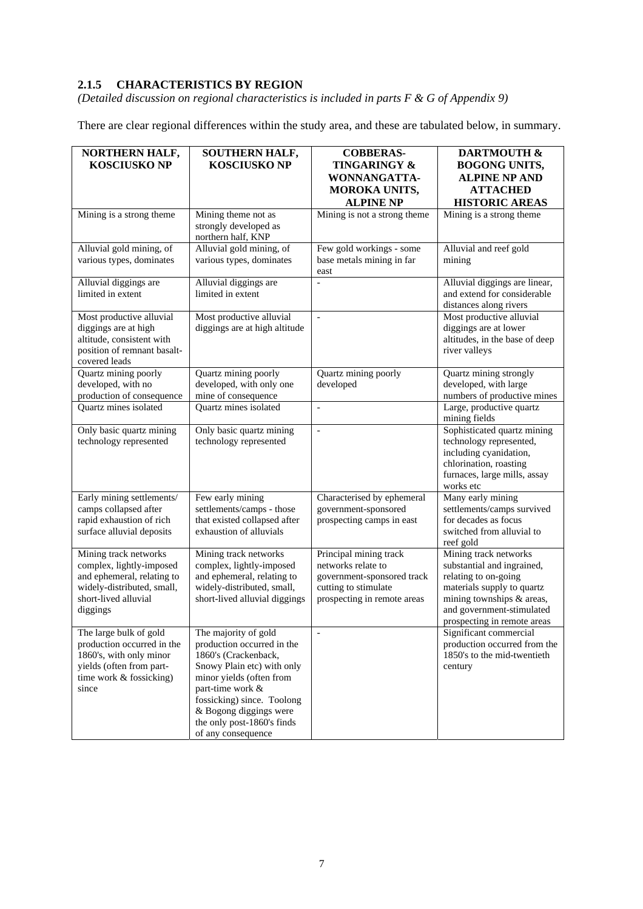### **2.1.5 CHARACTERISTICS BY REGION**

*(Detailed discussion on regional characteristics is included in parts F & G of Appendix 9)* 

There are clear regional differences within the study area, and these are tabulated below, in summary.

| NORTHERN HALF,<br><b>KOSCIUSKO NP</b>                                                                                                             | <b>SOUTHERN HALF,</b><br><b>KOSCIUSKO NP</b>                                                                                                                                                                                                                         | <b>COBBERAS-</b><br><b>TINGARINGY &amp;</b><br>WONNANGATTA-<br><b>MOROKA UNITS,</b><br><b>ALPINE NP</b>                           | <b>DARTMOUTH &amp;</b><br><b>BOGONG UNITS,</b><br><b>ALPINE NP AND</b><br><b>ATTACHED</b><br><b>HISTORIC AREAS</b>                                                                                 |
|---------------------------------------------------------------------------------------------------------------------------------------------------|----------------------------------------------------------------------------------------------------------------------------------------------------------------------------------------------------------------------------------------------------------------------|-----------------------------------------------------------------------------------------------------------------------------------|----------------------------------------------------------------------------------------------------------------------------------------------------------------------------------------------------|
| Mining is a strong theme                                                                                                                          | Mining theme not as<br>strongly developed as<br>northern half, KNP                                                                                                                                                                                                   | Mining is not a strong theme                                                                                                      | Mining is a strong theme                                                                                                                                                                           |
| Alluvial gold mining, of<br>various types, dominates                                                                                              | Alluvial gold mining, of<br>various types, dominates                                                                                                                                                                                                                 | Few gold workings - some<br>base metals mining in far<br>east                                                                     | Alluvial and reef gold<br>mining                                                                                                                                                                   |
| Alluvial diggings are<br>limited in extent                                                                                                        | Alluvial diggings are<br>limited in extent                                                                                                                                                                                                                           |                                                                                                                                   | Alluvial diggings are linear,<br>and extend for considerable<br>distances along rivers                                                                                                             |
| Most productive alluvial<br>diggings are at high<br>altitude, consistent with<br>position of remnant basalt-<br>covered leads                     | Most productive alluvial<br>diggings are at high altitude                                                                                                                                                                                                            | $\bar{\phantom{a}}$                                                                                                               | Most productive alluvial<br>diggings are at lower<br>altitudes, in the base of deep<br>river valleys                                                                                               |
| Quartz mining poorly<br>developed, with no<br>production of consequence                                                                           | Quartz mining poorly<br>developed, with only one<br>mine of consequence                                                                                                                                                                                              | Quartz mining poorly<br>developed                                                                                                 | Quartz mining strongly<br>developed, with large<br>numbers of productive mines                                                                                                                     |
| Quartz mines isolated                                                                                                                             | Quartz mines isolated                                                                                                                                                                                                                                                | $\bar{a}$                                                                                                                         | Large, productive quartz<br>mining fields                                                                                                                                                          |
| Only basic quartz mining<br>technology represented                                                                                                | Only basic quartz mining<br>technology represented                                                                                                                                                                                                                   | $\overline{\phantom{a}}$                                                                                                          | Sophisticated quartz mining<br>technology represented,<br>including cyanidation,<br>chlorination, roasting<br>furnaces, large mills, assay<br>works etc                                            |
| Early mining settlements/<br>camps collapsed after<br>rapid exhaustion of rich<br>surface alluvial deposits                                       | Few early mining<br>settlements/camps - those<br>that existed collapsed after<br>exhaustion of alluvials                                                                                                                                                             | Characterised by ephemeral<br>government-sponsored<br>prospecting camps in east                                                   | Many early mining<br>settlements/camps survived<br>for decades as focus<br>switched from alluvial to<br>reef gold                                                                                  |
| Mining track networks<br>complex, lightly-imposed<br>and ephemeral, relating to<br>widely-distributed, small,<br>short-lived alluvial<br>diggings | Mining track networks<br>complex, lightly-imposed<br>and ephemeral, relating to<br>widely-distributed, small,<br>short-lived alluvial diggings                                                                                                                       | Principal mining track<br>networks relate to<br>government-sponsored track<br>cutting to stimulate<br>prospecting in remote areas | Mining track networks<br>substantial and ingrained,<br>relating to on-going<br>materials supply to quartz<br>mining townships & areas,<br>and government-stimulated<br>prospecting in remote areas |
| The large bulk of gold<br>production occurred in the<br>1860's, with only minor<br>yields (often from part-<br>time work & fossicking)<br>since   | The majority of gold<br>production occurred in the<br>1860's (Crackenback,<br>Snowy Plain etc) with only<br>minor yields (often from<br>part-time work &<br>fossicking) since. Toolong<br>& Bogong diggings were<br>the only post-1860's finds<br>of any consequence | $\overline{\phantom{a}}$                                                                                                          | Significant commercial<br>production occurred from the<br>1850's to the mid-twentieth<br>century                                                                                                   |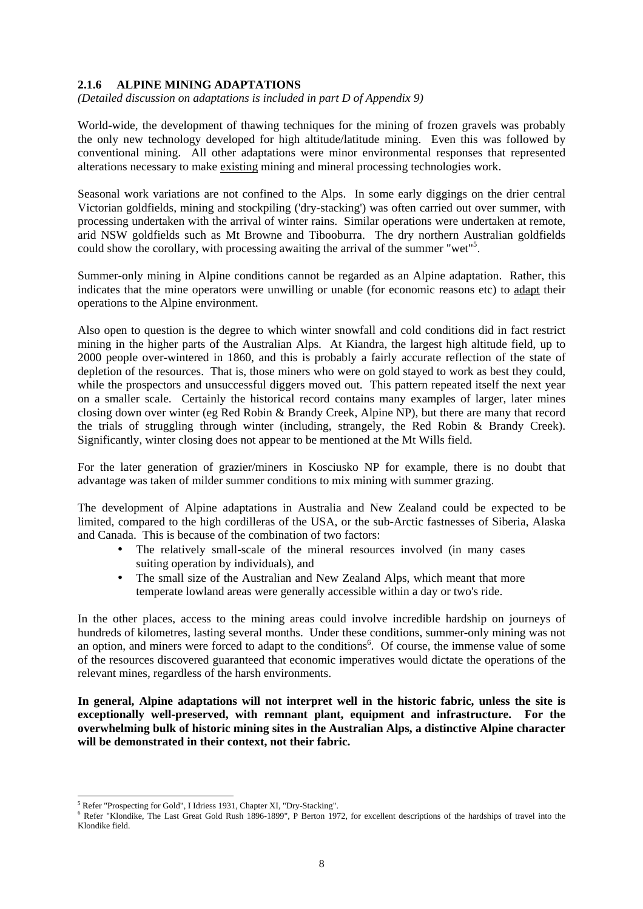#### **2.1.6 ALPINE MINING ADAPTATIONS**

*(Detailed discussion on adaptations is included in part D of Appendix 9)* 

World-wide, the development of thawing techniques for the mining of frozen gravels was probably the only new technology developed for high altitude/latitude mining. Even this was followed by conventional mining. All other adaptations were minor environmental responses that represented alterations necessary to make existing mining and mineral processing technologies work.

Seasonal work variations are not confined to the Alps. In some early diggings on the drier central Victorian goldfields, mining and stockpiling ('dry-stacking') was often carried out over summer, with processing undertaken with the arrival of winter rains. Similar operations were undertaken at remote, arid NSW goldfields such as Mt Browne and Tibooburra. The dry northern Australian goldfields could show the corollary, with processing awaiting the arrival of the summer "wet"<sup>5</sup> .

Summer-only mining in Alpine conditions cannot be regarded as an Alpine adaptation. Rather, this indicates that the mine operators were unwilling or unable (for economic reasons etc) to adapt their operations to the Alpine environment.

Also open to question is the degree to which winter snowfall and cold conditions did in fact restrict mining in the higher parts of the Australian Alps. At Kiandra, the largest high altitude field, up to 2000 people over-wintered in 1860, and this is probably a fairly accurate reflection of the state of depletion of the resources. That is, those miners who were on gold stayed to work as best they could, while the prospectors and unsuccessful diggers moved out. This pattern repeated itself the next year on a smaller scale. Certainly the historical record contains many examples of larger, later mines closing down over winter (eg Red Robin & Brandy Creek, Alpine NP), but there are many that record the trials of struggling through winter (including, strangely, the Red Robin & Brandy Creek). Significantly, winter closing does not appear to be mentioned at the Mt Wills field.

For the later generation of grazier/miners in Kosciusko NP for example, there is no doubt that advantage was taken of milder summer conditions to mix mining with summer grazing.

The development of Alpine adaptations in Australia and New Zealand could be expected to be limited, compared to the high cordilleras of the USA, or the sub-Arctic fastnesses of Siberia, Alaska and Canada. This is because of the combination of two factors:

- The relatively small-scale of the mineral resources involved (in many cases suiting operation by individuals), and
- The small size of the Australian and New Zealand Alps, which meant that more temperate lowland areas were generally accessible within a day or two's ride.

In the other places, access to the mining areas could involve incredible hardship on journeys of hundreds of kilometres, lasting several months. Under these conditions, summer-only mining was not an option, and miners were forced to adapt to the conditions<sup>6</sup>. Of course, the immense value of some of the resources discovered guaranteed that economic imperatives would dictate the operations of the relevant mines, regardless of the harsh environments.

**In general, Alpine adaptations will not interpret well in the historic fabric, unless the site is exceptionally well-preserved, with remnant plant, equipment and infrastructure. For the overwhelming bulk of historic mining sites in the Australian Alps, a distinctive Alpine character will be demonstrated in their context, not their fabric.** 

l

<sup>&</sup>lt;sup>5</sup> Refer "Prospecting for Gold", I Idriess 1931, Chapter XI, "Dry-Stacking".

<sup>&</sup>lt;sup>6</sup> Refer "Klondike, The Last Great Gold Rush 1896-1899", P Berton 1972, for excellent descriptions of the hardships of travel into the Klondike field.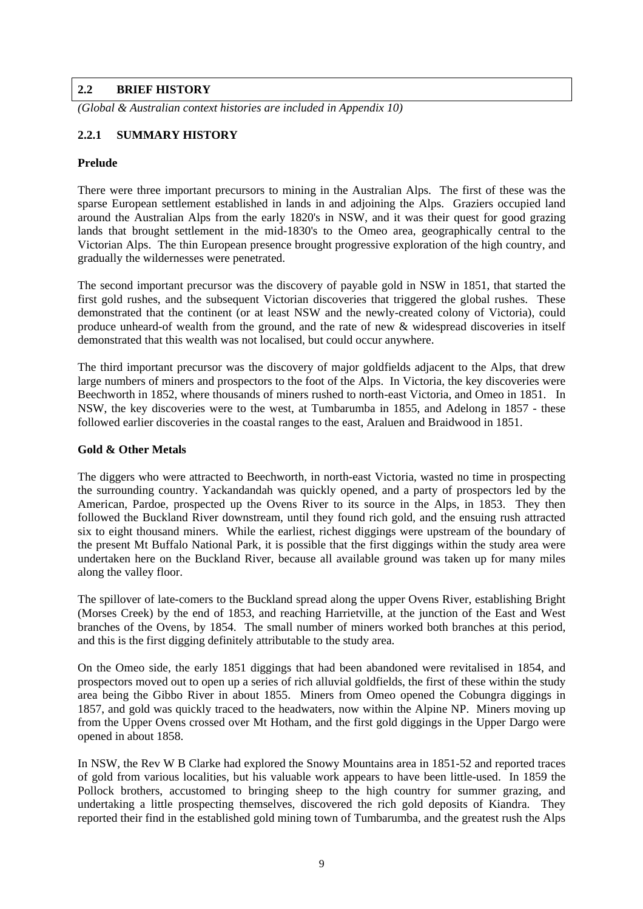#### **2.2 BRIEF HISTORY**

*(Global & Australian context histories are included in Appendix 10)* 

#### **2.2.1 SUMMARY HISTORY**

#### **Prelude**

There were three important precursors to mining in the Australian Alps. The first of these was the sparse European settlement established in lands in and adjoining the Alps. Graziers occupied land around the Australian Alps from the early 1820's in NSW, and it was their quest for good grazing lands that brought settlement in the mid-1830's to the Omeo area, geographically central to the Victorian Alps. The thin European presence brought progressive exploration of the high country, and gradually the wildernesses were penetrated.

The second important precursor was the discovery of payable gold in NSW in 1851, that started the first gold rushes, and the subsequent Victorian discoveries that triggered the global rushes. These demonstrated that the continent (or at least NSW and the newly-created colony of Victoria), could produce unheard-of wealth from the ground, and the rate of new & widespread discoveries in itself demonstrated that this wealth was not localised, but could occur anywhere.

The third important precursor was the discovery of major goldfields adjacent to the Alps, that drew large numbers of miners and prospectors to the foot of the Alps. In Victoria, the key discoveries were Beechworth in 1852, where thousands of miners rushed to north-east Victoria, and Omeo in 1851. In NSW, the key discoveries were to the west, at Tumbarumba in 1855, and Adelong in 1857 - these followed earlier discoveries in the coastal ranges to the east, Araluen and Braidwood in 1851.

#### **Gold & Other Metals**

The diggers who were attracted to Beechworth, in north-east Victoria, wasted no time in prospecting the surrounding country. Yackandandah was quickly opened, and a party of prospectors led by the American, Pardoe, prospected up the Ovens River to its source in the Alps, in 1853. They then followed the Buckland River downstream, until they found rich gold, and the ensuing rush attracted six to eight thousand miners. While the earliest, richest diggings were upstream of the boundary of the present Mt Buffalo National Park, it is possible that the first diggings within the study area were undertaken here on the Buckland River, because all available ground was taken up for many miles along the valley floor.

The spillover of late-comers to the Buckland spread along the upper Ovens River, establishing Bright (Morses Creek) by the end of 1853, and reaching Harrietville, at the junction of the East and West branches of the Ovens, by 1854. The small number of miners worked both branches at this period, and this is the first digging definitely attributable to the study area.

On the Omeo side, the early 1851 diggings that had been abandoned were revitalised in 1854, and prospectors moved out to open up a series of rich alluvial goldfields, the first of these within the study area being the Gibbo River in about 1855. Miners from Omeo opened the Cobungra diggings in 1857, and gold was quickly traced to the headwaters, now within the Alpine NP. Miners moving up from the Upper Ovens crossed over Mt Hotham, and the first gold diggings in the Upper Dargo were opened in about 1858.

In NSW, the Rev W B Clarke had explored the Snowy Mountains area in 1851-52 and reported traces of gold from various localities, but his valuable work appears to have been little-used. In 1859 the Pollock brothers, accustomed to bringing sheep to the high country for summer grazing, and undertaking a little prospecting themselves, discovered the rich gold deposits of Kiandra. They reported their find in the established gold mining town of Tumbarumba, and the greatest rush the Alps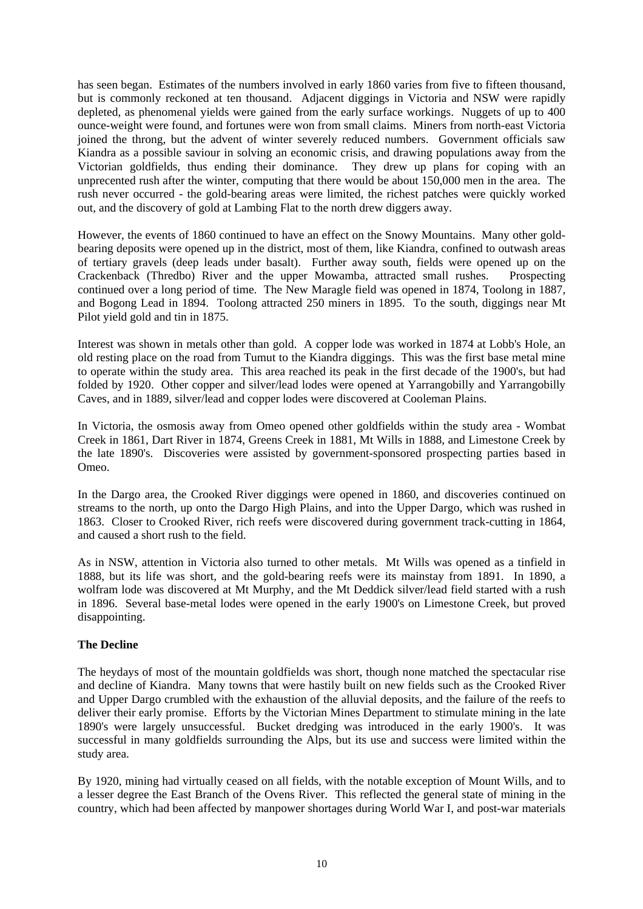has seen began. Estimates of the numbers involved in early 1860 varies from five to fifteen thousand, but is commonly reckoned at ten thousand. Adjacent diggings in Victoria and NSW were rapidly depleted, as phenomenal yields were gained from the early surface workings. Nuggets of up to 400 ounce-weight were found, and fortunes were won from small claims. Miners from north-east Victoria joined the throng, but the advent of winter severely reduced numbers. Government officials saw Kiandra as a possible saviour in solving an economic crisis, and drawing populations away from the Victorian goldfields, thus ending their dominance. They drew up plans for coping with an unprecented rush after the winter, computing that there would be about 150,000 men in the area. The rush never occurred - the gold-bearing areas were limited, the richest patches were quickly worked out, and the discovery of gold at Lambing Flat to the north drew diggers away.

However, the events of 1860 continued to have an effect on the Snowy Mountains. Many other goldbearing deposits were opened up in the district, most of them, like Kiandra, confined to outwash areas of tertiary gravels (deep leads under basalt). Further away south, fields were opened up on the Crackenback (Thredbo) River and the upper Mowamba, attracted small rushes. Prospecting continued over a long period of time. The New Maragle field was opened in 1874, Toolong in 1887, and Bogong Lead in 1894. Toolong attracted 250 miners in 1895. To the south, diggings near Mt Pilot yield gold and tin in 1875.

Interest was shown in metals other than gold. A copper lode was worked in 1874 at Lobb's Hole, an old resting place on the road from Tumut to the Kiandra diggings. This was the first base metal mine to operate within the study area. This area reached its peak in the first decade of the 1900's, but had folded by 1920. Other copper and silver/lead lodes were opened at Yarrangobilly and Yarrangobilly Caves, and in 1889, silver/lead and copper lodes were discovered at Cooleman Plains.

In Victoria, the osmosis away from Omeo opened other goldfields within the study area - Wombat Creek in 1861, Dart River in 1874, Greens Creek in 1881, Mt Wills in 1888, and Limestone Creek by the late 1890's. Discoveries were assisted by government-sponsored prospecting parties based in Omeo.

In the Dargo area, the Crooked River diggings were opened in 1860, and discoveries continued on streams to the north, up onto the Dargo High Plains, and into the Upper Dargo, which was rushed in 1863. Closer to Crooked River, rich reefs were discovered during government track-cutting in 1864, and caused a short rush to the field.

As in NSW, attention in Victoria also turned to other metals. Mt Wills was opened as a tinfield in 1888, but its life was short, and the gold-bearing reefs were its mainstay from 1891. In 1890, a wolfram lode was discovered at Mt Murphy, and the Mt Deddick silver/lead field started with a rush in 1896. Several base-metal lodes were opened in the early 1900's on Limestone Creek, but proved disappointing.

#### **The Decline**

The heydays of most of the mountain goldfields was short, though none matched the spectacular rise and decline of Kiandra. Many towns that were hastily built on new fields such as the Crooked River and Upper Dargo crumbled with the exhaustion of the alluvial deposits, and the failure of the reefs to deliver their early promise. Efforts by the Victorian Mines Department to stimulate mining in the late 1890's were largely unsuccessful. Bucket dredging was introduced in the early 1900's. It was successful in many goldfields surrounding the Alps, but its use and success were limited within the study area.

By 1920, mining had virtually ceased on all fields, with the notable exception of Mount Wills, and to a lesser degree the East Branch of the Ovens River. This reflected the general state of mining in the country, which had been affected by manpower shortages during World War I, and post-war materials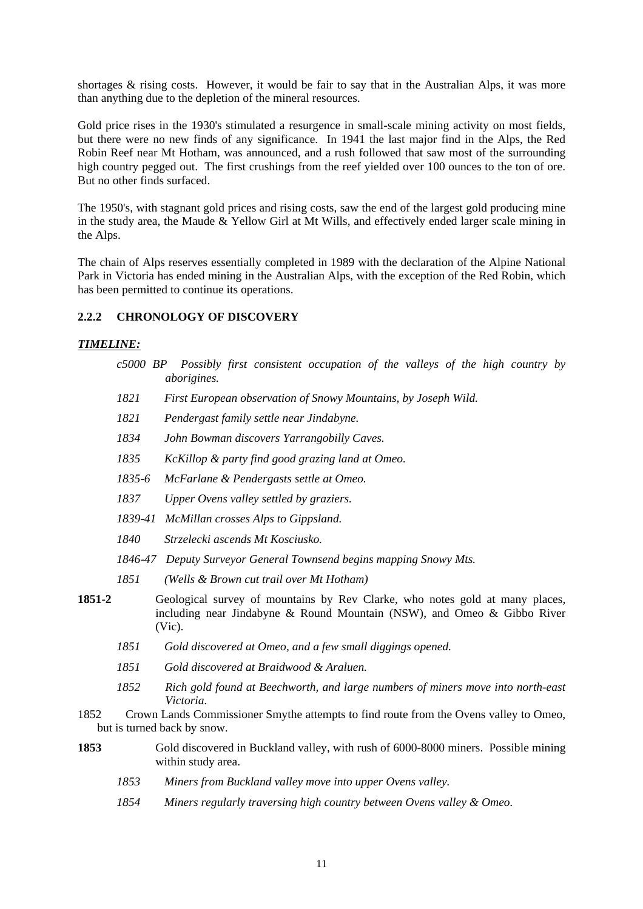shortages & rising costs. However, it would be fair to say that in the Australian Alps, it was more than anything due to the depletion of the mineral resources.

Gold price rises in the 1930's stimulated a resurgence in small-scale mining activity on most fields, but there were no new finds of any significance. In 1941 the last major find in the Alps, the Red Robin Reef near Mt Hotham, was announced, and a rush followed that saw most of the surrounding high country pegged out. The first crushings from the reef yielded over 100 ounces to the ton of ore. But no other finds surfaced.

The 1950's, with stagnant gold prices and rising costs, saw the end of the largest gold producing mine in the study area, the Maude & Yellow Girl at Mt Wills, and effectively ended larger scale mining in the Alps.

The chain of Alps reserves essentially completed in 1989 with the declaration of the Alpine National Park in Victoria has ended mining in the Australian Alps, with the exception of the Red Robin, which has been permitted to continue its operations.

#### **2.2.2 CHRONOLOGY OF DISCOVERY**

#### *TIMELINE:*

- *c5000 BP Possibly first consistent occupation of the valleys of the high country by aborigines.*
- *1821 First European observation of Snowy Mountains, by Joseph Wild.*
- *1821 Pendergast family settle near Jindabyne.*
- *1834 John Bowman discovers Yarrangobilly Caves.*
- *1835 KcKillop & party find good grazing land at Omeo.*
- *1835-6 McFarlane & Pendergasts settle at Omeo.*
- *1837 Upper Ovens valley settled by graziers.*
- *1839-41 McMillan crosses Alps to Gippsland.*
- *1840 Strzelecki ascends Mt Kosciusko.*
- *1846-47 Deputy Surveyor General Townsend begins mapping Snowy Mts.*
- *1851 (Wells & Brown cut trail over Mt Hotham)*
- **1851-2** Geological survey of mountains by Rev Clarke, who notes gold at many places, including near Jindabyne & Round Mountain (NSW), and Omeo & Gibbo River (Vic).
	- *1851 Gold discovered at Omeo, and a few small diggings opened.*
	- *1851 Gold discovered at Braidwood & Araluen.*
	- *1852 Rich gold found at Beechworth, and large numbers of miners move into north-east Victoria.*
- 1852 Crown Lands Commissioner Smythe attempts to find route from the Ovens valley to Omeo, but is turned back by snow.
- **1853** Gold discovered in Buckland valley, with rush of 6000-8000 miners. Possible mining within study area.
	- *1853 Miners from Buckland valley move into upper Ovens valley.*
	- *1854 Miners regularly traversing high country between Ovens valley & Omeo.*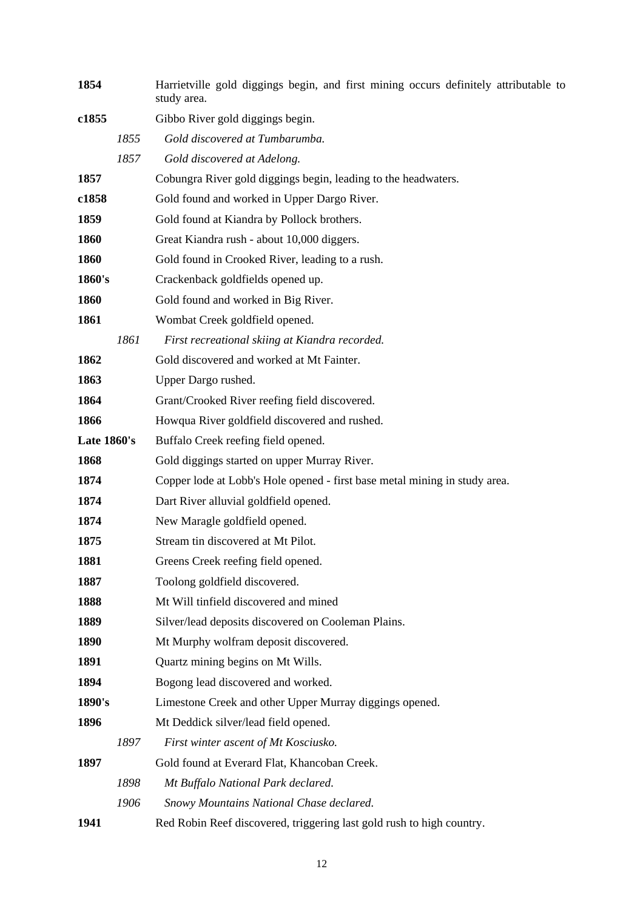| 1854               |      | Harrietville gold diggings begin, and first mining occurs definitely attributable to<br>study area. |
|--------------------|------|-----------------------------------------------------------------------------------------------------|
| c1855              |      | Gibbo River gold diggings begin.                                                                    |
|                    | 1855 | Gold discovered at Tumbarumba.                                                                      |
|                    | 1857 | Gold discovered at Adelong.                                                                         |
| 1857               |      | Cobungra River gold diggings begin, leading to the headwaters.                                      |
| c1858              |      | Gold found and worked in Upper Dargo River.                                                         |
| 1859               |      | Gold found at Kiandra by Pollock brothers.                                                          |
| 1860               |      | Great Kiandra rush - about 10,000 diggers.                                                          |
| 1860               |      | Gold found in Crooked River, leading to a rush.                                                     |
| 1860's             |      | Crackenback goldfields opened up.                                                                   |
| 1860               |      | Gold found and worked in Big River.                                                                 |
| 1861               |      | Wombat Creek goldfield opened.                                                                      |
|                    | 1861 | First recreational skiing at Kiandra recorded.                                                      |
| 1862               |      | Gold discovered and worked at Mt Fainter.                                                           |
| 1863               |      | Upper Dargo rushed.                                                                                 |
| 1864               |      | Grant/Crooked River reefing field discovered.                                                       |
| 1866               |      | Howqua River goldfield discovered and rushed.                                                       |
| <b>Late 1860's</b> |      | Buffalo Creek reefing field opened.                                                                 |
| 1868               |      | Gold diggings started on upper Murray River.                                                        |
| 1874               |      | Copper lode at Lobb's Hole opened - first base metal mining in study area.                          |
| 1874               |      | Dart River alluvial goldfield opened.                                                               |
| 1874               |      | New Maragle goldfield opened.                                                                       |
| 1875               |      | Stream tin discovered at Mt Pilot.                                                                  |
| 1881               |      | Greens Creek reefing field opened.                                                                  |
| 1887               |      | Toolong goldfield discovered.                                                                       |
| 1888               |      | Mt Will tinfield discovered and mined                                                               |
| 1889               |      | Silver/lead deposits discovered on Cooleman Plains.                                                 |
| 1890               |      | Mt Murphy wolfram deposit discovered.                                                               |
| 1891               |      | Quartz mining begins on Mt Wills.                                                                   |
| 1894               |      | Bogong lead discovered and worked.                                                                  |
| 1890's             |      | Limestone Creek and other Upper Murray diggings opened.                                             |
| 1896               |      | Mt Deddick silver/lead field opened.                                                                |
|                    | 1897 | First winter ascent of Mt Kosciusko.                                                                |
| 1897               |      | Gold found at Everard Flat, Khancoban Creek.                                                        |
|                    | 1898 | Mt Buffalo National Park declared.                                                                  |
|                    | 1906 | Snowy Mountains National Chase declared.                                                            |
| 1941               |      | Red Robin Reef discovered, triggering last gold rush to high country.                               |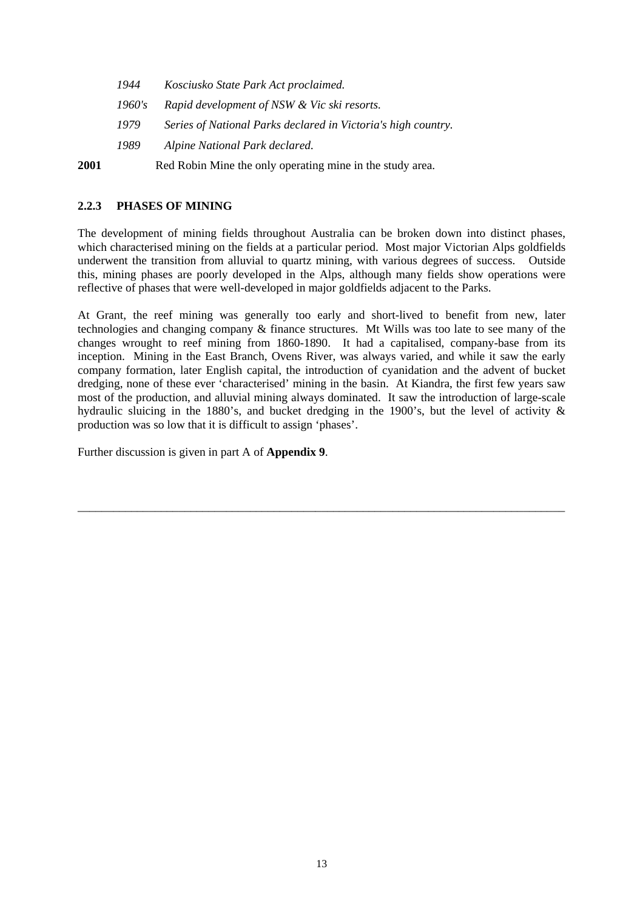| 1944   | Kosciusko State Park Act proclaimed.                          |
|--------|---------------------------------------------------------------|
| 1960's | Rapid development of NSW & Vic ski resorts.                   |
| 1979   | Series of National Parks declared in Victoria's high country. |
| 1989   | Alpine National Park declared.                                |
|        |                                                               |

**2001** Red Robin Mine the only operating mine in the study area.

#### **2.2.3 PHASES OF MINING**

The development of mining fields throughout Australia can be broken down into distinct phases, which characterised mining on the fields at a particular period. Most major Victorian Alps goldfields underwent the transition from alluvial to quartz mining, with various degrees of success. Outside this, mining phases are poorly developed in the Alps, although many fields show operations were reflective of phases that were well-developed in major goldfields adjacent to the Parks.

At Grant, the reef mining was generally too early and short-lived to benefit from new, later technologies and changing company & finance structures. Mt Wills was too late to see many of the changes wrought to reef mining from 1860-1890. It had a capitalised, company-base from its inception. Mining in the East Branch, Ovens River, was always varied, and while it saw the early company formation, later English capital, the introduction of cyanidation and the advent of bucket dredging, none of these ever 'characterised' mining in the basin. At Kiandra, the first few years saw most of the production, and alluvial mining always dominated. It saw the introduction of large-scale hydraulic sluicing in the 1880's, and bucket dredging in the 1900's, but the level of activity & production was so low that it is difficult to assign 'phases'.

\_\_\_\_\_\_\_\_\_\_\_\_\_\_\_\_\_\_\_\_\_\_\_\_\_\_\_\_\_\_\_\_\_\_\_\_\_\_\_\_\_\_\_\_\_\_\_\_\_\_\_\_\_\_\_\_\_\_\_\_\_\_\_\_\_\_\_\_\_\_\_\_\_\_\_\_\_\_\_\_\_\_

Further discussion is given in part A of **Appendix 9**.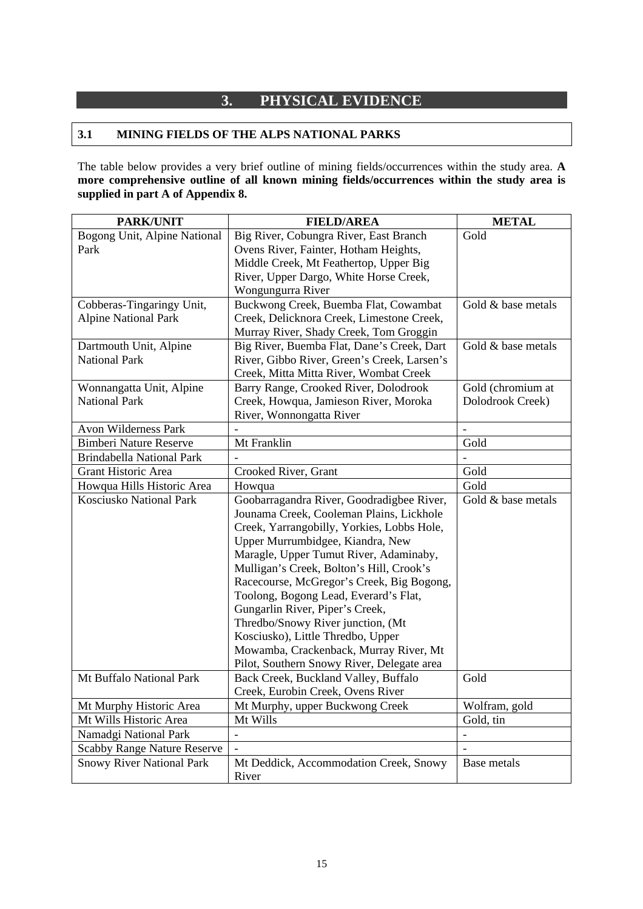# **3. PHYSICAL EVIDENCE**

#### **3.1 MINING FIELDS OF THE ALPS NATIONAL PARKS**

The table below provides a very brief outline of mining fields/occurrences within the study area. **A more comprehensive outline of all known mining fields/occurrences within the study area is supplied in part A of Appendix 8.**

| <b>PARK/UNIT</b>                   | <b>FIELD/AREA</b>                           | <b>METAL</b>             |
|------------------------------------|---------------------------------------------|--------------------------|
| Bogong Unit, Alpine National       | Big River, Cobungra River, East Branch      | Gold                     |
| Park                               | Ovens River, Fainter, Hotham Heights,       |                          |
|                                    | Middle Creek, Mt Feathertop, Upper Big      |                          |
|                                    | River, Upper Dargo, White Horse Creek,      |                          |
|                                    | Wongungurra River                           |                          |
| Cobberas-Tingaringy Unit,          | Buckwong Creek, Buemba Flat, Cowambat       | Gold & base metals       |
| <b>Alpine National Park</b>        | Creek, Delicknora Creek, Limestone Creek,   |                          |
|                                    | Murray River, Shady Creek, Tom Groggin      |                          |
| Dartmouth Unit, Alpine             | Big River, Buemba Flat, Dane's Creek, Dart  | Gold & base metals       |
| <b>National Park</b>               | River, Gibbo River, Green's Creek, Larsen's |                          |
|                                    | Creek, Mitta Mitta River, Wombat Creek      |                          |
| Wonnangatta Unit, Alpine           | Barry Range, Crooked River, Dolodrook       | Gold (chromium at        |
| <b>National Park</b>               | Creek, Howqua, Jamieson River, Moroka       | Dolodrook Creek)         |
|                                    | River, Wonnongatta River                    |                          |
| Avon Wilderness Park               |                                             |                          |
| <b>Bimberi Nature Reserve</b>      | Mt Franklin                                 | Gold                     |
| <b>Brindabella National Park</b>   |                                             |                          |
| Grant Historic Area                | Crooked River, Grant                        | Gold                     |
| Howqua Hills Historic Area         | Howqua                                      | Gold                     |
| <b>Kosciusko National Park</b>     | Goobarragandra River, Goodradigbee River,   | Gold & base metals       |
|                                    | Jounama Creek, Cooleman Plains, Lickhole    |                          |
|                                    | Creek, Yarrangobilly, Yorkies, Lobbs Hole,  |                          |
|                                    | Upper Murrumbidgee, Kiandra, New            |                          |
|                                    | Maragle, Upper Tumut River, Adaminaby,      |                          |
|                                    | Mulligan's Creek, Bolton's Hill, Crook's    |                          |
|                                    | Racecourse, McGregor's Creek, Big Bogong,   |                          |
|                                    | Toolong, Bogong Lead, Everard's Flat,       |                          |
|                                    | Gungarlin River, Piper's Creek,             |                          |
|                                    | Thredbo/Snowy River junction, (Mt           |                          |
|                                    | Kosciusko), Little Thredbo, Upper           |                          |
|                                    | Mowamba, Crackenback, Murray River, Mt      |                          |
|                                    | Pilot, Southern Snowy River, Delegate area  |                          |
| Mt Buffalo National Park           | Back Creek, Buckland Valley, Buffalo        | Gold                     |
|                                    | Creek, Eurobin Creek, Ovens River           |                          |
| Mt Murphy Historic Area            | Mt Murphy, upper Buckwong Creek             | Wolfram, gold            |
| Mt Wills Historic Area             | Mt Wills                                    | Gold, tin                |
| Namadgi National Park              | $\blacksquare$                              | $\overline{\phantom{a}}$ |
| <b>Scabby Range Nature Reserve</b> | $\frac{1}{2}$                               | $\frac{1}{2}$            |
| <b>Snowy River National Park</b>   | Mt Deddick, Accommodation Creek, Snowy      | Base metals              |
|                                    | River                                       |                          |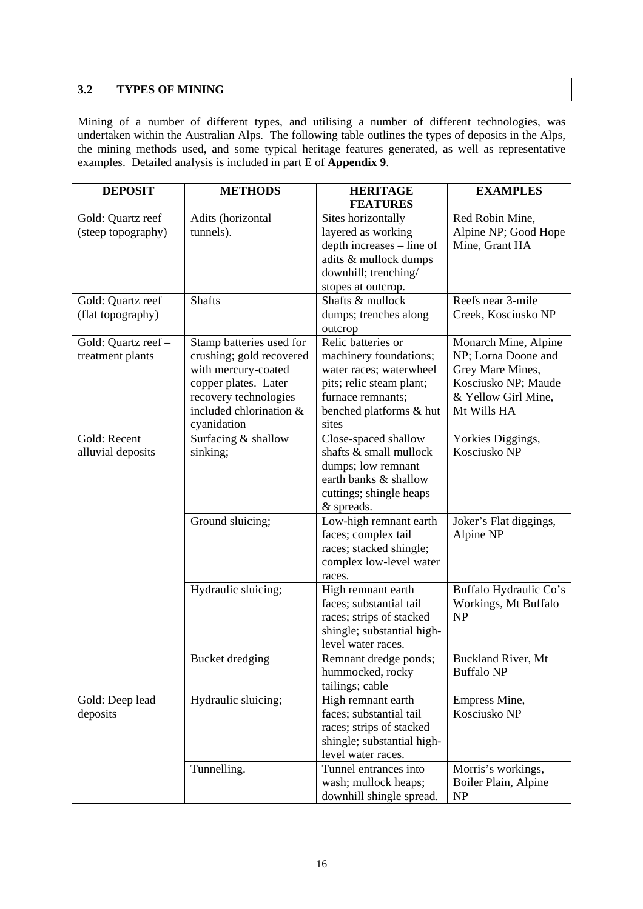### **3.2 TYPES OF MINING**

Mining of a number of different types, and utilising a number of different technologies, was undertaken within the Australian Alps. The following table outlines the types of deposits in the Alps, the mining methods used, and some typical heritage features generated, as well as representative examples. Detailed analysis is included in part E of **Appendix 9**.

| <b>DEPOSIT</b>      | <b>METHODS</b>           | <b>HERITAGE</b>            | <b>EXAMPLES</b>           |
|---------------------|--------------------------|----------------------------|---------------------------|
|                     |                          | <b>FEATURES</b>            |                           |
| Gold: Quartz reef   | Adits (horizontal        | Sites horizontally         | Red Robin Mine,           |
| (steep topography)  | tunnels).                | layered as working         | Alpine NP; Good Hope      |
|                     |                          | depth increases – line of  | Mine, Grant HA            |
|                     |                          | adits & mullock dumps      |                           |
|                     |                          | downhill; trenching/       |                           |
|                     |                          | stopes at outcrop.         |                           |
| Gold: Quartz reef   | <b>Shafts</b>            | Shafts & mullock           | Reefs near 3-mile         |
| (flat topography)   |                          | dumps; trenches along      | Creek, Kosciusko NP       |
|                     |                          | outcrop                    |                           |
| Gold: Quartz reef - | Stamp batteries used for | Relic batteries or         | Monarch Mine, Alpine      |
| treatment plants    | crushing; gold recovered | machinery foundations;     | NP; Lorna Doone and       |
|                     | with mercury-coated      | water races; waterwheel    | Grey Mare Mines,          |
|                     | copper plates. Later     | pits; relic steam plant;   | Kosciusko NP; Maude       |
|                     | recovery technologies    | furnace remnants;          | & Yellow Girl Mine,       |
|                     | included chlorination &  | benched platforms & hut    | Mt Wills HA               |
|                     | cyanidation              | sites                      |                           |
| Gold: Recent        | Surfacing & shallow      | Close-spaced shallow       | Yorkies Diggings,         |
| alluvial deposits   | sinking;                 | shafts & small mullock     | Kosciusko NP              |
|                     |                          | dumps; low remnant         |                           |
|                     |                          | earth banks & shallow      |                           |
|                     |                          | cuttings; shingle heaps    |                           |
|                     |                          | & spreads.                 |                           |
|                     | Ground sluicing;         | Low-high remnant earth     | Joker's Flat diggings,    |
|                     |                          | faces; complex tail        | Alpine NP                 |
|                     |                          | races; stacked shingle;    |                           |
|                     |                          | complex low-level water    |                           |
|                     |                          | races.                     |                           |
|                     | Hydraulic sluicing;      | High remnant earth         | Buffalo Hydraulic Co's    |
|                     |                          | faces; substantial tail    | Workings, Mt Buffalo      |
|                     |                          | races; strips of stacked   | <b>NP</b>                 |
|                     |                          | shingle; substantial high- |                           |
|                     |                          | level water races.         |                           |
|                     | Bucket dredging          | Remnant dredge ponds;      | <b>Buckland River, Mt</b> |
|                     |                          | hummocked, rocky           | <b>Buffalo NP</b>         |
|                     |                          | tailings; cable            |                           |
| Gold: Deep lead     | Hydraulic sluicing;      | High remnant earth         | Empress Mine,             |
| deposits            |                          | faces; substantial tail    | Kosciusko NP              |
|                     |                          | races; strips of stacked   |                           |
|                     |                          | shingle; substantial high- |                           |
|                     |                          | level water races.         |                           |
|                     | Tunnelling.              | Tunnel entrances into      | Morris's workings,        |
|                     |                          | wash; mullock heaps;       | Boiler Plain, Alpine      |
|                     |                          | downhill shingle spread.   | NP                        |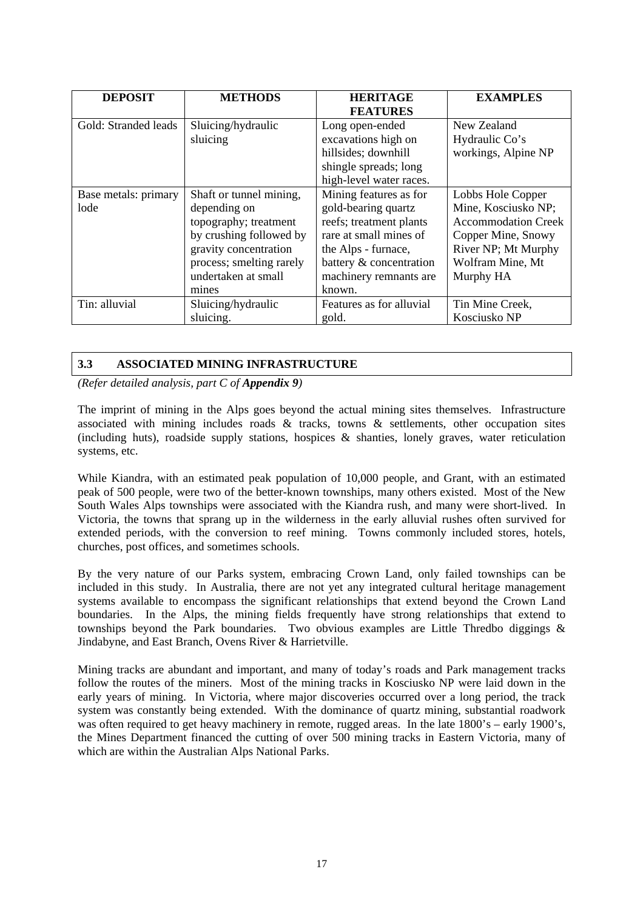| <b>DEPOSIT</b>       | <b>METHODS</b>           | <b>HERITAGE</b>          | <b>EXAMPLES</b>            |
|----------------------|--------------------------|--------------------------|----------------------------|
|                      |                          | <b>FEATURES</b>          |                            |
| Gold: Stranded leads | Sluicing/hydraulic       | Long open-ended          | New Zealand                |
|                      | sluicing                 | excavations high on      | Hydraulic Co's             |
|                      |                          | hillsides; downhill      | workings, Alpine NP        |
|                      |                          | shingle spreads; long    |                            |
|                      |                          | high-level water races.  |                            |
| Base metals: primary | Shaft or tunnel mining,  | Mining features as for   | Lobbs Hole Copper          |
| lode                 | depending on             | gold-bearing quartz      | Mine, Kosciusko NP;        |
|                      | topography; treatment    | reefs; treatment plants  | <b>Accommodation Creek</b> |
|                      | by crushing followed by  | rare at small mines of   | Copper Mine, Snowy         |
|                      | gravity concentration    | the Alps - furnace,      | River NP; Mt Murphy        |
|                      | process; smelting rarely | battery & concentration  | Wolfram Mine, Mt           |
|                      | undertaken at small      | machinery remnants are   | Murphy HA                  |
|                      | mines                    | known.                   |                            |
| Tin: alluvial        | Sluicing/hydraulic       | Features as for alluvial | Tin Mine Creek,            |
|                      | sluicing.                | gold.                    | Kosciusko NP               |

#### **3.3 ASSOCIATED MINING INFRASTRUCTURE**

*(Refer detailed analysis, part C of Appendix 9)* 

The imprint of mining in the Alps goes beyond the actual mining sites themselves. Infrastructure associated with mining includes roads  $\&$  tracks, towns  $\&$  settlements, other occupation sites (including huts), roadside supply stations, hospices  $\&$  shanties, lonely graves, water reticulation systems, etc.

While Kiandra, with an estimated peak population of 10,000 people, and Grant, with an estimated peak of 500 people, were two of the better-known townships, many others existed. Most of the New South Wales Alps townships were associated with the Kiandra rush, and many were short-lived. In Victoria, the towns that sprang up in the wilderness in the early alluvial rushes often survived for extended periods, with the conversion to reef mining. Towns commonly included stores, hotels, churches, post offices, and sometimes schools.

By the very nature of our Parks system, embracing Crown Land, only failed townships can be included in this study. In Australia, there are not yet any integrated cultural heritage management systems available to encompass the significant relationships that extend beyond the Crown Land boundaries. In the Alps, the mining fields frequently have strong relationships that extend to townships beyond the Park boundaries. Two obvious examples are Little Thredbo diggings & Jindabyne, and East Branch, Ovens River & Harrietville.

Mining tracks are abundant and important, and many of today's roads and Park management tracks follow the routes of the miners. Most of the mining tracks in Kosciusko NP were laid down in the early years of mining. In Victoria, where major discoveries occurred over a long period, the track system was constantly being extended. With the dominance of quartz mining, substantial roadwork was often required to get heavy machinery in remote, rugged areas. In the late 1800's – early 1900's, the Mines Department financed the cutting of over 500 mining tracks in Eastern Victoria, many of which are within the Australian Alps National Parks.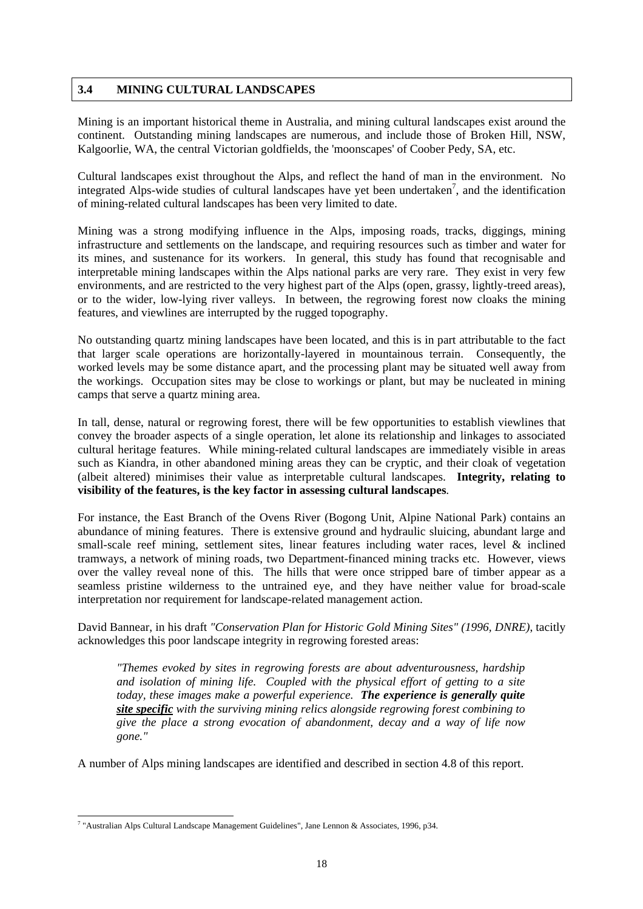#### **3.4 MINING CULTURAL LANDSCAPES**

Mining is an important historical theme in Australia, and mining cultural landscapes exist around the continent. Outstanding mining landscapes are numerous, and include those of Broken Hill, NSW, Kalgoorlie, WA, the central Victorian goldfields, the 'moonscapes' of Coober Pedy, SA, etc.

Cultural landscapes exist throughout the Alps, and reflect the hand of man in the environment. No integrated Alps-wide studies of cultural landscapes have yet been undertaken<sup>7</sup>, and the identification of mining-related cultural landscapes has been very limited to date.

Mining was a strong modifying influence in the Alps, imposing roads, tracks, diggings, mining infrastructure and settlements on the landscape, and requiring resources such as timber and water for its mines, and sustenance for its workers. In general, this study has found that recognisable and interpretable mining landscapes within the Alps national parks are very rare. They exist in very few environments, and are restricted to the very highest part of the Alps (open, grassy, lightly-treed areas), or to the wider, low-lying river valleys. In between, the regrowing forest now cloaks the mining features, and viewlines are interrupted by the rugged topography.

No outstanding quartz mining landscapes have been located, and this is in part attributable to the fact that larger scale operations are horizontally-layered in mountainous terrain. Consequently, the worked levels may be some distance apart, and the processing plant may be situated well away from the workings. Occupation sites may be close to workings or plant, but may be nucleated in mining camps that serve a quartz mining area.

In tall, dense, natural or regrowing forest, there will be few opportunities to establish viewlines that convey the broader aspects of a single operation, let alone its relationship and linkages to associated cultural heritage features. While mining-related cultural landscapes are immediately visible in areas such as Kiandra, in other abandoned mining areas they can be cryptic, and their cloak of vegetation (albeit altered) minimises their value as interpretable cultural landscapes. **Integrity, relating to visibility of the features, is the key factor in assessing cultural landscapes**.

For instance, the East Branch of the Ovens River (Bogong Unit, Alpine National Park) contains an abundance of mining features. There is extensive ground and hydraulic sluicing, abundant large and small-scale reef mining, settlement sites, linear features including water races, level & inclined tramways, a network of mining roads, two Department-financed mining tracks etc. However, views over the valley reveal none of this. The hills that were once stripped bare of timber appear as a seamless pristine wilderness to the untrained eye, and they have neither value for broad-scale interpretation nor requirement for landscape-related management action.

David Bannear, in his draft *"Conservation Plan for Historic Gold Mining Sites" (1996, DNRE)*, tacitly acknowledges this poor landscape integrity in regrowing forested areas:

*"Themes evoked by sites in regrowing forests are about adventurousness, hardship and isolation of mining life. Coupled with the physical effort of getting to a site today, these images make a powerful experience. The experience is generally quite site specific with the surviving mining relics alongside regrowing forest combining to give the place a strong evocation of abandonment, decay and a way of life now gone."* 

A number of Alps mining landscapes are identified and described in section 4.8 of this report.

 7 "Australian Alps Cultural Landscape Management Guidelines", Jane Lennon & Associates, 1996, p34.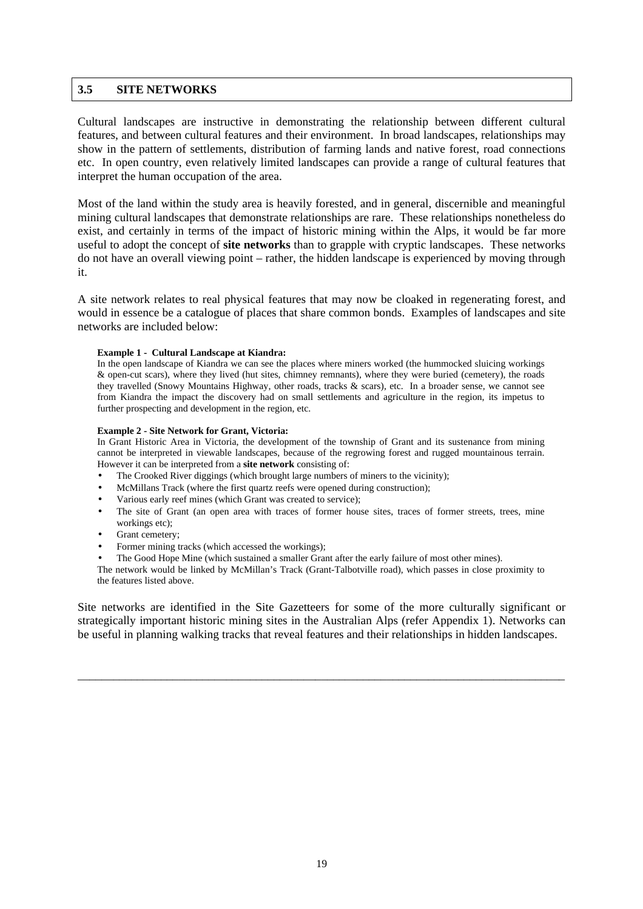#### **3.5 SITE NETWORKS**

Cultural landscapes are instructive in demonstrating the relationship between different cultural features, and between cultural features and their environment. In broad landscapes, relationships may show in the pattern of settlements, distribution of farming lands and native forest, road connections etc. In open country, even relatively limited landscapes can provide a range of cultural features that interpret the human occupation of the area.

Most of the land within the study area is heavily forested, and in general, discernible and meaningful mining cultural landscapes that demonstrate relationships are rare. These relationships nonetheless do exist, and certainly in terms of the impact of historic mining within the Alps, it would be far more useful to adopt the concept of **site networks** than to grapple with cryptic landscapes. These networks do not have an overall viewing point – rather, the hidden landscape is experienced by moving through it.

A site network relates to real physical features that may now be cloaked in regenerating forest, and would in essence be a catalogue of places that share common bonds. Examples of landscapes and site networks are included below:

#### **Example 1 - Cultural Landscape at Kiandra:**

In the open landscape of Kiandra we can see the places where miners worked (the hummocked sluicing workings & open-cut scars), where they lived (hut sites, chimney remnants), where they were buried (cemetery), the roads they travelled (Snowy Mountains Highway, other roads, tracks & scars), etc. In a broader sense, we cannot see from Kiandra the impact the discovery had on small settlements and agriculture in the region, its impetus to further prospecting and development in the region, etc.

#### **Example 2 - Site Network for Grant, Victoria:**

In Grant Historic Area in Victoria, the development of the township of Grant and its sustenance from mining cannot be interpreted in viewable landscapes, because of the regrowing forest and rugged mountainous terrain. However it can be interpreted from a **site network** consisting of:

- The Crooked River diggings (which brought large numbers of miners to the vicinity);
- McMillans Track (where the first quartz reefs were opened during construction);
- Various early reef mines (which Grant was created to service);
- The site of Grant (an open area with traces of former house sites, traces of former streets, trees, mine workings etc);
- Grant cemetery;
- Former mining tracks (which accessed the workings);
- The Good Hope Mine (which sustained a smaller Grant after the early failure of most other mines).

The network would be linked by McMillan's Track (Grant-Talbotville road), which passes in close proximity to the features listed above.

Site networks are identified in the Site Gazetteers for some of the more culturally significant or strategically important historic mining sites in the Australian Alps (refer Appendix 1). Networks can be useful in planning walking tracks that reveal features and their relationships in hidden landscapes.

\_\_\_\_\_\_\_\_\_\_\_\_\_\_\_\_\_\_\_\_\_\_\_\_\_\_\_\_\_\_\_\_\_\_\_\_\_\_\_\_\_\_\_\_\_\_\_\_\_\_\_\_\_\_\_\_\_\_\_\_\_\_\_\_\_\_\_\_\_\_\_\_\_\_\_\_\_\_\_\_\_\_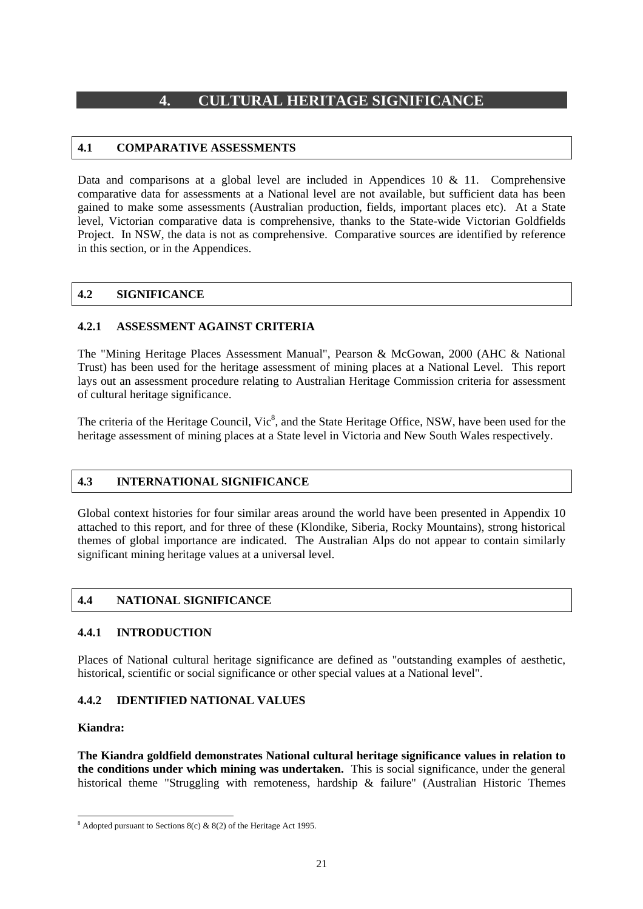### **4. CULTURAL HERITAGE SIGNIFICANCE**

#### **4.1 COMPARATIVE ASSESSMENTS**

Data and comparisons at a global level are included in Appendices 10  $\&$  11. Comprehensive comparative data for assessments at a National level are not available, but sufficient data has been gained to make some assessments (Australian production, fields, important places etc). At a State level, Victorian comparative data is comprehensive, thanks to the State-wide Victorian Goldfields Project. In NSW, the data is not as comprehensive. Comparative sources are identified by reference in this section, or in the Appendices.

#### **4.2 SIGNIFICANCE**

#### **4.2.1 ASSESSMENT AGAINST CRITERIA**

The "Mining Heritage Places Assessment Manual", Pearson & McGowan, 2000 (AHC & National Trust) has been used for the heritage assessment of mining places at a National Level. This report lays out an assessment procedure relating to Australian Heritage Commission criteria for assessment of cultural heritage significance.

The criteria of the Heritage Council, Vic<sup>8</sup>, and the State Heritage Office, NSW, have been used for the heritage assessment of mining places at a State level in Victoria and New South Wales respectively.

#### **4.3 INTERNATIONAL SIGNIFICANCE**

Global context histories for four similar areas around the world have been presented in Appendix 10 attached to this report, and for three of these (Klondike, Siberia, Rocky Mountains), strong historical themes of global importance are indicated. The Australian Alps do not appear to contain similarly significant mining heritage values at a universal level.

#### **4.4 NATIONAL SIGNIFICANCE**

#### **4.4.1 INTRODUCTION**

Places of National cultural heritage significance are defined as "outstanding examples of aesthetic, historical, scientific or social significance or other special values at a National level".

#### **4.4.2 IDENTIFIED NATIONAL VALUES**

#### **Kiandra:**

**The Kiandra goldfield demonstrates National cultural heritage significance values in relation to the conditions under which mining was undertaken.** This is social significance, under the general historical theme "Struggling with remoteness, hardship & failure" (Australian Historic Themes

<sup>&</sup>lt;sup>8</sup> Adopted pursuant to Sections 8(c) & 8(2) of the Heritage Act 1995.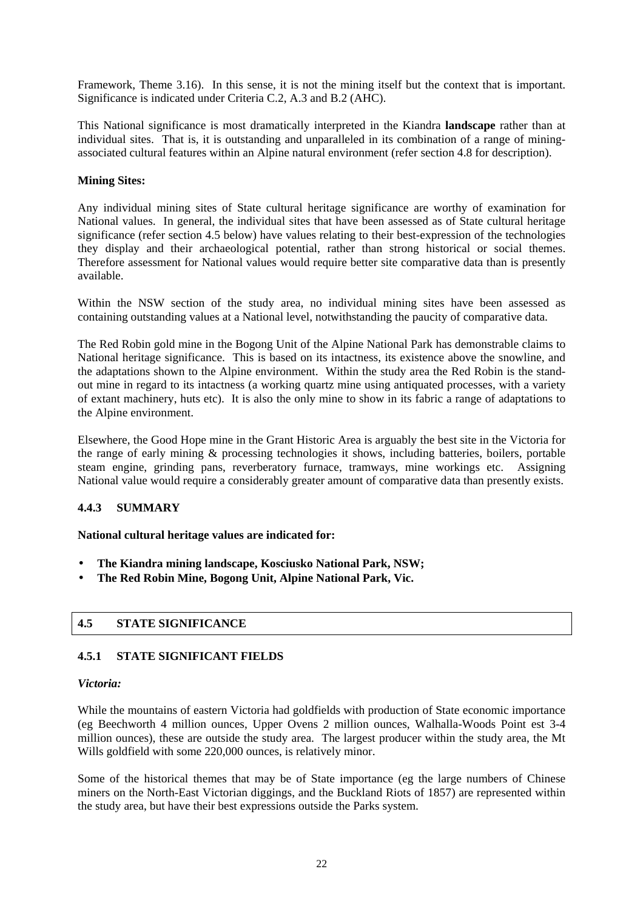Framework, Theme 3.16). In this sense, it is not the mining itself but the context that is important. Significance is indicated under Criteria C.2, A.3 and B.2 (AHC).

This National significance is most dramatically interpreted in the Kiandra **landscape** rather than at individual sites. That is, it is outstanding and unparalleled in its combination of a range of miningassociated cultural features within an Alpine natural environment (refer section 4.8 for description).

#### **Mining Sites:**

Any individual mining sites of State cultural heritage significance are worthy of examination for National values. In general, the individual sites that have been assessed as of State cultural heritage significance (refer section 4.5 below) have values relating to their best-expression of the technologies they display and their archaeological potential, rather than strong historical or social themes. Therefore assessment for National values would require better site comparative data than is presently available.

Within the NSW section of the study area, no individual mining sites have been assessed as containing outstanding values at a National level, notwithstanding the paucity of comparative data.

The Red Robin gold mine in the Bogong Unit of the Alpine National Park has demonstrable claims to National heritage significance. This is based on its intactness, its existence above the snowline, and the adaptations shown to the Alpine environment. Within the study area the Red Robin is the standout mine in regard to its intactness (a working quartz mine using antiquated processes, with a variety of extant machinery, huts etc). It is also the only mine to show in its fabric a range of adaptations to the Alpine environment.

Elsewhere, the Good Hope mine in the Grant Historic Area is arguably the best site in the Victoria for the range of early mining & processing technologies it shows, including batteries, boilers, portable steam engine, grinding pans, reverberatory furnace, tramways, mine workings etc. Assigning National value would require a considerably greater amount of comparative data than presently exists.

#### **4.4.3 SUMMARY**

**National cultural heritage values are indicated for:** 

- **The Kiandra mining landscape, Kosciusko National Park, NSW;**
- **The Red Robin Mine, Bogong Unit, Alpine National Park, Vic.**

#### **4.5 STATE SIGNIFICANCE**

#### **4.5.1 STATE SIGNIFICANT FIELDS**

#### *Victoria:*

While the mountains of eastern Victoria had goldfields with production of State economic importance (eg Beechworth 4 million ounces, Upper Ovens 2 million ounces, Walhalla-Woods Point est 3-4 million ounces), these are outside the study area. The largest producer within the study area, the Mt Wills goldfield with some 220,000 ounces, is relatively minor.

Some of the historical themes that may be of State importance (eg the large numbers of Chinese miners on the North-East Victorian diggings, and the Buckland Riots of 1857) are represented within the study area, but have their best expressions outside the Parks system.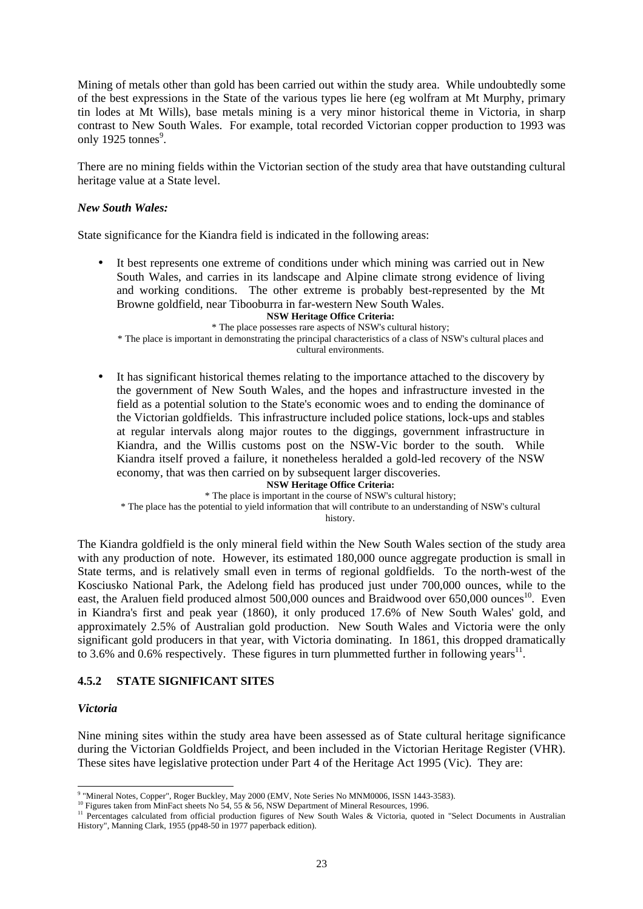Mining of metals other than gold has been carried out within the study area. While undoubtedly some of the best expressions in the State of the various types lie here (eg wolfram at Mt Murphy, primary tin lodes at Mt Wills), base metals mining is a very minor historical theme in Victoria, in sharp contrast to New South Wales. For example, total recorded Victorian copper production to 1993 was only 1925 tonnes $9$ .

There are no mining fields within the Victorian section of the study area that have outstanding cultural heritage value at a State level.

#### *New South Wales:*

State significance for the Kiandra field is indicated in the following areas:

It best represents one extreme of conditions under which mining was carried out in New South Wales, and carries in its landscape and Alpine climate strong evidence of living and working conditions. The other extreme is probably best-represented by the Mt Browne goldfield, near Tibooburra in far-western New South Wales.

#### **NSW Heritage Office Criteria:**

\* The place possesses rare aspects of NSW's cultural history; \* The place is important in demonstrating the principal characteristics of a class of NSW's cultural places and cultural environments.

• It has significant historical themes relating to the importance attached to the discovery by the government of New South Wales, and the hopes and infrastructure invested in the field as a potential solution to the State's economic woes and to ending the dominance of the Victorian goldfields. This infrastructure included police stations, lock-ups and stables at regular intervals along major routes to the diggings, government infrastructure in Kiandra, and the Willis customs post on the NSW-Vic border to the south. While Kiandra itself proved a failure, it nonetheless heralded a gold-led recovery of the NSW economy, that was then carried on by subsequent larger discoveries.

**NSW Heritage Office Criteria:**  \* The place is important in the course of NSW's cultural history; \* The place has the potential to yield information that will contribute to an understanding of NSW's cultural history.

The Kiandra goldfield is the only mineral field within the New South Wales section of the study area with any production of note. However, its estimated 180,000 ounce aggregate production is small in State terms, and is relatively small even in terms of regional goldfields. To the north-west of the Kosciusko National Park, the Adelong field has produced just under 700,000 ounces, while to the east, the Araluen field produced almost 500,000 ounces and Braidwood over 650,000 ounces<sup>10</sup>. Even in Kiandra's first and peak year (1860), it only produced 17.6% of New South Wales' gold, and approximately 2.5% of Australian gold production. New South Wales and Victoria were the only significant gold producers in that year, with Victoria dominating. In 1861, this dropped dramatically to 3.6% and 0.6% respectively. These figures in turn plummetted further in following years<sup>11</sup>.

#### **4.5.2 STATE SIGNIFICANT SITES**

#### *Victoria*

Nine mining sites within the study area have been assessed as of State cultural heritage significance during the Victorian Goldfields Project, and been included in the Victorian Heritage Register (VHR). These sites have legislative protection under Part 4 of the Heritage Act 1995 (Vic). They are:

<sup>-&</sup>lt;br>9

<sup>&</sup>lt;sup>10</sup> Figures taken from MinFact sheets No 54, 55 & 56, NSW Department of Mineral Resources, 1996.<br><sup>11</sup> Percentages calculated from official production figures of New South Wales & Victoria, quoted in "Select Documents in History", Manning Clark, 1955 (pp48-50 in 1977 paperback edition).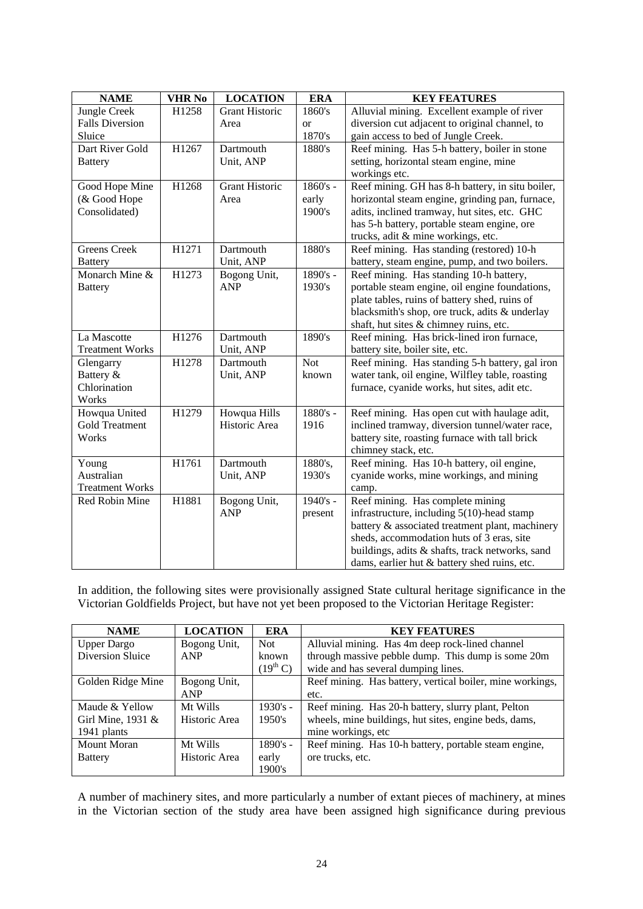| <b>NAME</b>            | <b>VHR No</b> | <b>LOCATION</b>       | <b>ERA</b> | <b>KEY FEATURES</b>                              |
|------------------------|---------------|-----------------------|------------|--------------------------------------------------|
| Jungle Creek           | H1258         | <b>Grant Historic</b> | 1860's     | Alluvial mining. Excellent example of river      |
| <b>Falls Diversion</b> |               | Area                  | <b>or</b>  | diversion cut adjacent to original channel, to   |
| Sluice                 |               |                       | 1870's     | gain access to bed of Jungle Creek.              |
| Dart River Gold        | H1267         | Dartmouth             | 1880's     | Reef mining. Has 5-h battery, boiler in stone    |
| <b>Battery</b>         |               | Unit, ANP             |            | setting, horizontal steam engine, mine           |
|                        |               |                       |            | workings etc.                                    |
| Good Hope Mine         | H1268         | <b>Grant Historic</b> | $1860's -$ | Reef mining. GH has 8-h battery, in situ boiler, |
| (& Good Hope           |               | Area                  | early      | horizontal steam engine, grinding pan, furnace,  |
| Consolidated)          |               |                       | 1900's     | adits, inclined tramway, hut sites, etc. GHC     |
|                        |               |                       |            | has 5-h battery, portable steam engine, ore      |
|                        |               |                       |            | trucks, adit & mine workings, etc.               |
| <b>Greens</b> Creek    | H1271         | Dartmouth             | 1880's     | Reef mining. Has standing (restored) 10-h        |
| <b>Battery</b>         |               | Unit, ANP             |            | battery, steam engine, pump, and two boilers.    |
| Monarch Mine &         | H1273         | Bogong Unit,          | 1890's -   | Reef mining. Has standing 10-h battery,          |
| <b>Battery</b>         |               | <b>ANP</b>            | 1930's     | portable steam engine, oil engine foundations,   |
|                        |               |                       |            | plate tables, ruins of battery shed, ruins of    |
|                        |               |                       |            | blacksmith's shop, ore truck, adits & underlay   |
|                        |               |                       |            | shaft, hut sites & chimney ruins, etc.           |
| La Mascotte            | H1276         | Dartmouth             | 1890's     | Reef mining. Has brick-lined iron furnace,       |
| <b>Treatment Works</b> |               | Unit, ANP             |            | battery site, boiler site, etc.                  |
| Glengarry              | H1278         | Dartmouth             | <b>Not</b> | Reef mining. Has standing 5-h battery, gal iron  |
| Battery &              |               | Unit, ANP             | known      | water tank, oil engine, Wilfley table, roasting  |
| Chlorination           |               |                       |            | furnace, cyanide works, hut sites, adit etc.     |
| Works                  |               |                       |            |                                                  |
| Howqua United          | H1279         | Howqua Hills          | 1880's -   | Reef mining. Has open cut with haulage adit,     |
| <b>Gold Treatment</b>  |               | Historic Area         | 1916       | inclined tramway, diversion tunnel/water race,   |
| Works                  |               |                       |            | battery site, roasting furnace with tall brick   |
|                        |               |                       |            | chimney stack, etc.                              |
| Young                  | H1761         | Dartmouth             | 1880's,    | Reef mining. Has 10-h battery, oil engine,       |
| Australian             |               | Unit, ANP             | 1930's     | cyanide works, mine workings, and mining         |
| <b>Treatment Works</b> |               |                       |            | camp.                                            |
| Red Robin Mine         | H1881         | Bogong Unit,          | $1940's -$ | Reef mining. Has complete mining                 |
|                        |               | <b>ANP</b>            | present    | infrastructure, including 5(10)-head stamp       |
|                        |               |                       |            | battery & associated treatment plant, machinery  |
|                        |               |                       |            | sheds, accommodation huts of 3 eras, site        |
|                        |               |                       |            | buildings, adits & shafts, track networks, sand  |
|                        |               |                       |            | dams, earlier hut & battery shed ruins, etc.     |

In addition, the following sites were provisionally assigned State cultural heritage significance in the Victorian Goldfields Project, but have not yet been proposed to the Victorian Heritage Register:

| <b>NAME</b>        | <b>LOCATION</b> | ERA                  | <b>KEY FEATURES</b>                                       |
|--------------------|-----------------|----------------------|-----------------------------------------------------------|
| <b>Upper Dargo</b> | Bogong Unit,    | Not                  | Alluvial mining. Has 4m deep rock-lined channel           |
| Diversion Sluice   | ANP             | known                | through massive pebble dump. This dump is some 20m        |
|                    |                 | $(19^{\text{th}} C)$ | wide and has several dumping lines.                       |
| Golden Ridge Mine  | Bogong Unit,    |                      | Reef mining. Has battery, vertical boiler, mine workings, |
|                    | <b>ANP</b>      |                      | etc.                                                      |
| Maude & Yellow     | Mt Wills        | $1930's -$           | Reef mining. Has 20-h battery, slurry plant, Pelton       |
| Girl Mine, 1931 &  | Historic Area   | 1950's               | wheels, mine buildings, hut sites, engine beds, dams,     |
| 1941 plants        |                 |                      | mine workings, etc                                        |
| Mount Moran        | Mt Wills        | $1890's -$           | Reef mining. Has 10-h battery, portable steam engine,     |
| <b>Battery</b>     | Historic Area   | early                | ore trucks, etc.                                          |
|                    |                 | 1900's               |                                                           |

A number of machinery sites, and more particularly a number of extant pieces of machinery, at mines in the Victorian section of the study area have been assigned high significance during previous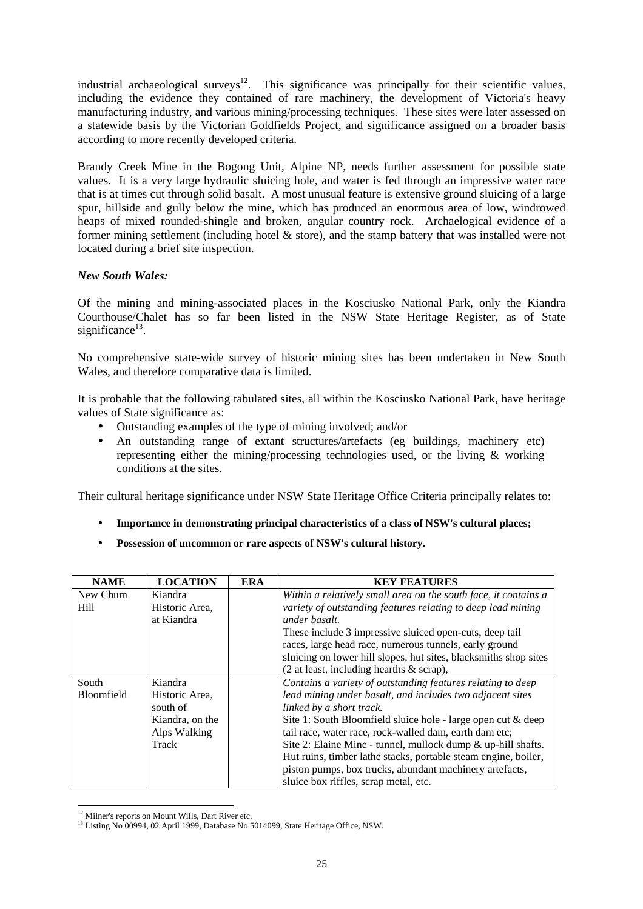industrial archaeological surveys<sup>12</sup>. This significance was principally for their scientific values, including the evidence they contained of rare machinery, the development of Victoria's heavy manufacturing industry, and various mining/processing techniques. These sites were later assessed on a statewide basis by the Victorian Goldfields Project, and significance assigned on a broader basis according to more recently developed criteria.

Brandy Creek Mine in the Bogong Unit, Alpine NP, needs further assessment for possible state values. It is a very large hydraulic sluicing hole, and water is fed through an impressive water race that is at times cut through solid basalt. A most unusual feature is extensive ground sluicing of a large spur, hillside and gully below the mine, which has produced an enormous area of low, windrowed heaps of mixed rounded-shingle and broken, angular country rock. Archaelogical evidence of a former mining settlement (including hotel & store), and the stamp battery that was installed were not located during a brief site inspection.

#### *New South Wales:*

Of the mining and mining-associated places in the Kosciusko National Park, only the Kiandra Courthouse/Chalet has so far been listed in the NSW State Heritage Register, as of State significance $^{13}$ .

No comprehensive state-wide survey of historic mining sites has been undertaken in New South Wales, and therefore comparative data is limited.

It is probable that the following tabulated sites, all within the Kosciusko National Park, have heritage values of State significance as:

- Outstanding examples of the type of mining involved; and/or
- An outstanding range of extant structures/artefacts (eg buildings, machinery etc) representing either the mining/processing technologies used, or the living & working conditions at the sites.

Their cultural heritage significance under NSW State Heritage Office Criteria principally relates to:

- **Importance in demonstrating principal characteristics of a class of NSW's cultural places;**
- **Possession of uncommon or rare aspects of NSW's cultural history.**

| <b>NAME</b>       | <b>LOCATION</b> | <b>ERA</b> | <b>KEY FEATURES</b>                                              |
|-------------------|-----------------|------------|------------------------------------------------------------------|
| New Chum          | Kiandra         |            | Within a relatively small area on the south face, it contains a  |
| Hill              | Historic Area.  |            | variety of outstanding features relating to deep lead mining     |
|                   | at Kiandra      |            | under basalt.                                                    |
|                   |                 |            | These include 3 impressive sluiced open-cuts, deep tail          |
|                   |                 |            | races, large head race, numerous tunnels, early ground           |
|                   |                 |            | sluicing on lower hill slopes, hut sites, blacksmiths shop sites |
|                   |                 |            | $(2 \text{ at least, including hearts } \& \text{ scrap}),$      |
| South             | Kiandra         |            | Contains a variety of outstanding features relating to deep      |
| <b>Bloomfield</b> | Historic Area.  |            | lead mining under basalt, and includes two adjacent sites        |
|                   | south of        |            | linked by a short track.                                         |
|                   | Kiandra, on the |            | Site 1: South Bloomfield sluice hole - large open cut & deep     |
|                   | Alps Walking    |            | tail race, water race, rock-walled dam, earth dam etc;           |
|                   | Track           |            | Site 2: Elaine Mine - tunnel, mullock dump & up-hill shafts.     |
|                   |                 |            | Hut ruins, timber lathe stacks, portable steam engine, boiler,   |
|                   |                 |            | piston pumps, box trucks, abundant machinery artefacts,          |
|                   |                 |            | sluice box riffles, scrap metal, etc.                            |

l <sup>12</sup> Milner's reports on Mount Wills, Dart River etc.

<sup>&</sup>lt;sup>13</sup> Listing No 00994, 02 April 1999, Database No 5014099, State Heritage Office, NSW.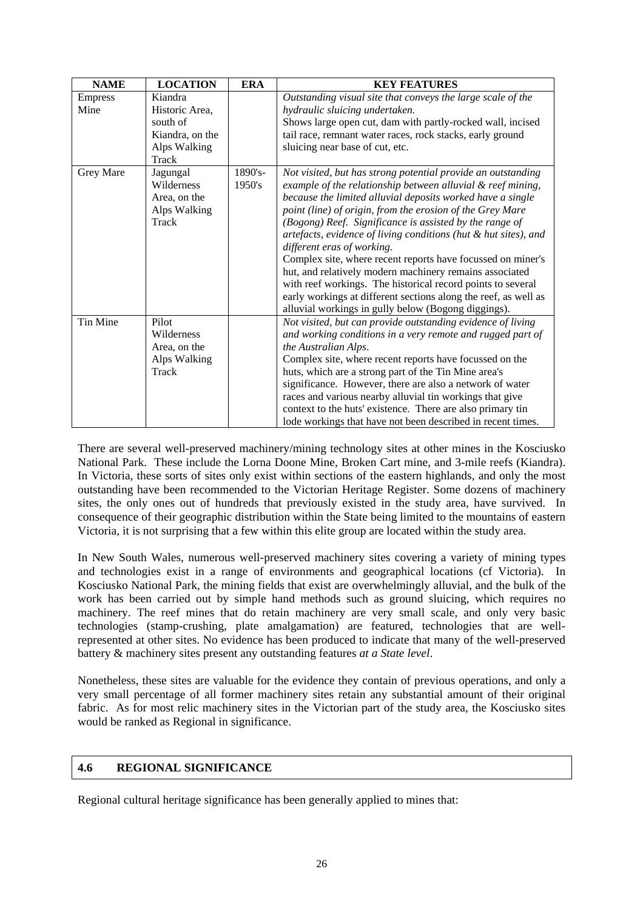| <b>NAME</b>            | <b>LOCATION</b>                                                                   | <b>ERA</b>           | <b>KEY FEATURES</b>                                                                                                                                                                                                                                                                                                                                                                                                                                                                                                                                                                                                                                                                                                                   |  |
|------------------------|-----------------------------------------------------------------------------------|----------------------|---------------------------------------------------------------------------------------------------------------------------------------------------------------------------------------------------------------------------------------------------------------------------------------------------------------------------------------------------------------------------------------------------------------------------------------------------------------------------------------------------------------------------------------------------------------------------------------------------------------------------------------------------------------------------------------------------------------------------------------|--|
| <b>Empress</b><br>Mine | Kiandra<br>Historic Area,<br>south of<br>Kiandra, on the<br>Alps Walking<br>Track |                      | Outstanding visual site that conveys the large scale of the<br>hydraulic sluicing undertaken.<br>Shows large open cut, dam with partly-rocked wall, incised<br>tail race, remnant water races, rock stacks, early ground<br>sluicing near base of cut, etc.                                                                                                                                                                                                                                                                                                                                                                                                                                                                           |  |
| Grey Mare              | Jagungal<br>Wilderness<br>Area, on the<br>Alps Walking<br>Track                   | $1890's -$<br>1950's | Not visited, but has strong potential provide an outstanding<br>example of the relationship between alluvial & reef mining,<br>because the limited alluvial deposits worked have a single<br>point (line) of origin, from the erosion of the Grey Mare<br>(Bogong) Reef. Significance is assisted by the range of<br>artefacts, evidence of living conditions (hut & hut sites), and<br>different eras of working.<br>Complex site, where recent reports have focussed on miner's<br>hut, and relatively modern machinery remains associated<br>with reef workings. The historical record points to several<br>early workings at different sections along the reef, as well as<br>alluvial workings in gully below (Bogong diggings). |  |
| Tin Mine               | Pilot<br>Wilderness<br>Area, on the<br>Alps Walking<br>Track                      |                      | Not visited, but can provide outstanding evidence of living<br>and working conditions in a very remote and rugged part of<br>the Australian Alps.<br>Complex site, where recent reports have focussed on the<br>huts, which are a strong part of the Tin Mine area's<br>significance. However, there are also a network of water<br>races and various nearby alluvial tin workings that give<br>context to the huts' existence. There are also primary tin<br>lode workings that have not been described in recent times.                                                                                                                                                                                                             |  |

There are several well-preserved machinery/mining technology sites at other mines in the Kosciusko National Park. These include the Lorna Doone Mine, Broken Cart mine, and 3-mile reefs (Kiandra). In Victoria, these sorts of sites only exist within sections of the eastern highlands, and only the most outstanding have been recommended to the Victorian Heritage Register. Some dozens of machinery sites, the only ones out of hundreds that previously existed in the study area, have survived. In consequence of their geographic distribution within the State being limited to the mountains of eastern Victoria, it is not surprising that a few within this elite group are located within the study area.

In New South Wales, numerous well-preserved machinery sites covering a variety of mining types and technologies exist in a range of environments and geographical locations (cf Victoria). In Kosciusko National Park, the mining fields that exist are overwhelmingly alluvial, and the bulk of the work has been carried out by simple hand methods such as ground sluicing, which requires no machinery. The reef mines that do retain machinery are very small scale, and only very basic technologies (stamp-crushing, plate amalgamation) are featured, technologies that are wellrepresented at other sites. No evidence has been produced to indicate that many of the well-preserved battery & machinery sites present any outstanding features *at a State level*.

Nonetheless, these sites are valuable for the evidence they contain of previous operations, and only a very small percentage of all former machinery sites retain any substantial amount of their original fabric. As for most relic machinery sites in the Victorian part of the study area, the Kosciusko sites would be ranked as Regional in significance.

#### **4.6 REGIONAL SIGNIFICANCE**

Regional cultural heritage significance has been generally applied to mines that: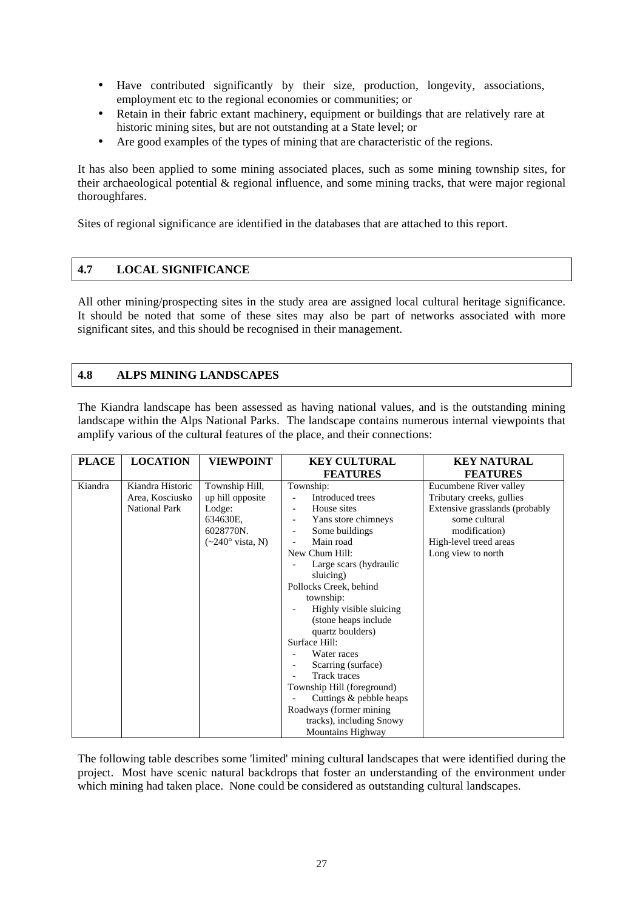- Have contributed significantly by their size, production, longevity, associations, employment etc to the regional economies or communities; or
- Retain in their fabric extant machinery, equipment or buildings that are relatively rare at historic mining sites, but are not outstanding at a State level; or
- Are good examples of the types of mining that are characteristic of the regions.

It has also been applied to some mining associated places, such as some mining township sites, for their archaeological potential & regional influence, and some mining tracks, that were major regional thoroughfares.

Sites of regional significance are identified in the databases that are attached to this report.

#### **4.7 LOCAL SIGNIFICANCE**

All other mining/prospecting sites in the study area are assigned local cultural heritage significance. It should be noted that some of these sites may also be part of networks associated with more significant sites, and this should be recognised in their management.

#### **4.8 ALPS MINING LANDSCAPES**

The Kiandra landscape has been assessed as having national values, and is the outstanding mining landscape within the Alps National Parks. The landscape contains numerous internal viewpoints that amplify various of the cultural features of the place, and their connections:

| <b>PLACE</b> | <b>LOCATION</b>                                             | <b>VIEWPOINT</b>                                                                                                    | <b>KEY CULTURAL</b>                                                                                                                                                                                                                                                                   | <b>KEY NATURAL</b>                                                                                                                                                      |
|--------------|-------------------------------------------------------------|---------------------------------------------------------------------------------------------------------------------|---------------------------------------------------------------------------------------------------------------------------------------------------------------------------------------------------------------------------------------------------------------------------------------|-------------------------------------------------------------------------------------------------------------------------------------------------------------------------|
|              |                                                             |                                                                                                                     | <b>FEATURES</b>                                                                                                                                                                                                                                                                       | <b>FEATURES</b>                                                                                                                                                         |
| Kiandra      | Kiandra Historic<br>Area, Kosciusko<br><b>National Park</b> | Township Hill,<br>up hill opposite<br>Lodge:<br>634630E,<br>6028770N.<br>$(\sim 240^\circ \text{ vista}, \text{N})$ | Township:<br>Introduced trees<br>House sites<br>$\overline{\phantom{a}}$<br>Yans store chimneys<br>Some buildings<br>$\overline{\phantom{a}}$<br>Main road<br>New Chum Hill:<br>Large scars (hydraulic<br>sluicing)<br>Pollocks Creek, behind<br>township:<br>Highly visible sluicing | Eucumbene River valley<br>Tributary creeks, gullies<br>Extensive grasslands (probably<br>some cultural<br>modification)<br>High-level treed areas<br>Long view to north |
|              |                                                             |                                                                                                                     | (stone heaps include)<br>quartz boulders)<br>Surface Hill:<br>Water races<br>Scarring (surface)<br><b>Track traces</b><br>Township Hill (foreground)<br>Cuttings & pebble heaps<br>Roadways (former mining)<br>tracks), including Snowy<br><b>Mountains Highway</b>                   |                                                                                                                                                                         |

The following table describes some 'limited' mining cultural landscapes that were identified during the project. Most have scenic natural backdrops that foster an understanding of the environment under which mining had taken place. None could be considered as outstanding cultural landscapes.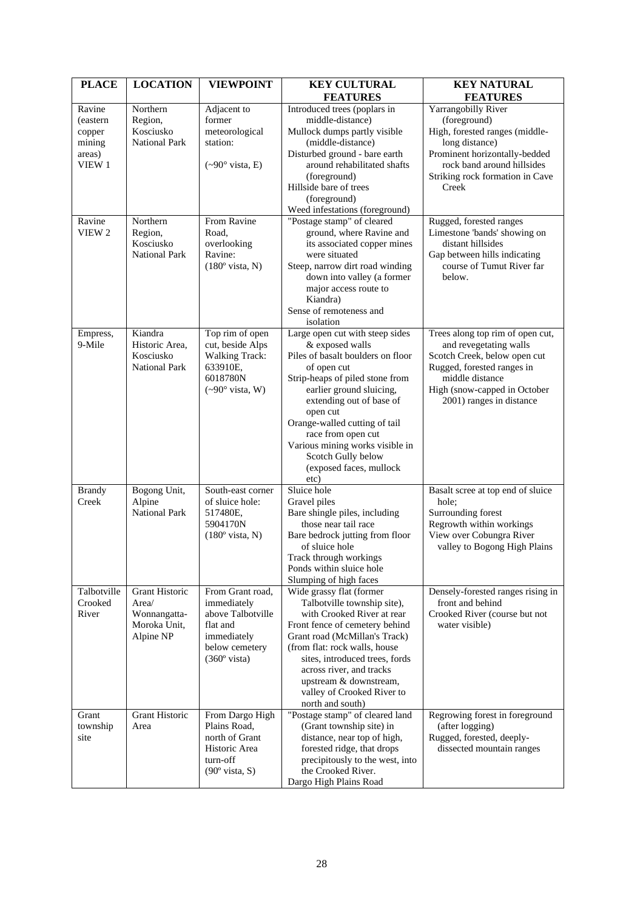| <b>PLACE</b>       | <b>LOCATION</b>                   | <b>VIEWPOINT</b>                  | <b>KEY CULTURAL</b>                                             | <b>KEY NATURAL</b>                                         |
|--------------------|-----------------------------------|-----------------------------------|-----------------------------------------------------------------|------------------------------------------------------------|
|                    |                                   |                                   | <b>FEATURES</b>                                                 | <b>FEATURES</b>                                            |
| Ravine             | Northern<br>Region,               | Adjacent to<br>former             | Introduced trees (poplars in<br>middle-distance)                | Yarrangobilly River<br>(foreground)                        |
| (eastern<br>copper | Kosciusko                         | meteorological                    | Mullock dumps partly visible                                    | High, forested ranges (middle-                             |
| mining             | <b>National Park</b>              | station:                          | (middle-distance)                                               | long distance)                                             |
| areas)             |                                   |                                   | Disturbed ground - bare earth                                   | Prominent horizontally-bedded                              |
| VIEW 1             |                                   | $({\sim}90^{\circ}$ vista, E)     | around rehabilitated shafts                                     | rock band around hillsides                                 |
|                    |                                   |                                   | (foreground)                                                    | Striking rock formation in Cave                            |
|                    |                                   |                                   | Hillside bare of trees                                          | Creek                                                      |
|                    |                                   |                                   | (foreground)                                                    |                                                            |
|                    |                                   |                                   | Weed infestations (foreground)                                  |                                                            |
| Ravine             | Northern                          | From Ravine                       | "Postage stamp" of cleared                                      | Rugged, forested ranges                                    |
| VIEW 2             | Region,                           | Road,                             | ground, where Ravine and                                        | Limestone 'bands' showing on                               |
|                    | Kosciusko<br><b>National Park</b> | overlooking<br>Ravine:            | its associated copper mines<br>were situated                    | distant hillsides                                          |
|                    |                                   | $(180°$ vista, N)                 | Steep, narrow dirt road winding                                 | Gap between hills indicating<br>course of Tumut River far  |
|                    |                                   |                                   | down into valley (a former                                      | below.                                                     |
|                    |                                   |                                   | major access route to                                           |                                                            |
|                    |                                   |                                   | Kiandra)                                                        |                                                            |
|                    |                                   |                                   | Sense of remoteness and                                         |                                                            |
|                    |                                   |                                   | isolation                                                       |                                                            |
| Empress,           | Kiandra                           | Top rim of open                   | Large open cut with steep sides                                 | Trees along top rim of open cut,                           |
| 9-Mile             | Historic Area,                    | cut, beside Alps                  | & exposed walls                                                 | and revegetating walls                                     |
|                    | Kosciusko<br><b>National Park</b> | <b>Walking Track:</b><br>633910E, | Piles of basalt boulders on floor<br>of open cut                | Scotch Creek, below open cut<br>Rugged, forested ranges in |
|                    |                                   | 6018780N                          | Strip-heaps of piled stone from                                 | middle distance                                            |
|                    |                                   | $({\sim}90^{\circ}$ vista, W)     | earlier ground sluicing,                                        | High (snow-capped in October                               |
|                    |                                   |                                   | extending out of base of                                        | 2001) ranges in distance                                   |
|                    |                                   |                                   | open cut                                                        |                                                            |
|                    |                                   |                                   | Orange-walled cutting of tail                                   |                                                            |
|                    |                                   |                                   | race from open cut                                              |                                                            |
|                    |                                   |                                   | Various mining works visible in                                 |                                                            |
|                    |                                   |                                   | Scotch Gully below<br>(exposed faces, mullock                   |                                                            |
|                    |                                   |                                   | etc)                                                            |                                                            |
| <b>Brandy</b>      | Bogong Unit,                      | South-east corner                 | Sluice hole                                                     | Basalt scree at top end of sluice                          |
| Creek              | Alpine                            | of sluice hole:                   | Gravel piles                                                    | hole;                                                      |
|                    | <b>National Park</b>              | 517480E,                          | Bare shingle piles, including                                   | Surrounding forest                                         |
|                    |                                   | 5904170N                          | those near tail race                                            | Regrowth within workings                                   |
|                    |                                   | $(180^{\circ}$ vista, N)          | Bare bedrock jutting from floor<br>of sluice hole               | View over Cobungra River<br>valley to Bogong High Plains   |
|                    |                                   |                                   | Track through workings                                          |                                                            |
|                    |                                   |                                   | Ponds within sluice hole                                        |                                                            |
|                    |                                   |                                   | Slumping of high faces                                          |                                                            |
| Talbotville        | <b>Grant Historic</b>             | From Grant road,                  | Wide grassy flat (former                                        | Densely-forested ranges rising in                          |
| Crooked            | Area/                             | immediately                       | Talbotville township site),                                     | front and behind                                           |
| River              | Wonnangatta-                      | above Talbotville<br>flat and     | with Crooked River at rear                                      | Crooked River (course but not                              |
|                    | Moroka Unit,<br>Alpine NP         | immediately                       | Front fence of cemetery behind<br>Grant road (McMillan's Track) | water visible)                                             |
|                    |                                   | below cemetery                    | (from flat: rock walls, house                                   |                                                            |
|                    |                                   | $(360° \text{ vista})$            | sites, introduced trees, fords                                  |                                                            |
|                    |                                   |                                   | across river, and tracks                                        |                                                            |
|                    |                                   |                                   | upstream & downstream,                                          |                                                            |
|                    |                                   |                                   | valley of Crooked River to                                      |                                                            |
|                    |                                   |                                   | north and south)                                                |                                                            |
| Grant              | Grant Historic<br>Area            | From Dargo High<br>Plains Road,   | "Postage stamp" of cleared land                                 | Regrowing forest in foreground                             |
| township<br>site   |                                   | north of Grant                    | (Grant township site) in<br>distance, near top of high,         | (after logging)<br>Rugged, forested, deeply-               |
|                    |                                   | Historic Area                     | forested ridge, that drops                                      | dissected mountain ranges                                  |
|                    |                                   | turn-off                          | precipitously to the west, into                                 |                                                            |
|                    |                                   | $(90^{\circ}$ vista, S)           | the Crooked River.                                              |                                                            |
|                    |                                   |                                   | Dargo High Plains Road                                          |                                                            |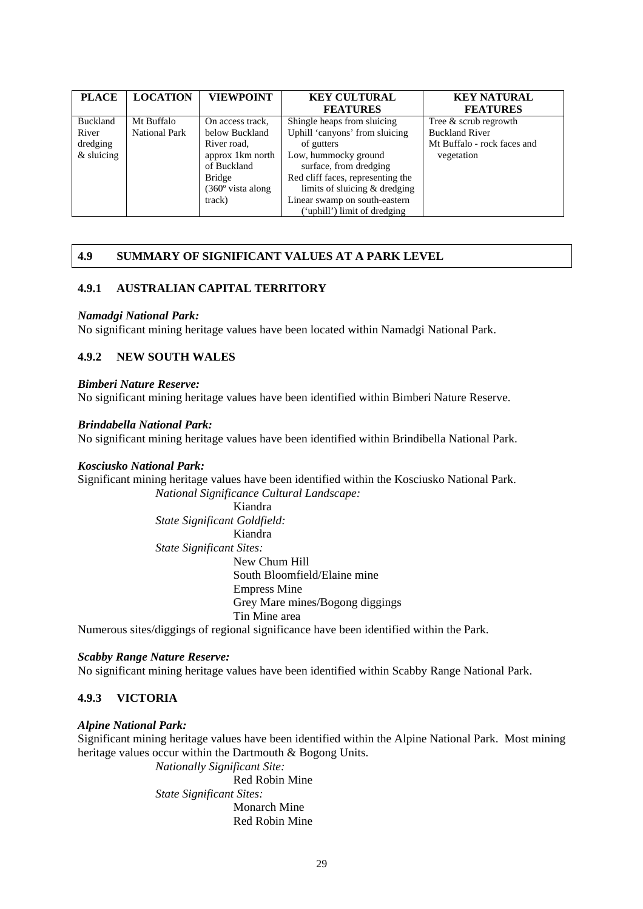| <b>PLACE</b>    | <b>LOCATION</b>      | <b>VIEWPOINT</b>           | <b>KEY CULTURAL</b>               | <b>KEY NATURAL</b>          |
|-----------------|----------------------|----------------------------|-----------------------------------|-----------------------------|
|                 |                      |                            | <b>FEATURES</b>                   | <b>FEATURES</b>             |
| <b>Buckland</b> | Mt Buffalo           | On access track,           | Shingle heaps from sluicing       | Tree & scrub regrowth       |
| River           | <b>National Park</b> | below Buckland             | Uphill 'canyons' from sluicing    | <b>Buckland River</b>       |
| dredging        |                      | River road,                | of gutters                        | Mt Buffalo - rock faces and |
| $&$ sluicing    |                      | approx 1 km north          | Low, hummocky ground              | vegetation                  |
|                 |                      | of Buckland                | surface, from dredging            |                             |
|                 |                      | <b>Bridge</b>              | Red cliff faces, representing the |                             |
|                 |                      | $(360^{\circ}$ vista along | limits of sluicing $&$ dredging   |                             |
|                 |                      | track)                     | Linear swamp on south-eastern     |                             |
|                 |                      |                            | ('uphill') limit of dredging      |                             |

# **4.9 SUMMARY OF SIGNIFICANT VALUES AT A PARK LEVEL**

### **4.9.1 AUSTRALIAN CAPITAL TERRITORY**

### *Namadgi National Park:*

No significant mining heritage values have been located within Namadgi National Park.

### **4.9.2 NEW SOUTH WALES**

#### *Bimberi Nature Reserve:*

No significant mining heritage values have been identified within Bimberi Nature Reserve.

### *Brindabella National Park:*

No significant mining heritage values have been identified within Brindibella National Park.

#### *Kosciusko National Park:*

Significant mining heritage values have been identified within the Kosciusko National Park. *National Significance Cultural Landscape:* 

Kiandra *State Significant Goldfield:*  Kiandra *State Significant Sites:*  New Chum Hill South Bloomfield/Elaine mine Empress Mine Grey Mare mines/Bogong diggings Tin Mine area

Numerous sites/diggings of regional significance have been identified within the Park.

#### *Scabby Range Nature Reserve:*

No significant mining heritage values have been identified within Scabby Range National Park.

### **4.9.3 VICTORIA**

#### *Alpine National Park:*

Significant mining heritage values have been identified within the Alpine National Park. Most mining heritage values occur within the Dartmouth & Bogong Units.

> *Nationally Significant Site:*  Red Robin Mine *State Significant Sites:*  Monarch Mine Red Robin Mine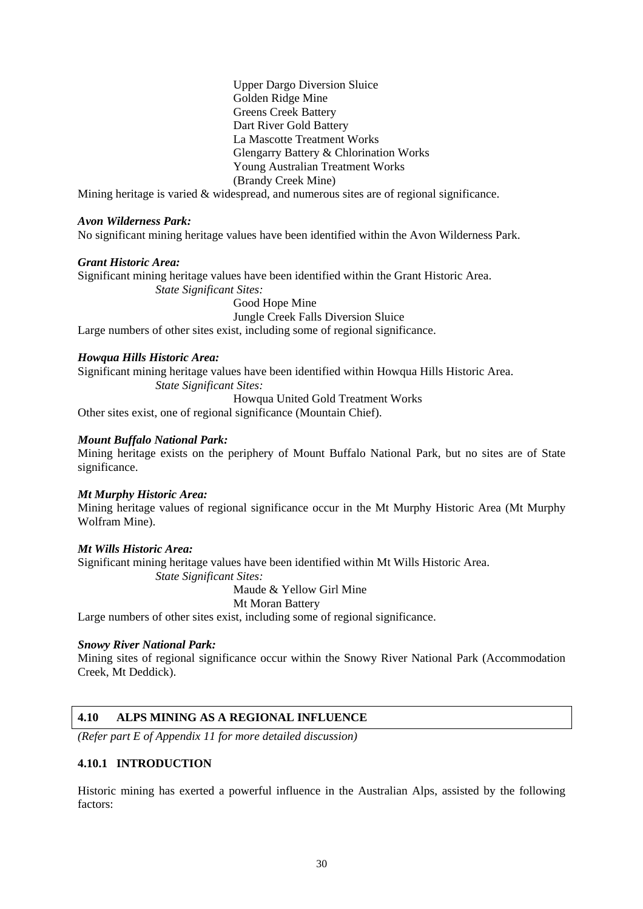Upper Dargo Diversion Sluice Golden Ridge Mine Greens Creek Battery Dart River Gold Battery La Mascotte Treatment Works Glengarry Battery & Chlorination Works Young Australian Treatment Works (Brandy Creek Mine)

Mining heritage is varied & widespread, and numerous sites are of regional significance.

### *Avon Wilderness Park:*

No significant mining heritage values have been identified within the Avon Wilderness Park.

### *Grant Historic Area:*

Significant mining heritage values have been identified within the Grant Historic Area. *State Significant Sites:* 

Good Hope Mine

Jungle Creek Falls Diversion Sluice

Large numbers of other sites exist, including some of regional significance.

### *Howqua Hills Historic Area:*

Significant mining heritage values have been identified within Howqua Hills Historic Area. *State Significant Sites:* 

Howqua United Gold Treatment Works

Other sites exist, one of regional significance (Mountain Chief).

### *Mount Buffalo National Park:*

Mining heritage exists on the periphery of Mount Buffalo National Park, but no sites are of State significance.

#### *Mt Murphy Historic Area:*

Mining heritage values of regional significance occur in the Mt Murphy Historic Area (Mt Murphy Wolfram Mine).

### *Mt Wills Historic Area:*

Significant mining heritage values have been identified within Mt Wills Historic Area.

*State Significant Sites:* 

Maude & Yellow Girl Mine

### Mt Moran Battery

Large numbers of other sites exist, including some of regional significance.

#### *Snowy River National Park:*

Mining sites of regional significance occur within the Snowy River National Park (Accommodation Creek, Mt Deddick).

### **4.10 ALPS MINING AS A REGIONAL INFLUENCE**

*(Refer part E of Appendix 11 for more detailed discussion)* 

### **4.10.1 INTRODUCTION**

Historic mining has exerted a powerful influence in the Australian Alps, assisted by the following factors: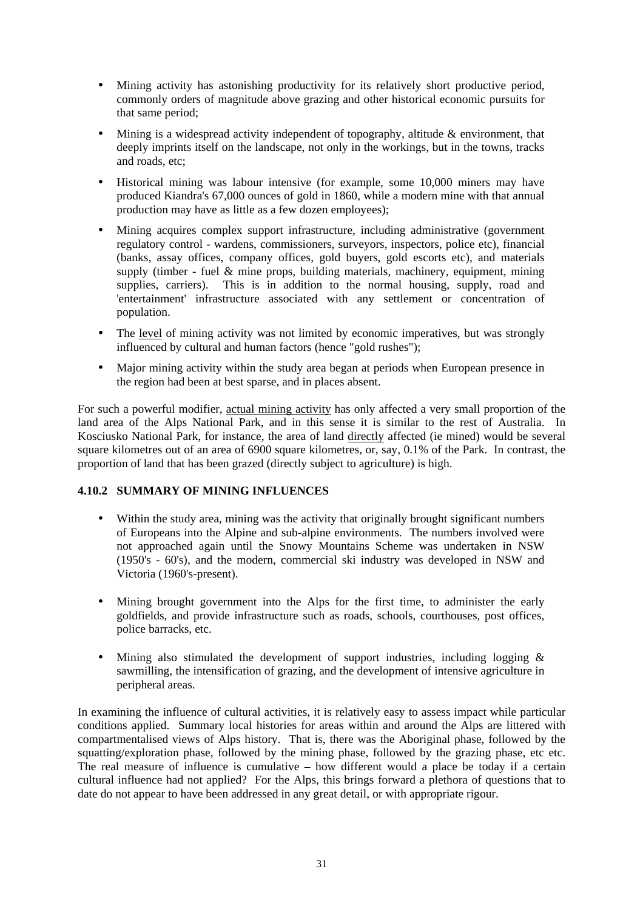- Mining activity has astonishing productivity for its relatively short productive period, commonly orders of magnitude above grazing and other historical economic pursuits for that same period;
- Mining is a widespread activity independent of topography, altitude & environment, that deeply imprints itself on the landscape, not only in the workings, but in the towns, tracks and roads, etc;
- Historical mining was labour intensive (for example, some 10,000 miners may have produced Kiandra's 67,000 ounces of gold in 1860, while a modern mine with that annual production may have as little as a few dozen employees);
- Mining acquires complex support infrastructure, including administrative (government regulatory control - wardens, commissioners, surveyors, inspectors, police etc), financial (banks, assay offices, company offices, gold buyers, gold escorts etc), and materials supply (timber - fuel & mine props, building materials, machinery, equipment, mining supplies, carriers). This is in addition to the normal housing, supply, road and 'entertainment' infrastructure associated with any settlement or concentration of population.
- The <u>level</u> of mining activity was not limited by economic imperatives, but was strongly influenced by cultural and human factors (hence "gold rushes");
- Major mining activity within the study area began at periods when European presence in the region had been at best sparse, and in places absent.

For such a powerful modifier, actual mining activity has only affected a very small proportion of the land area of the Alps National Park, and in this sense it is similar to the rest of Australia. In Kosciusko National Park, for instance, the area of land directly affected (ie mined) would be several square kilometres out of an area of 6900 square kilometres, or, say, 0.1% of the Park. In contrast, the proportion of land that has been grazed (directly subject to agriculture) is high.

# **4.10.2 SUMMARY OF MINING INFLUENCES**

- Within the study area, mining was the activity that originally brought significant numbers of Europeans into the Alpine and sub-alpine environments. The numbers involved were not approached again until the Snowy Mountains Scheme was undertaken in NSW (1950's - 60's), and the modern, commercial ski industry was developed in NSW and Victoria (1960's-present).
- Mining brought government into the Alps for the first time, to administer the early goldfields, and provide infrastructure such as roads, schools, courthouses, post offices, police barracks, etc.
- Mining also stimulated the development of support industries, including logging  $\&$ sawmilling, the intensification of grazing, and the development of intensive agriculture in peripheral areas.

In examining the influence of cultural activities, it is relatively easy to assess impact while particular conditions applied. Summary local histories for areas within and around the Alps are littered with compartmentalised views of Alps history. That is, there was the Aboriginal phase, followed by the squatting/exploration phase, followed by the mining phase, followed by the grazing phase, etc etc. The real measure of influence is cumulative – how different would a place be today if a certain cultural influence had not applied? For the Alps, this brings forward a plethora of questions that to date do not appear to have been addressed in any great detail, or with appropriate rigour.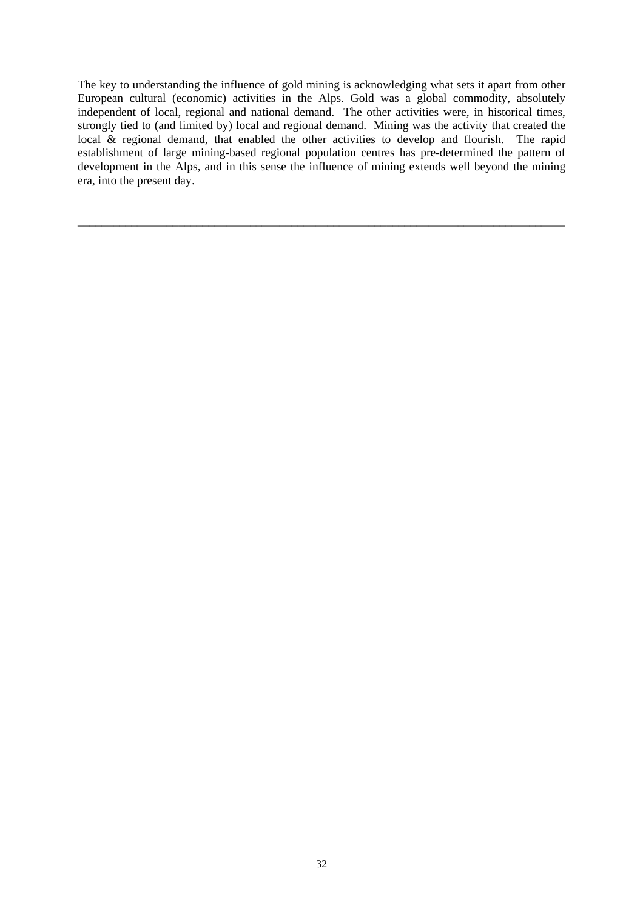The key to understanding the influence of gold mining is acknowledging what sets it apart from other European cultural (economic) activities in the Alps. Gold was a global commodity, absolutely independent of local, regional and national demand. The other activities were, in historical times, strongly tied to (and limited by) local and regional demand. Mining was the activity that created the local & regional demand, that enabled the other activities to develop and flourish. The rapid establishment of large mining-based regional population centres has pre-determined the pattern of development in the Alps, and in this sense the influence of mining extends well beyond the mining era, into the present day.

\_\_\_\_\_\_\_\_\_\_\_\_\_\_\_\_\_\_\_\_\_\_\_\_\_\_\_\_\_\_\_\_\_\_\_\_\_\_\_\_\_\_\_\_\_\_\_\_\_\_\_\_\_\_\_\_\_\_\_\_\_\_\_\_\_\_\_\_\_\_\_\_\_\_\_\_\_\_\_\_\_\_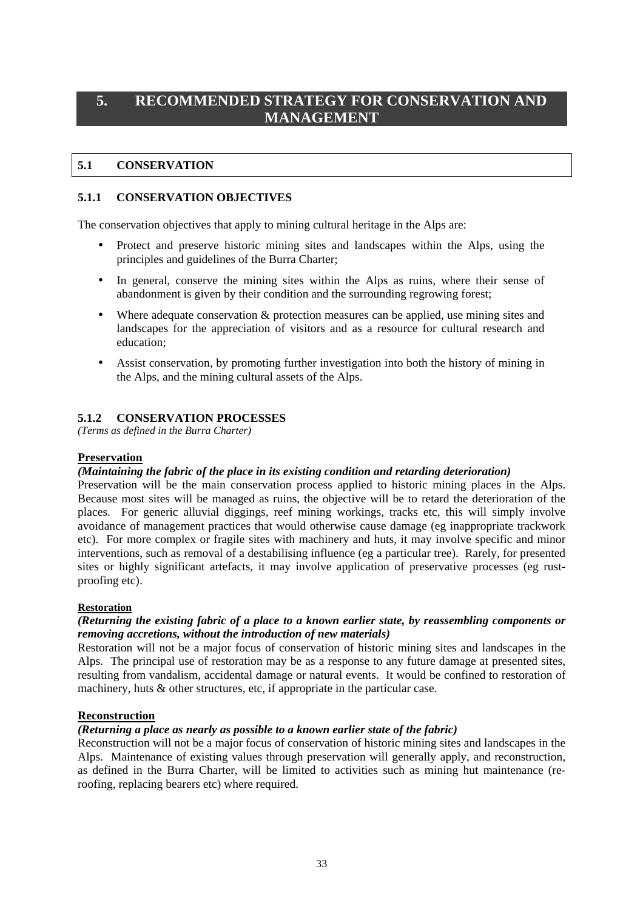# **5. RECOMMENDED STRATEGY FOR CONSERVATION AND MANAGEMENT**

# **5.1 CONSERVATION**

### **5.1.1 CONSERVATION OBJECTIVES**

The conservation objectives that apply to mining cultural heritage in the Alps are:

- Protect and preserve historic mining sites and landscapes within the Alps, using the principles and guidelines of the Burra Charter;
- In general, conserve the mining sites within the Alps as ruins, where their sense of abandonment is given by their condition and the surrounding regrowing forest;
- Where adequate conservation  $\&$  protection measures can be applied, use mining sites and landscapes for the appreciation of visitors and as a resource for cultural research and education;
- Assist conservation, by promoting further investigation into both the history of mining in the Alps, and the mining cultural assets of the Alps.

### **5.1.2 CONSERVATION PROCESSES**

*(Terms as defined in the Burra Charter)* 

### **Preservation**

### *(Maintaining the fabric of the place in its existing condition and retarding deterioration)*

Preservation will be the main conservation process applied to historic mining places in the Alps. Because most sites will be managed as ruins, the objective will be to retard the deterioration of the places. For generic alluvial diggings, reef mining workings, tracks etc, this will simply involve avoidance of management practices that would otherwise cause damage (eg inappropriate trackwork etc). For more complex or fragile sites with machinery and huts, it may involve specific and minor interventions, such as removal of a destabilising influence (eg a particular tree). Rarely, for presented sites or highly significant artefacts, it may involve application of preservative processes (eg rustproofing etc).

### **Restoration**

### *(Returning the existing fabric of a place to a known earlier state, by reassembling components or removing accretions, without the introduction of new materials)*

Restoration will not be a major focus of conservation of historic mining sites and landscapes in the Alps. The principal use of restoration may be as a response to any future damage at presented sites, resulting from vandalism, accidental damage or natural events. It would be confined to restoration of machinery, huts & other structures, etc, if appropriate in the particular case.

### **Reconstruction**

### *(Returning a place as nearly as possible to a known earlier state of the fabric)*

Reconstruction will not be a major focus of conservation of historic mining sites and landscapes in the Alps. Maintenance of existing values through preservation will generally apply, and reconstruction, as defined in the Burra Charter, will be limited to activities such as mining hut maintenance (reroofing, replacing bearers etc) where required.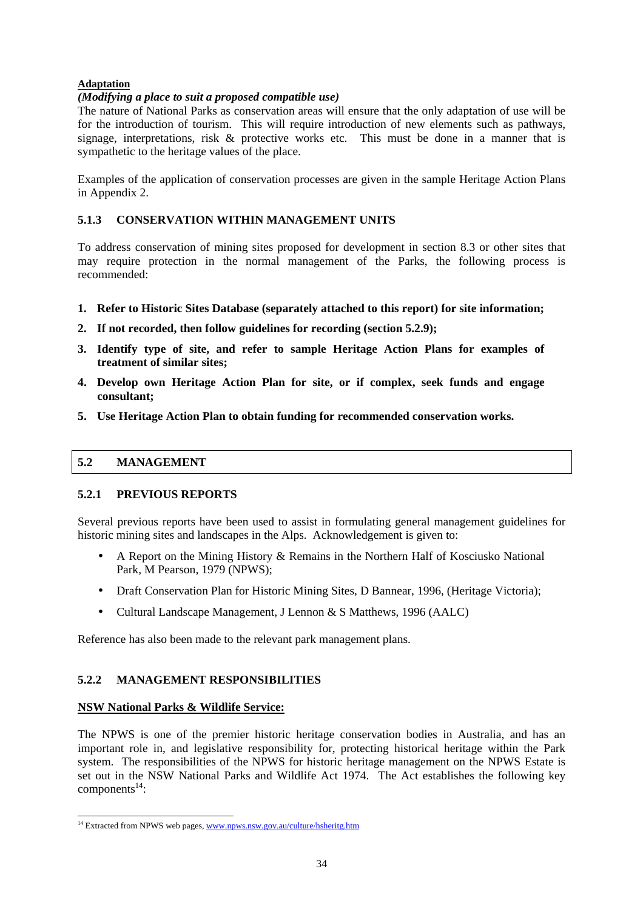# **Adaptation**

# *(Modifying a place to suit a proposed compatible use)*

The nature of National Parks as conservation areas will ensure that the only adaptation of use will be for the introduction of tourism. This will require introduction of new elements such as pathways, signage, interpretations, risk & protective works etc. This must be done in a manner that is sympathetic to the heritage values of the place.

Examples of the application of conservation processes are given in the sample Heritage Action Plans in Appendix 2.

# **5.1.3 CONSERVATION WITHIN MANAGEMENT UNITS**

To address conservation of mining sites proposed for development in section 8.3 or other sites that may require protection in the normal management of the Parks, the following process is recommended:

- **1. Refer to Historic Sites Database (separately attached to this report) for site information;**
- **2. If not recorded, then follow guidelines for recording (section 5.2.9);**
- **3. Identify type of site, and refer to sample Heritage Action Plans for examples of treatment of similar sites;**
- **4. Develop own Heritage Action Plan for site, or if complex, seek funds and engage consultant;**
- **5. Use Heritage Action Plan to obtain funding for recommended conservation works.**

### **5.2 MANAGEMENT**

# **5.2.1 PREVIOUS REPORTS**

Several previous reports have been used to assist in formulating general management guidelines for historic mining sites and landscapes in the Alps. Acknowledgement is given to:

- A Report on the Mining History & Remains in the Northern Half of Kosciusko National Park, M Pearson, 1979 (NPWS);
- Draft Conservation Plan for Historic Mining Sites, D Bannear, 1996, (Heritage Victoria);
- Cultural Landscape Management, J Lennon & S Matthews, 1996 (AALC)

Reference has also been made to the relevant park management plans.

### **5.2.2 MANAGEMENT RESPONSIBILITIES**

### **NSW National Parks & Wildlife Service:**

l

The NPWS is one of the premier historic heritage conservation bodies in Australia, and has an important role in, and legislative responsibility for, protecting historical heritage within the Park system. The responsibilities of the NPWS for historic heritage management on the NPWS Estate is set out in the NSW National Parks and Wildlife Act 1974. The Act establishes the following key  $components<sup>14</sup>$ :

<sup>&</sup>lt;sup>14</sup> Extracted from NPWS web pages, www.npws.nsw.gov.au/culture/hsheritg.htm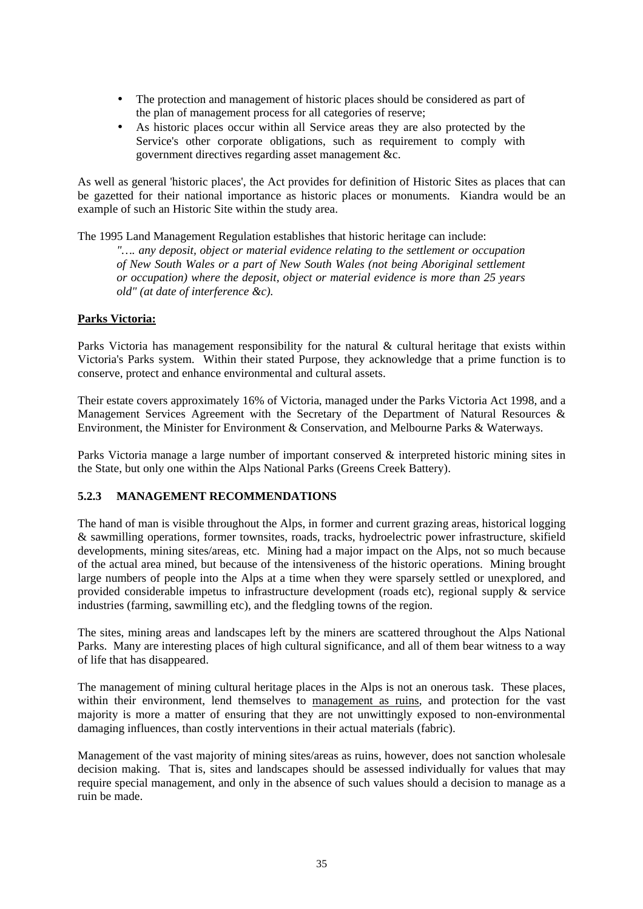- The protection and management of historic places should be considered as part of the plan of management process for all categories of reserve;
- As historic places occur within all Service areas they are also protected by the Service's other corporate obligations, such as requirement to comply with government directives regarding asset management &c.

As well as general 'historic places', the Act provides for definition of Historic Sites as places that can be gazetted for their national importance as historic places or monuments. Kiandra would be an example of such an Historic Site within the study area.

The 1995 Land Management Regulation establishes that historic heritage can include:

*"…. any deposit, object or material evidence relating to the settlement or occupation of New South Wales or a part of New South Wales (not being Aboriginal settlement or occupation) where the deposit, object or material evidence is more than 25 years old" (at date of interference &c).*

# **Parks Victoria:**

Parks Victoria has management responsibility for the natural & cultural heritage that exists within Victoria's Parks system. Within their stated Purpose, they acknowledge that a prime function is to conserve, protect and enhance environmental and cultural assets.

Their estate covers approximately 16% of Victoria, managed under the Parks Victoria Act 1998, and a Management Services Agreement with the Secretary of the Department of Natural Resources & Environment, the Minister for Environment & Conservation, and Melbourne Parks & Waterways.

Parks Victoria manage a large number of important conserved & interpreted historic mining sites in the State, but only one within the Alps National Parks (Greens Creek Battery).

# **5.2.3 MANAGEMENT RECOMMENDATIONS**

The hand of man is visible throughout the Alps, in former and current grazing areas, historical logging & sawmilling operations, former townsites, roads, tracks, hydroelectric power infrastructure, skifield developments, mining sites/areas, etc. Mining had a major impact on the Alps, not so much because of the actual area mined, but because of the intensiveness of the historic operations. Mining brought large numbers of people into the Alps at a time when they were sparsely settled or unexplored, and provided considerable impetus to infrastructure development (roads etc), regional supply & service industries (farming, sawmilling etc), and the fledgling towns of the region.

The sites, mining areas and landscapes left by the miners are scattered throughout the Alps National Parks. Many are interesting places of high cultural significance, and all of them bear witness to a way of life that has disappeared.

The management of mining cultural heritage places in the Alps is not an onerous task. These places, within their environment, lend themselves to management as ruins, and protection for the vast majority is more a matter of ensuring that they are not unwittingly exposed to non-environmental damaging influences, than costly interventions in their actual materials (fabric).

Management of the vast majority of mining sites/areas as ruins, however, does not sanction wholesale decision making. That is, sites and landscapes should be assessed individually for values that may require special management, and only in the absence of such values should a decision to manage as a ruin be made.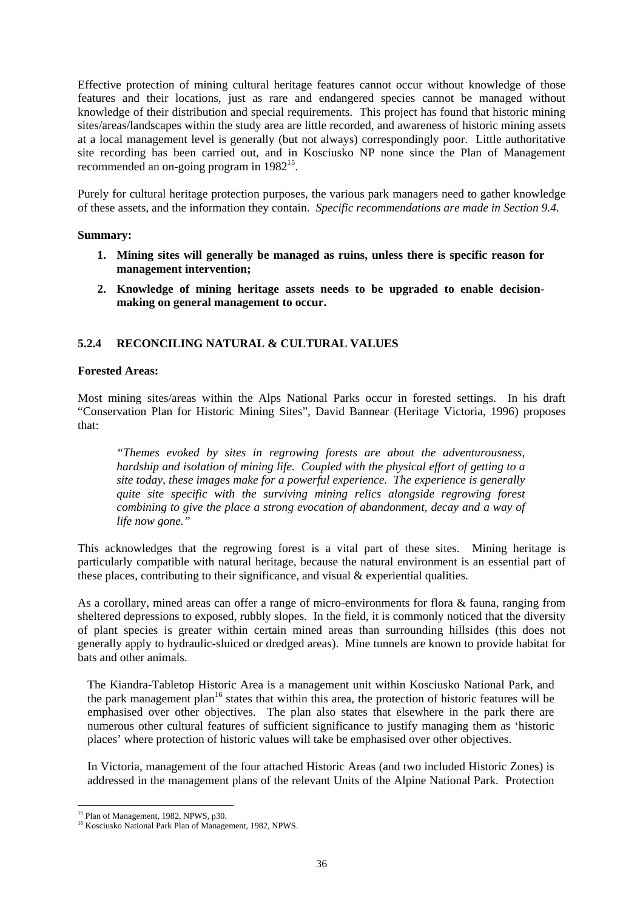Effective protection of mining cultural heritage features cannot occur without knowledge of those features and their locations, just as rare and endangered species cannot be managed without knowledge of their distribution and special requirements. This project has found that historic mining sites/areas/landscapes within the study area are little recorded, and awareness of historic mining assets at a local management level is generally (but not always) correspondingly poor. Little authoritative site recording has been carried out, and in Kosciusko NP none since the Plan of Management recommended an on-going program in  $1982^{15}$ .

Purely for cultural heritage protection purposes, the various park managers need to gather knowledge of these assets, and the information they contain. *Specific recommendations are made in Section 9.4.* 

### **Summary:**

- **1. Mining sites will generally be managed as ruins, unless there is specific reason for management intervention;**
- **2. Knowledge of mining heritage assets needs to be upgraded to enable decisionmaking on general management to occur.**

# **5.2.4 RECONCILING NATURAL & CULTURAL VALUES**

### **Forested Areas:**

Most mining sites/areas within the Alps National Parks occur in forested settings. In his draft "Conservation Plan for Historic Mining Sites", David Bannear (Heritage Victoria, 1996) proposes that:

*"Themes evoked by sites in regrowing forests are about the adventurousness, hardship and isolation of mining life. Coupled with the physical effort of getting to a site today, these images make for a powerful experience. The experience is generally quite site specific with the surviving mining relics alongside regrowing forest combining to give the place a strong evocation of abandonment, decay and a way of life now gone."* 

This acknowledges that the regrowing forest is a vital part of these sites. Mining heritage is particularly compatible with natural heritage, because the natural environment is an essential part of these places, contributing to their significance, and visual & experiential qualities.

As a corollary, mined areas can offer a range of micro-environments for flora & fauna, ranging from sheltered depressions to exposed, rubbly slopes. In the field, it is commonly noticed that the diversity of plant species is greater within certain mined areas than surrounding hillsides (this does not generally apply to hydraulic-sluiced or dredged areas). Mine tunnels are known to provide habitat for bats and other animals.

The Kiandra-Tabletop Historic Area is a management unit within Kosciusko National Park, and the park management plan<sup>16</sup> states that within this area, the protection of historic features will be emphasised over other objectives. The plan also states that elsewhere in the park there are numerous other cultural features of sufficient significance to justify managing them as 'historic places' where protection of historic values will take be emphasised over other objectives.

In Victoria, management of the four attached Historic Areas (and two included Historic Zones) is addressed in the management plans of the relevant Units of the Alpine National Park. Protection

l <sup>15</sup> Plan of Management, 1982, NPWS, p30.

<sup>&</sup>lt;sup>16</sup> Kosciusko National Park Plan of Management, 1982, NPWS.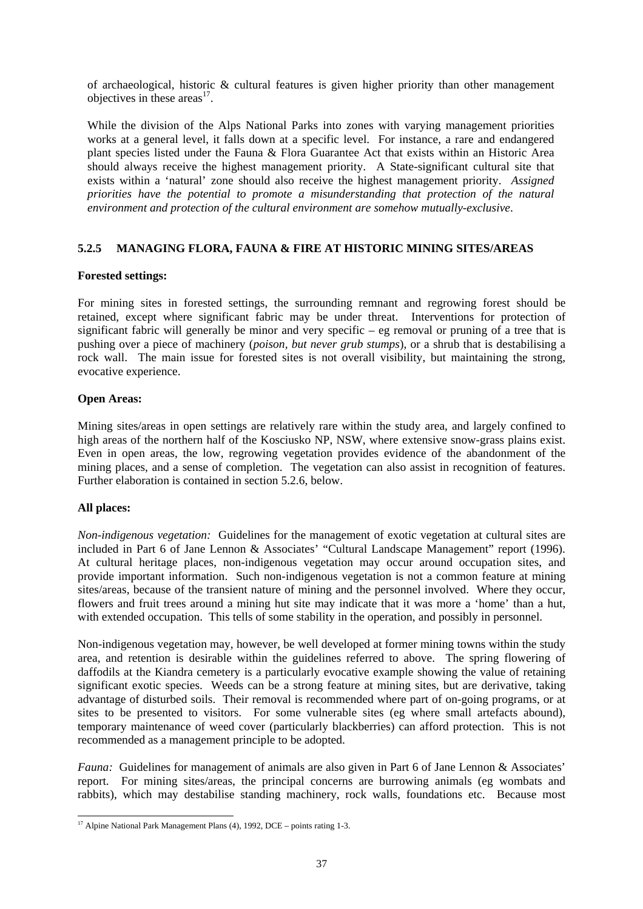of archaeological, historic & cultural features is given higher priority than other management objectives in these areas $^{17}$ .

While the division of the Alps National Parks into zones with varying management priorities works at a general level, it falls down at a specific level. For instance, a rare and endangered plant species listed under the Fauna & Flora Guarantee Act that exists within an Historic Area should always receive the highest management priority. A State-significant cultural site that exists within a 'natural' zone should also receive the highest management priority. *Assigned priorities have the potential to promote a misunderstanding that protection of the natural environment and protection of the cultural environment are somehow mutually-exclusive*.

# **5.2.5 MANAGING FLORA, FAUNA & FIRE AT HISTORIC MINING SITES/AREAS**

### **Forested settings:**

For mining sites in forested settings, the surrounding remnant and regrowing forest should be retained, except where significant fabric may be under threat. Interventions for protection of significant fabric will generally be minor and very specific – eg removal or pruning of a tree that is pushing over a piece of machinery (*poison, but never grub stumps*), or a shrub that is destabilising a rock wall. The main issue for forested sites is not overall visibility, but maintaining the strong, evocative experience.

### **Open Areas:**

Mining sites/areas in open settings are relatively rare within the study area, and largely confined to high areas of the northern half of the Kosciusko NP, NSW, where extensive snow-grass plains exist. Even in open areas, the low, regrowing vegetation provides evidence of the abandonment of the mining places, and a sense of completion. The vegetation can also assist in recognition of features. Further elaboration is contained in section 5.2.6, below.

### **All places:**

*Non-indigenous vegetation:* Guidelines for the management of exotic vegetation at cultural sites are included in Part 6 of Jane Lennon & Associates' "Cultural Landscape Management" report (1996). At cultural heritage places, non-indigenous vegetation may occur around occupation sites, and provide important information. Such non-indigenous vegetation is not a common feature at mining sites/areas, because of the transient nature of mining and the personnel involved. Where they occur, flowers and fruit trees around a mining hut site may indicate that it was more a 'home' than a hut, with extended occupation. This tells of some stability in the operation, and possibly in personnel.

Non-indigenous vegetation may, however, be well developed at former mining towns within the study area, and retention is desirable within the guidelines referred to above. The spring flowering of daffodils at the Kiandra cemetery is a particularly evocative example showing the value of retaining significant exotic species. Weeds can be a strong feature at mining sites, but are derivative, taking advantage of disturbed soils. Their removal is recommended where part of on-going programs, or at sites to be presented to visitors. For some vulnerable sites (eg where small artefacts abound), temporary maintenance of weed cover (particularly blackberries) can afford protection. This is not recommended as a management principle to be adopted.

*Fauna:* Guidelines for management of animals are also given in Part 6 of Jane Lennon & Associates' report. For mining sites/areas, the principal concerns are burrowing animals (eg wombats and rabbits), which may destabilise standing machinery, rock walls, foundations etc. Because most

l <sup>17</sup> Alpine National Park Management Plans  $(4)$ , 1992, DCE – points rating 1-3.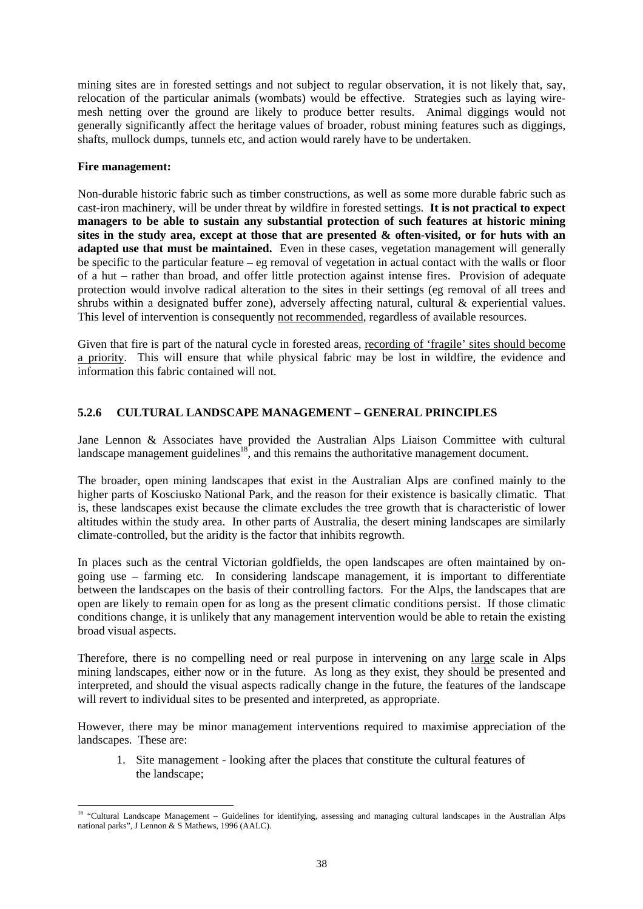mining sites are in forested settings and not subject to regular observation, it is not likely that, say, relocation of the particular animals (wombats) would be effective. Strategies such as laying wiremesh netting over the ground are likely to produce better results. Animal diggings would not generally significantly affect the heritage values of broader, robust mining features such as diggings, shafts, mullock dumps, tunnels etc, and action would rarely have to be undertaken.

### **Fire management:**

l

Non-durable historic fabric such as timber constructions, as well as some more durable fabric such as cast-iron machinery, will be under threat by wildfire in forested settings. **It is not practical to expect managers to be able to sustain any substantial protection of such features at historic mining sites in the study area, except at those that are presented & often-visited, or for huts with an adapted use that must be maintained.** Even in these cases, vegetation management will generally be specific to the particular feature – eg removal of vegetation in actual contact with the walls or floor of a hut – rather than broad, and offer little protection against intense fires. Provision of adequate protection would involve radical alteration to the sites in their settings (eg removal of all trees and shrubs within a designated buffer zone), adversely affecting natural, cultural & experiential values. This level of intervention is consequently not recommended, regardless of available resources.

Given that fire is part of the natural cycle in forested areas, recording of 'fragile' sites should become a priority. This will ensure that while physical fabric may be lost in wildfire, the evidence and information this fabric contained will not.

# **5.2.6 CULTURAL LANDSCAPE MANAGEMENT – GENERAL PRINCIPLES**

Jane Lennon & Associates have provided the Australian Alps Liaison Committee with cultural landscape management guidelines<sup>18</sup>, and this remains the authoritative management document.

The broader, open mining landscapes that exist in the Australian Alps are confined mainly to the higher parts of Kosciusko National Park, and the reason for their existence is basically climatic. That is, these landscapes exist because the climate excludes the tree growth that is characteristic of lower altitudes within the study area. In other parts of Australia, the desert mining landscapes are similarly climate-controlled, but the aridity is the factor that inhibits regrowth.

In places such as the central Victorian goldfields, the open landscapes are often maintained by ongoing use – farming etc. In considering landscape management, it is important to differentiate between the landscapes on the basis of their controlling factors. For the Alps, the landscapes that are open are likely to remain open for as long as the present climatic conditions persist. If those climatic conditions change, it is unlikely that any management intervention would be able to retain the existing broad visual aspects.

Therefore, there is no compelling need or real purpose in intervening on any large scale in Alps mining landscapes, either now or in the future. As long as they exist, they should be presented and interpreted, and should the visual aspects radically change in the future, the features of the landscape will revert to individual sites to be presented and interpreted, as appropriate.

However, there may be minor management interventions required to maximise appreciation of the landscapes. These are:

1. Site management - looking after the places that constitute the cultural features of the landscape;

<sup>&</sup>lt;sup>18</sup> "Cultural Landscape Management – Guidelines for identifying, assessing and managing cultural landscapes in the Australian Alps national parks", J Lennon & S Mathews, 1996 (AALC).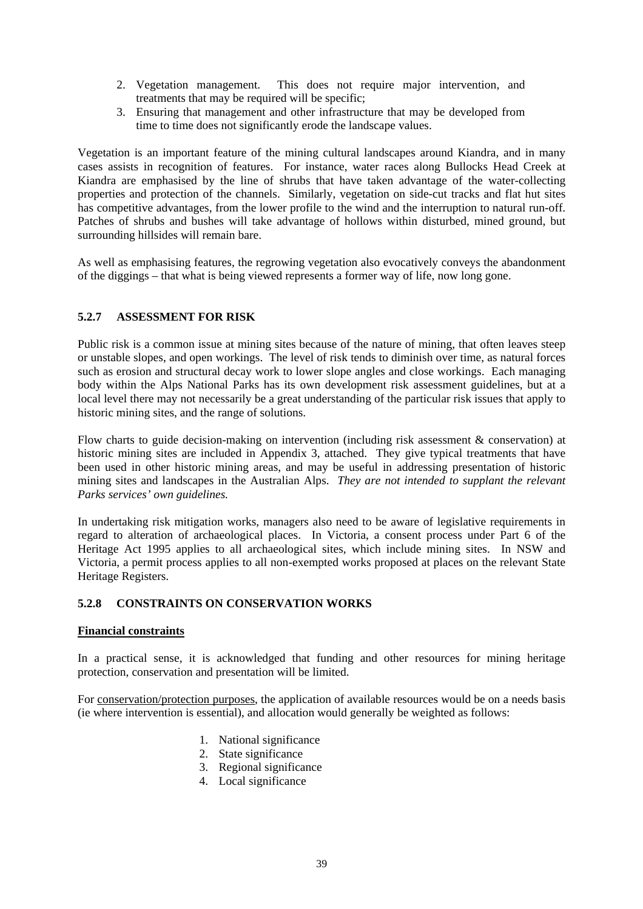- 2. Vegetation management. This does not require major intervention, and treatments that may be required will be specific;
- 3. Ensuring that management and other infrastructure that may be developed from time to time does not significantly erode the landscape values.

Vegetation is an important feature of the mining cultural landscapes around Kiandra, and in many cases assists in recognition of features. For instance, water races along Bullocks Head Creek at Kiandra are emphasised by the line of shrubs that have taken advantage of the water-collecting properties and protection of the channels. Similarly, vegetation on side-cut tracks and flat hut sites has competitive advantages, from the lower profile to the wind and the interruption to natural run-off. Patches of shrubs and bushes will take advantage of hollows within disturbed, mined ground, but surrounding hillsides will remain bare.

As well as emphasising features, the regrowing vegetation also evocatively conveys the abandonment of the diggings – that what is being viewed represents a former way of life, now long gone.

# **5.2.7 ASSESSMENT FOR RISK**

Public risk is a common issue at mining sites because of the nature of mining, that often leaves steep or unstable slopes, and open workings. The level of risk tends to diminish over time, as natural forces such as erosion and structural decay work to lower slope angles and close workings. Each managing body within the Alps National Parks has its own development risk assessment guidelines, but at a local level there may not necessarily be a great understanding of the particular risk issues that apply to historic mining sites, and the range of solutions.

Flow charts to guide decision-making on intervention (including risk assessment & conservation) at historic mining sites are included in Appendix 3, attached. They give typical treatments that have been used in other historic mining areas, and may be useful in addressing presentation of historic mining sites and landscapes in the Australian Alps. *They are not intended to supplant the relevant Parks services' own guidelines.*

In undertaking risk mitigation works, managers also need to be aware of legislative requirements in regard to alteration of archaeological places. In Victoria, a consent process under Part 6 of the Heritage Act 1995 applies to all archaeological sites, which include mining sites. In NSW and Victoria, a permit process applies to all non-exempted works proposed at places on the relevant State Heritage Registers.

### **5.2.8 CONSTRAINTS ON CONSERVATION WORKS**

### **Financial constraints**

In a practical sense, it is acknowledged that funding and other resources for mining heritage protection, conservation and presentation will be limited.

For conservation/protection purposes, the application of available resources would be on a needs basis (ie where intervention is essential), and allocation would generally be weighted as follows:

- 1. National significance
- 2. State significance
- 3. Regional significance
- 4. Local significance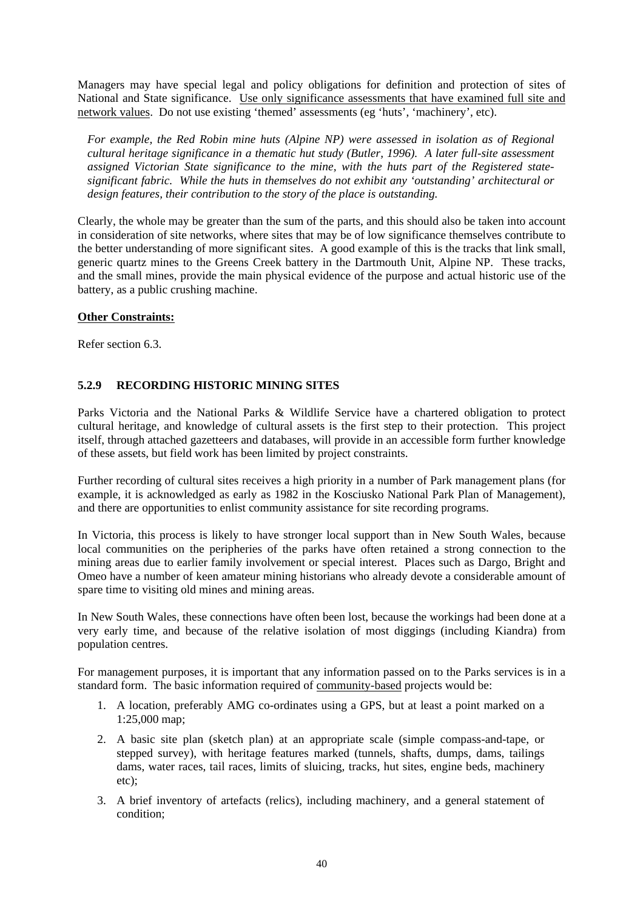Managers may have special legal and policy obligations for definition and protection of sites of National and State significance. Use only significance assessments that have examined full site and network values. Do not use existing 'themed' assessments (eg 'huts', 'machinery', etc).

For example, the Red Robin mine huts (Alpine NP) were assessed in isolation as of Regional *cultural heritage significance in a thematic hut study (Butler, 1996). A later full-site assessment assigned Victorian State significance to the mine, with the huts part of the Registered statesignificant fabric. While the huts in themselves do not exhibit any 'outstanding' architectural or design features, their contribution to the story of the place is outstanding.* 

Clearly, the whole may be greater than the sum of the parts, and this should also be taken into account in consideration of site networks, where sites that may be of low significance themselves contribute to the better understanding of more significant sites. A good example of this is the tracks that link small, generic quartz mines to the Greens Creek battery in the Dartmouth Unit, Alpine NP. These tracks, and the small mines, provide the main physical evidence of the purpose and actual historic use of the battery, as a public crushing machine.

# **Other Constraints:**

Refer section 6.3.

# **5.2.9 RECORDING HISTORIC MINING SITES**

Parks Victoria and the National Parks & Wildlife Service have a chartered obligation to protect cultural heritage, and knowledge of cultural assets is the first step to their protection. This project itself, through attached gazetteers and databases, will provide in an accessible form further knowledge of these assets, but field work has been limited by project constraints.

Further recording of cultural sites receives a high priority in a number of Park management plans (for example, it is acknowledged as early as 1982 in the Kosciusko National Park Plan of Management), and there are opportunities to enlist community assistance for site recording programs.

In Victoria, this process is likely to have stronger local support than in New South Wales, because local communities on the peripheries of the parks have often retained a strong connection to the mining areas due to earlier family involvement or special interest. Places such as Dargo, Bright and Omeo have a number of keen amateur mining historians who already devote a considerable amount of spare time to visiting old mines and mining areas.

In New South Wales, these connections have often been lost, because the workings had been done at a very early time, and because of the relative isolation of most diggings (including Kiandra) from population centres.

For management purposes, it is important that any information passed on to the Parks services is in a standard form. The basic information required of community-based projects would be:

- 1. A location, preferably AMG co-ordinates using a GPS, but at least a point marked on a 1:25,000 map;
- 2. A basic site plan (sketch plan) at an appropriate scale (simple compass-and-tape, or stepped survey), with heritage features marked (tunnels, shafts, dumps, dams, tailings dams, water races, tail races, limits of sluicing, tracks, hut sites, engine beds, machinery etc);
- 3. A brief inventory of artefacts (relics), including machinery, and a general statement of condition;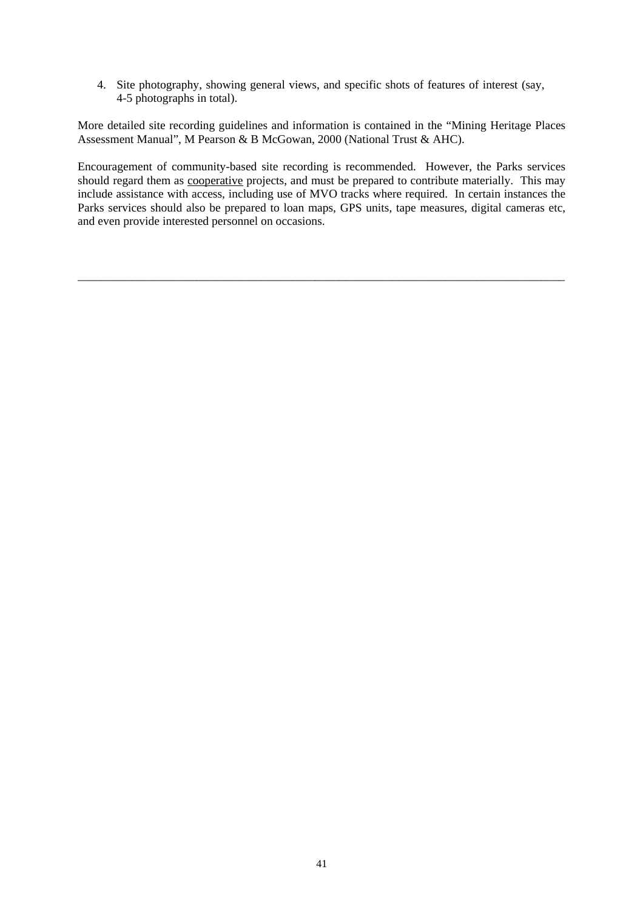4. Site photography, showing general views, and specific shots of features of interest (say, 4-5 photographs in total).

More detailed site recording guidelines and information is contained in the "Mining Heritage Places Assessment Manual", M Pearson & B McGowan, 2000 (National Trust & AHC).

Encouragement of community-based site recording is recommended. However, the Parks services should regard them as cooperative projects, and must be prepared to contribute materially. This may include assistance with access, including use of MVO tracks where required. In certain instances the Parks services should also be prepared to loan maps, GPS units, tape measures, digital cameras etc, and even provide interested personnel on occasions.

\_\_\_\_\_\_\_\_\_\_\_\_\_\_\_\_\_\_\_\_\_\_\_\_\_\_\_\_\_\_\_\_\_\_\_\_\_\_\_\_\_\_\_\_\_\_\_\_\_\_\_\_\_\_\_\_\_\_\_\_\_\_\_\_\_\_\_\_\_\_\_\_\_\_\_\_\_\_\_\_\_\_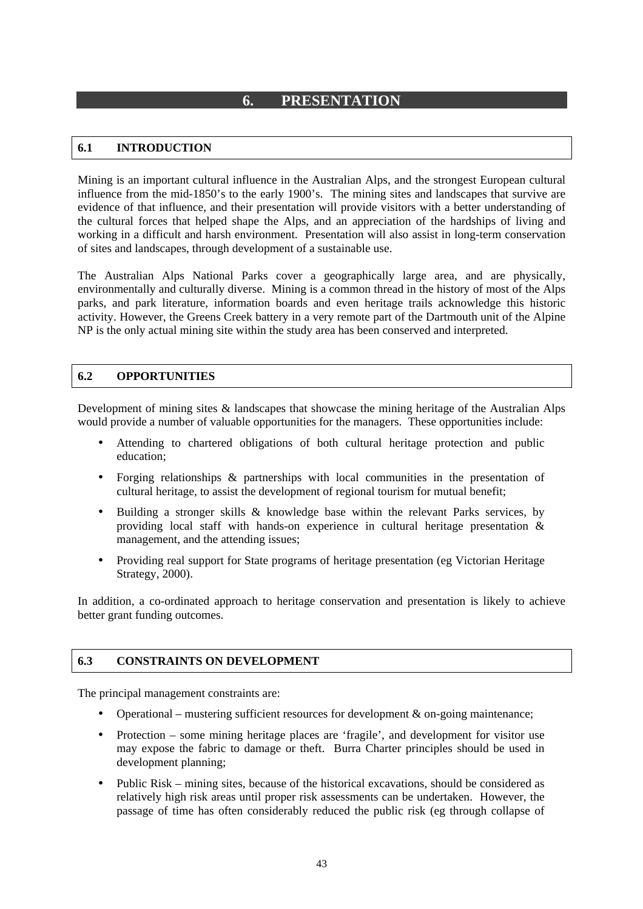# **6. PRESENTATION**

# **6.1 INTRODUCTION**

Mining is an important cultural influence in the Australian Alps, and the strongest European cultural influence from the mid-1850's to the early 1900's. The mining sites and landscapes that survive are evidence of that influence, and their presentation will provide visitors with a better understanding of the cultural forces that helped shape the Alps, and an appreciation of the hardships of living and working in a difficult and harsh environment. Presentation will also assist in long-term conservation of sites and landscapes, through development of a sustainable use.

The Australian Alps National Parks cover a geographically large area, and are physically, environmentally and culturally diverse. Mining is a common thread in the history of most of the Alps parks, and park literature, information boards and even heritage trails acknowledge this historic activity. However, the Greens Creek battery in a very remote part of the Dartmouth unit of the Alpine NP is the only actual mining site within the study area has been conserved and interpreted.

# **6.2 OPPORTUNITIES**

Development of mining sites & landscapes that showcase the mining heritage of the Australian Alps would provide a number of valuable opportunities for the managers. These opportunities include:

- Attending to chartered obligations of both cultural heritage protection and public education;
- Forging relationships & partnerships with local communities in the presentation of cultural heritage, to assist the development of regional tourism for mutual benefit;
- Building a stronger skills & knowledge base within the relevant Parks services, by providing local staff with hands-on experience in cultural heritage presentation & management, and the attending issues;
- Providing real support for State programs of heritage presentation (eg Victorian Heritage Strategy, 2000).

In addition, a co-ordinated approach to heritage conservation and presentation is likely to achieve better grant funding outcomes.

### **6.3 CONSTRAINTS ON DEVELOPMENT**

The principal management constraints are:

- Operational mustering sufficient resources for development  $\&$  on-going maintenance;
- Protection some mining heritage places are 'fragile', and development for visitor use may expose the fabric to damage or theft. Burra Charter principles should be used in development planning;
- Public Risk mining sites, because of the historical excavations, should be considered as relatively high risk areas until proper risk assessments can be undertaken. However, the passage of time has often considerably reduced the public risk (eg through collapse of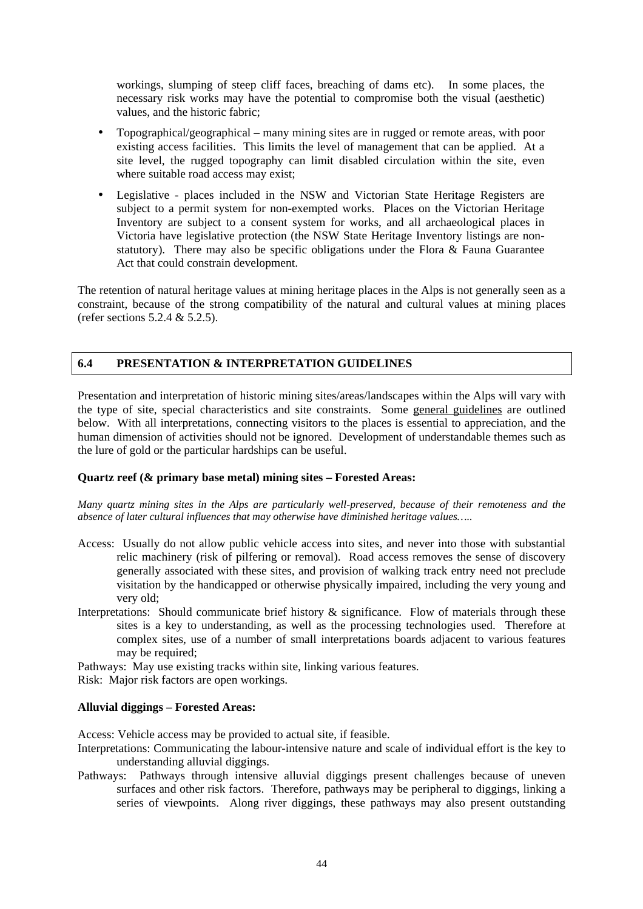workings, slumping of steep cliff faces, breaching of dams etc). In some places, the necessary risk works may have the potential to compromise both the visual (aesthetic) values, and the historic fabric;

- Topographical/geographical many mining sites are in rugged or remote areas, with poor existing access facilities. This limits the level of management that can be applied. At a site level, the rugged topography can limit disabled circulation within the site, even where suitable road access may exist;
- Legislative places included in the NSW and Victorian State Heritage Registers are subject to a permit system for non-exempted works. Places on the Victorian Heritage Inventory are subject to a consent system for works, and all archaeological places in Victoria have legislative protection (the NSW State Heritage Inventory listings are nonstatutory). There may also be specific obligations under the Flora & Fauna Guarantee Act that could constrain development.

The retention of natural heritage values at mining heritage places in the Alps is not generally seen as a constraint, because of the strong compatibility of the natural and cultural values at mining places (refer sections 5.2.4 & 5.2.5).

# **6.4 PRESENTATION & INTERPRETATION GUIDELINES**

Presentation and interpretation of historic mining sites/areas/landscapes within the Alps will vary with the type of site, special characteristics and site constraints. Some general guidelines are outlined below. With all interpretations, connecting visitors to the places is essential to appreciation, and the human dimension of activities should not be ignored. Development of understandable themes such as the lure of gold or the particular hardships can be useful.

# **Quartz reef (& primary base metal) mining sites – Forested Areas:**

*Many quartz mining sites in the Alps are particularly well-preserved, because of their remoteness and the absence of later cultural influences that may otherwise have diminished heritage values…..* 

- Access: Usually do not allow public vehicle access into sites, and never into those with substantial relic machinery (risk of pilfering or removal). Road access removes the sense of discovery generally associated with these sites, and provision of walking track entry need not preclude visitation by the handicapped or otherwise physically impaired, including the very young and very old;
- Interpretations: Should communicate brief history  $\&$  significance. Flow of materials through these sites is a key to understanding, as well as the processing technologies used. Therefore at complex sites, use of a number of small interpretations boards adjacent to various features may be required;

Pathways: May use existing tracks within site, linking various features.

Risk: Major risk factors are open workings.

# **Alluvial diggings – Forested Areas:**

Access: Vehicle access may be provided to actual site, if feasible.

- Interpretations: Communicating the labour-intensive nature and scale of individual effort is the key to understanding alluvial diggings.
- Pathways: Pathways through intensive alluvial diggings present challenges because of uneven surfaces and other risk factors. Therefore, pathways may be peripheral to diggings, linking a series of viewpoints. Along river diggings, these pathways may also present outstanding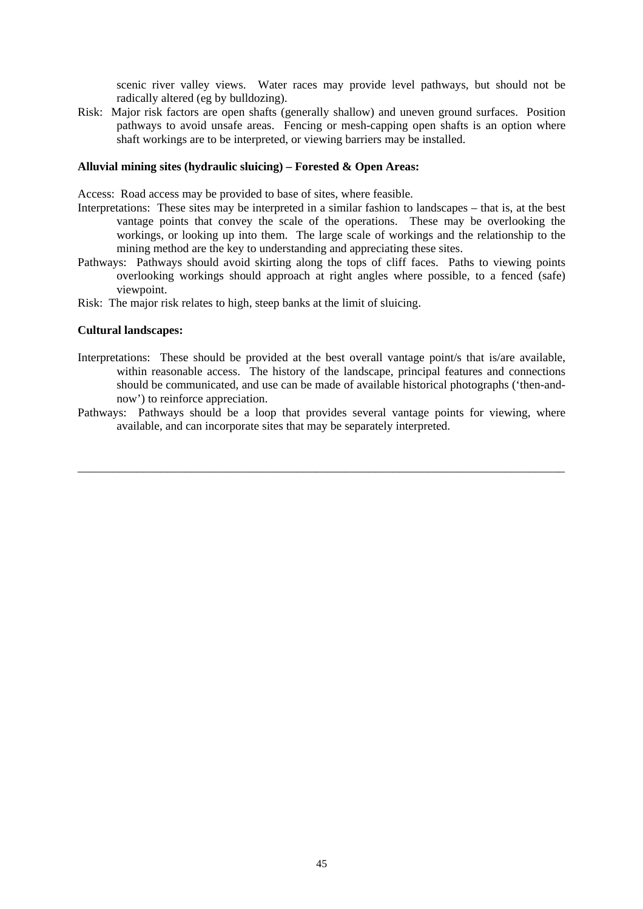scenic river valley views. Water races may provide level pathways, but should not be radically altered (eg by bulldozing).

Risk: Major risk factors are open shafts (generally shallow) and uneven ground surfaces. Position pathways to avoid unsafe areas. Fencing or mesh-capping open shafts is an option where shaft workings are to be interpreted, or viewing barriers may be installed.

#### **Alluvial mining sites (hydraulic sluicing) – Forested & Open Areas:**

Access: Road access may be provided to base of sites, where feasible.

- Interpretations: These sites may be interpreted in a similar fashion to landscapes that is, at the best vantage points that convey the scale of the operations. These may be overlooking the workings, or looking up into them. The large scale of workings and the relationship to the mining method are the key to understanding and appreciating these sites.
- Pathways: Pathways should avoid skirting along the tops of cliff faces. Paths to viewing points overlooking workings should approach at right angles where possible, to a fenced (safe) viewpoint.
- Risk: The major risk relates to high, steep banks at the limit of sluicing.

#### **Cultural landscapes:**

- Interpretations: These should be provided at the best overall vantage point/s that is/are available, within reasonable access. The history of the landscape, principal features and connections should be communicated, and use can be made of available historical photographs ('then-andnow') to reinforce appreciation.
- Pathways: Pathways should be a loop that provides several vantage points for viewing, where available, and can incorporate sites that may be separately interpreted.

\_\_\_\_\_\_\_\_\_\_\_\_\_\_\_\_\_\_\_\_\_\_\_\_\_\_\_\_\_\_\_\_\_\_\_\_\_\_\_\_\_\_\_\_\_\_\_\_\_\_\_\_\_\_\_\_\_\_\_\_\_\_\_\_\_\_\_\_\_\_\_\_\_\_\_\_\_\_\_\_\_\_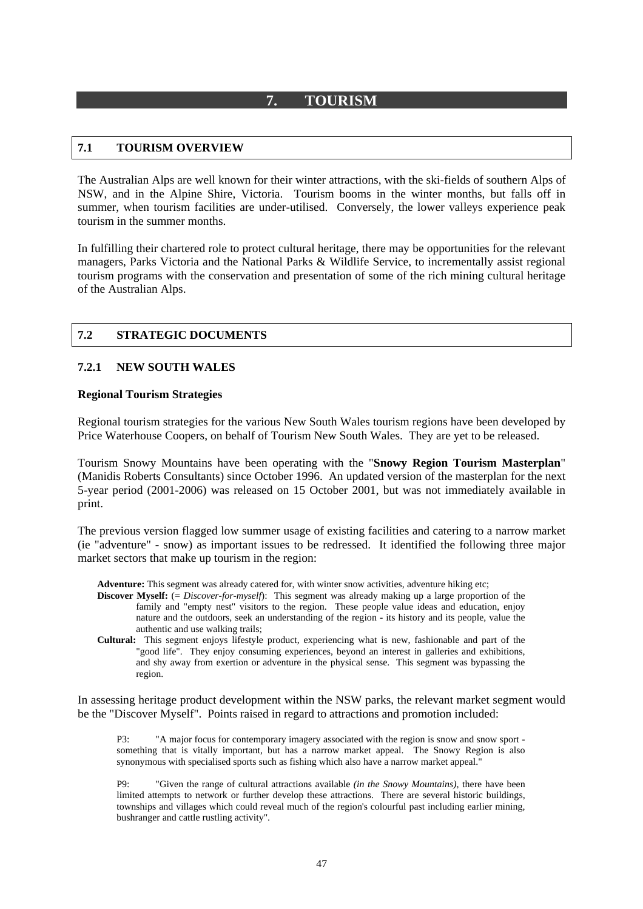# **7. TOURISM**

# **7.1 TOURISM OVERVIEW**

The Australian Alps are well known for their winter attractions, with the ski-fields of southern Alps of NSW, and in the Alpine Shire, Victoria. Tourism booms in the winter months, but falls off in summer, when tourism facilities are under-utilised. Conversely, the lower valleys experience peak tourism in the summer months.

In fulfilling their chartered role to protect cultural heritage, there may be opportunities for the relevant managers, Parks Victoria and the National Parks & Wildlife Service, to incrementally assist regional tourism programs with the conservation and presentation of some of the rich mining cultural heritage of the Australian Alps.

# **7.2 STRATEGIC DOCUMENTS**

### **7.2.1 NEW SOUTH WALES**

### **Regional Tourism Strategies**

Regional tourism strategies for the various New South Wales tourism regions have been developed by Price Waterhouse Coopers, on behalf of Tourism New South Wales. They are yet to be released.

Tourism Snowy Mountains have been operating with the "**Snowy Region Tourism Masterplan**" (Manidis Roberts Consultants) since October 1996. An updated version of the masterplan for the next 5-year period (2001-2006) was released on 15 October 2001, but was not immediately available in print.

The previous version flagged low summer usage of existing facilities and catering to a narrow market (ie "adventure" - snow) as important issues to be redressed. It identified the following three major market sectors that make up tourism in the region:

**Adventure:** This segment was already catered for, with winter snow activities, adventure hiking etc;

- **Discover Myself:** (= *Discover-for-myself*): This segment was already making up a large proportion of the family and "empty nest" visitors to the region. These people value ideas and education, enjoy nature and the outdoors, seek an understanding of the region - its history and its people, value the authentic and use walking trails;
- **Cultural:** This segment enjoys lifestyle product, experiencing what is new, fashionable and part of the "good life". They enjoy consuming experiences, beyond an interest in galleries and exhibitions, and shy away from exertion or adventure in the physical sense. This segment was bypassing the region.

In assessing heritage product development within the NSW parks, the relevant market segment would be the "Discover Myself". Points raised in regard to attractions and promotion included:

P3: "A major focus for contemporary imagery associated with the region is snow and snow sport something that is vitally important, but has a narrow market appeal. The Snowy Region is also synonymous with specialised sports such as fishing which also have a narrow market appeal."

P9: "Given the range of cultural attractions available *(in the Snowy Mountains)*, there have been limited attempts to network or further develop these attractions. There are several historic buildings, townships and villages which could reveal much of the region's colourful past including earlier mining, bushranger and cattle rustling activity".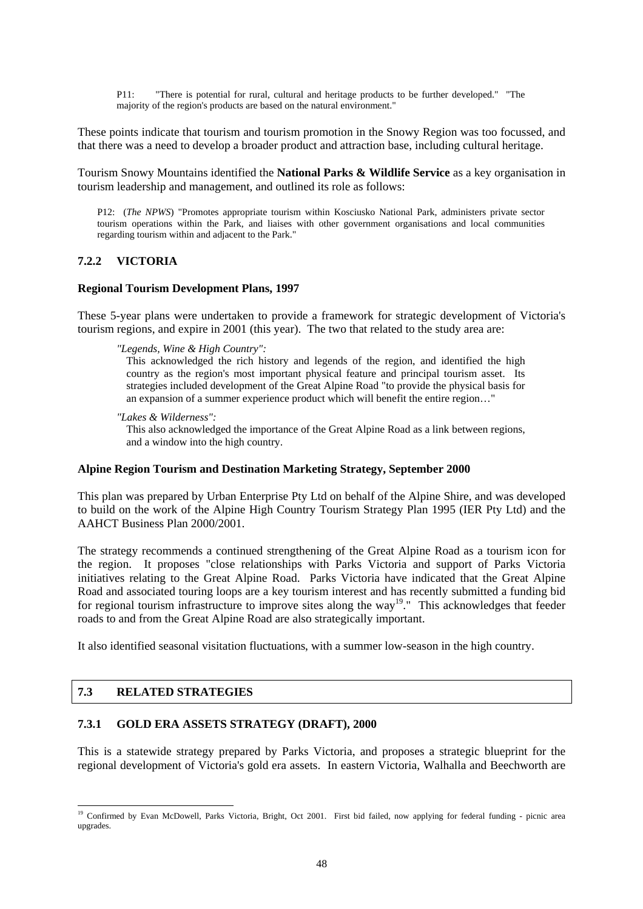P11: "There is potential for rural, cultural and heritage products to be further developed." "The majority of the region's products are based on the natural environment."

These points indicate that tourism and tourism promotion in the Snowy Region was too focussed, and that there was a need to develop a broader product and attraction base, including cultural heritage.

Tourism Snowy Mountains identified the **National Parks & Wildlife Service** as a key organisation in tourism leadership and management, and outlined its role as follows:

P12: (*The NPWS*) "Promotes appropriate tourism within Kosciusko National Park, administers private sector tourism operations within the Park, and liaises with other government organisations and local communities regarding tourism within and adjacent to the Park."

### **7.2.2 VICTORIA**

#### **Regional Tourism Development Plans, 1997**

These 5-year plans were undertaken to provide a framework for strategic development of Victoria's tourism regions, and expire in 2001 (this year). The two that related to the study area are:

*"Legends, Wine & High Country":* 

This acknowledged the rich history and legends of the region, and identified the high country as the region's most important physical feature and principal tourism asset. Its strategies included development of the Great Alpine Road "to provide the physical basis for an expansion of a summer experience product which will benefit the entire region…"

*"Lakes & Wilderness":* 

This also acknowledged the importance of the Great Alpine Road as a link between regions, and a window into the high country.

#### **Alpine Region Tourism and Destination Marketing Strategy, September 2000**

This plan was prepared by Urban Enterprise Pty Ltd on behalf of the Alpine Shire, and was developed to build on the work of the Alpine High Country Tourism Strategy Plan 1995 (IER Pty Ltd) and the AAHCT Business Plan 2000/2001.

The strategy recommends a continued strengthening of the Great Alpine Road as a tourism icon for the region. It proposes "close relationships with Parks Victoria and support of Parks Victoria initiatives relating to the Great Alpine Road. Parks Victoria have indicated that the Great Alpine Road and associated touring loops are a key tourism interest and has recently submitted a funding bid for regional tourism infrastructure to improve sites along the way<sup>19</sup>." This acknowledges that feeder roads to and from the Great Alpine Road are also strategically important.

It also identified seasonal visitation fluctuations, with a summer low-season in the high country.

# **7.3 RELATED STRATEGIES**

l

#### **7.3.1 GOLD ERA ASSETS STRATEGY (DRAFT), 2000**

This is a statewide strategy prepared by Parks Victoria, and proposes a strategic blueprint for the regional development of Victoria's gold era assets. In eastern Victoria, Walhalla and Beechworth are

<sup>&</sup>lt;sup>19</sup> Confirmed by Evan McDowell, Parks Victoria, Bright, Oct 2001. First bid failed, now applying for federal funding - picnic area upgrades.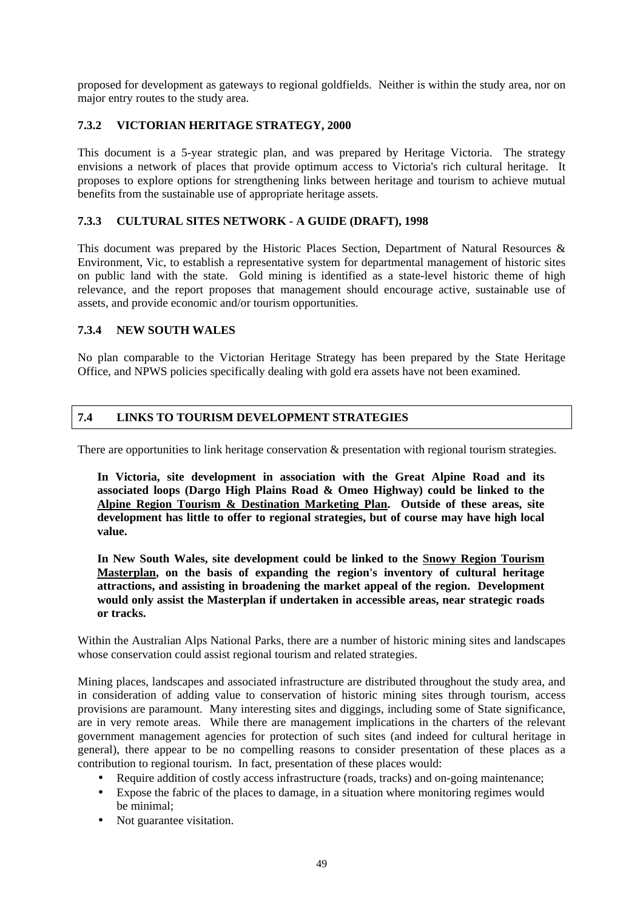proposed for development as gateways to regional goldfields. Neither is within the study area, nor on major entry routes to the study area.

# **7.3.2 VICTORIAN HERITAGE STRATEGY, 2000**

This document is a 5-year strategic plan, and was prepared by Heritage Victoria. The strategy envisions a network of places that provide optimum access to Victoria's rich cultural heritage. It proposes to explore options for strengthening links between heritage and tourism to achieve mutual benefits from the sustainable use of appropriate heritage assets.

# **7.3.3 CULTURAL SITES NETWORK - A GUIDE (DRAFT), 1998**

This document was prepared by the Historic Places Section, Department of Natural Resources & Environment, Vic, to establish a representative system for departmental management of historic sites on public land with the state. Gold mining is identified as a state-level historic theme of high relevance, and the report proposes that management should encourage active, sustainable use of assets, and provide economic and/or tourism opportunities.

# **7.3.4 NEW SOUTH WALES**

No plan comparable to the Victorian Heritage Strategy has been prepared by the State Heritage Office, and NPWS policies specifically dealing with gold era assets have not been examined.

# **7.4 LINKS TO TOURISM DEVELOPMENT STRATEGIES**

There are opportunities to link heritage conservation  $\&$  presentation with regional tourism strategies.

**In Victoria, site development in association with the Great Alpine Road and its associated loops (Dargo High Plains Road & Omeo Highway) could be linked to the Alpine Region Tourism & Destination Marketing Plan. Outside of these areas, site development has little to offer to regional strategies, but of course may have high local value.** 

**In New South Wales, site development could be linked to the Snowy Region Tourism Masterplan, on the basis of expanding the region's inventory of cultural heritage attractions, and assisting in broadening the market appeal of the region. Development would only assist the Masterplan if undertaken in accessible areas, near strategic roads or tracks.** 

Within the Australian Alps National Parks, there are a number of historic mining sites and landscapes whose conservation could assist regional tourism and related strategies.

Mining places, landscapes and associated infrastructure are distributed throughout the study area, and in consideration of adding value to conservation of historic mining sites through tourism, access provisions are paramount. Many interesting sites and diggings, including some of State significance, are in very remote areas. While there are management implications in the charters of the relevant government management agencies for protection of such sites (and indeed for cultural heritage in general), there appear to be no compelling reasons to consider presentation of these places as a contribution to regional tourism. In fact, presentation of these places would:

- Require addition of costly access infrastructure (roads, tracks) and on-going maintenance;
- Expose the fabric of the places to damage, in a situation where monitoring regimes would be minimal;
- Not guarantee visitation.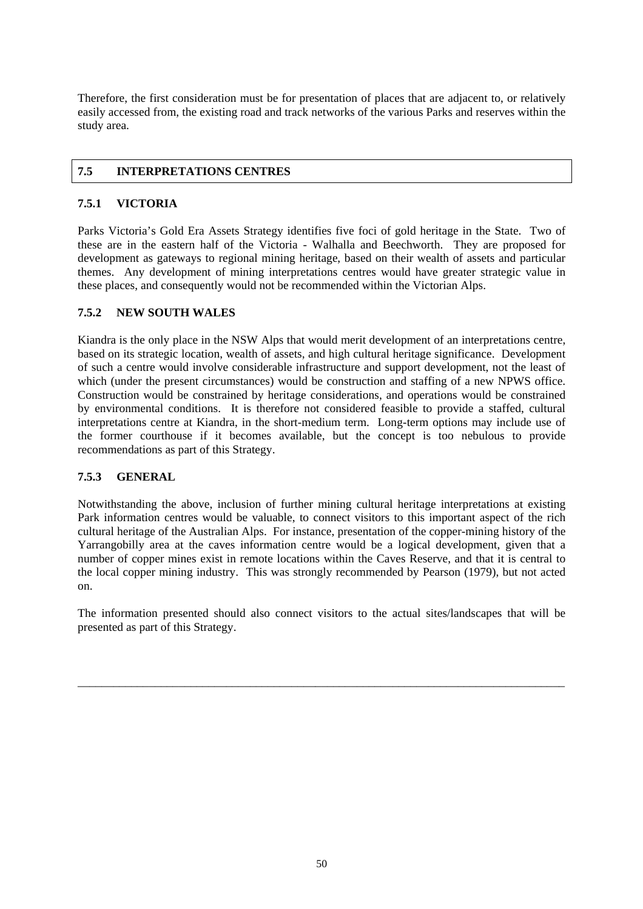Therefore, the first consideration must be for presentation of places that are adjacent to, or relatively easily accessed from, the existing road and track networks of the various Parks and reserves within the study area.

# **7.5 INTERPRETATIONS CENTRES**

# **7.5.1 VICTORIA**

Parks Victoria's Gold Era Assets Strategy identifies five foci of gold heritage in the State. Two of these are in the eastern half of the Victoria - Walhalla and Beechworth. They are proposed for development as gateways to regional mining heritage, based on their wealth of assets and particular themes. Any development of mining interpretations centres would have greater strategic value in these places, and consequently would not be recommended within the Victorian Alps.

# **7.5.2 NEW SOUTH WALES**

Kiandra is the only place in the NSW Alps that would merit development of an interpretations centre, based on its strategic location, wealth of assets, and high cultural heritage significance. Development of such a centre would involve considerable infrastructure and support development, not the least of which (under the present circumstances) would be construction and staffing of a new NPWS office. Construction would be constrained by heritage considerations, and operations would be constrained by environmental conditions. It is therefore not considered feasible to provide a staffed, cultural interpretations centre at Kiandra, in the short-medium term. Long-term options may include use of the former courthouse if it becomes available, but the concept is too nebulous to provide recommendations as part of this Strategy.

# **7.5.3 GENERAL**

Notwithstanding the above, inclusion of further mining cultural heritage interpretations at existing Park information centres would be valuable, to connect visitors to this important aspect of the rich cultural heritage of the Australian Alps. For instance, presentation of the copper-mining history of the Yarrangobilly area at the caves information centre would be a logical development, given that a number of copper mines exist in remote locations within the Caves Reserve, and that it is central to the local copper mining industry. This was strongly recommended by Pearson (1979), but not acted on.

The information presented should also connect visitors to the actual sites/landscapes that will be presented as part of this Strategy.

\_\_\_\_\_\_\_\_\_\_\_\_\_\_\_\_\_\_\_\_\_\_\_\_\_\_\_\_\_\_\_\_\_\_\_\_\_\_\_\_\_\_\_\_\_\_\_\_\_\_\_\_\_\_\_\_\_\_\_\_\_\_\_\_\_\_\_\_\_\_\_\_\_\_\_\_\_\_\_\_\_\_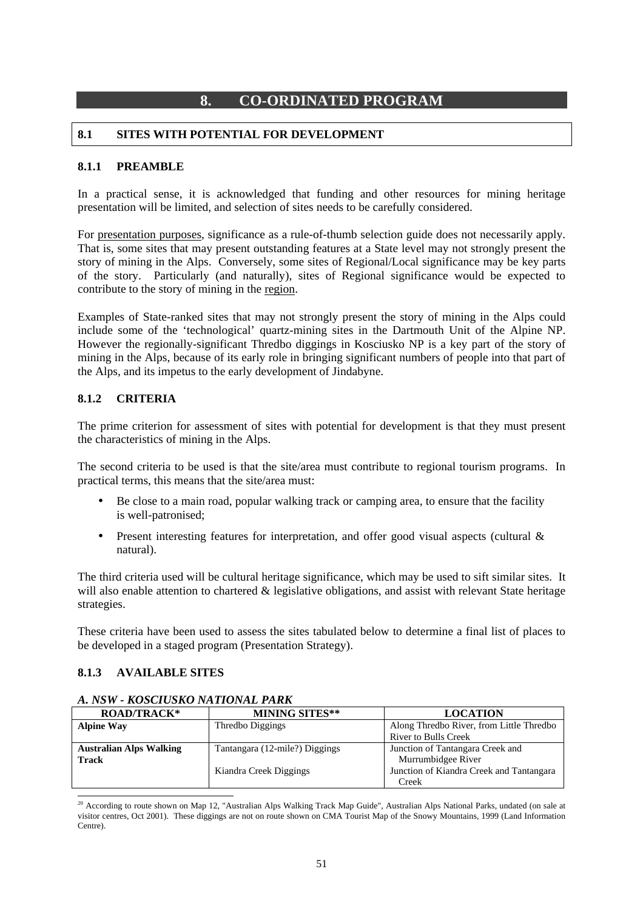# **8. CO-ORDINATED PROGRAM**

# **8.1 SITES WITH POTENTIAL FOR DEVELOPMENT**

### **8.1.1 PREAMBLE**

In a practical sense, it is acknowledged that funding and other resources for mining heritage presentation will be limited, and selection of sites needs to be carefully considered.

For presentation purposes, significance as a rule-of-thumb selection guide does not necessarily apply. That is, some sites that may present outstanding features at a State level may not strongly present the story of mining in the Alps. Conversely, some sites of Regional/Local significance may be key parts of the story. Particularly (and naturally), sites of Regional significance would be expected to contribute to the story of mining in the region.

Examples of State-ranked sites that may not strongly present the story of mining in the Alps could include some of the 'technological' quartz-mining sites in the Dartmouth Unit of the Alpine NP. However the regionally-significant Thredbo diggings in Kosciusko NP is a key part of the story of mining in the Alps, because of its early role in bringing significant numbers of people into that part of the Alps, and its impetus to the early development of Jindabyne.

# **8.1.2 CRITERIA**

The prime criterion for assessment of sites with potential for development is that they must present the characteristics of mining in the Alps.

The second criteria to be used is that the site/area must contribute to regional tourism programs. In practical terms, this means that the site/area must:

- Be close to a main road, popular walking track or camping area, to ensure that the facility is well-patronised;
- Present interesting features for interpretation, and offer good visual aspects (cultural & natural).

The third criteria used will be cultural heritage significance, which may be used to sift similar sites. It will also enable attention to chartered & legislative obligations, and assist with relevant State heritage strategies.

These criteria have been used to assess the sites tabulated below to determine a final list of places to be developed in a staged program (Presentation Strategy).

### **8.1.3 AVAILABLE SITES**

| <b>ROAD/TRACK*</b>             | <b>MINING SITES**</b>          | <b>LOCATION</b>                          |
|--------------------------------|--------------------------------|------------------------------------------|
| <b>Alpine Way</b>              | Thredbo Diggings               | Along Thredbo River, from Little Thredbo |
|                                |                                | <b>River to Bulls Creek</b>              |
| <b>Australian Alps Walking</b> | Tantangara (12-mile?) Diggings | Junction of Tantangara Creek and         |
| <b>Track</b>                   |                                | Murrumbidgee River                       |
|                                | Kiandra Creek Diggings         | Junction of Kiandra Creek and Tantangara |
|                                |                                | Creek                                    |

### *A. NSW - KOSCIUSKO NATIONAL PARK*

l  $20$  According to route shown on Map 12, "Australian Alps Walking Track Map Guide", Australian Alps National Parks, undated (on sale at visitor centres, Oct 2001). These diggings are not on route shown on CMA Tourist Map of the Snowy Mountains, 1999 (Land Information Centre).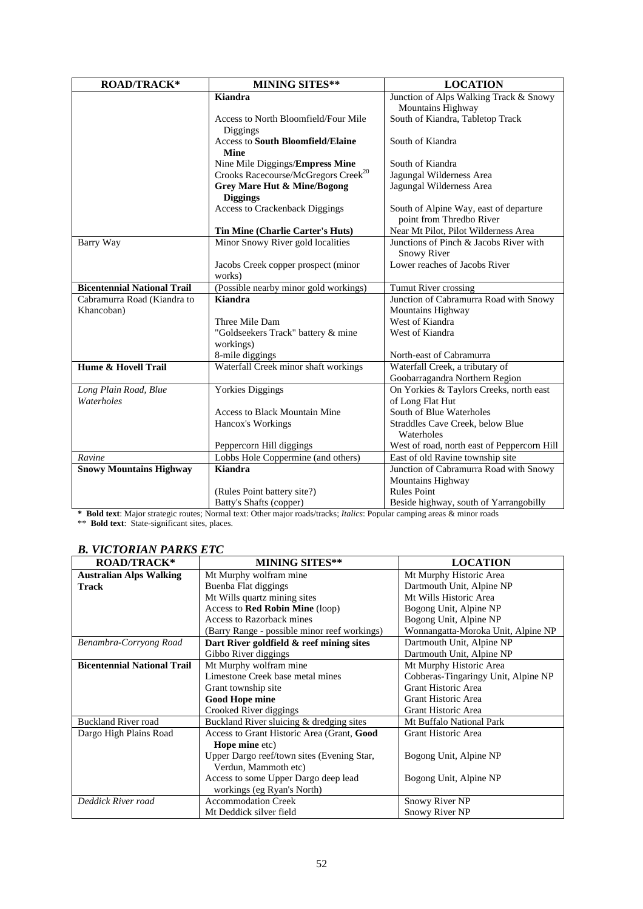| <b>ROAD/TRACK*</b>                                                                                                  | <b>MINING SITES**</b>                                                                                                                                                                                                                                                                                                                                                                                                                                                                                                                                                                                                                                                                                   | <b>LOCATION</b>                                                                                                                                                                                                                                                                                                                                                                                                                                                                                                                                                                                                                                                                                                                        |
|---------------------------------------------------------------------------------------------------------------------|---------------------------------------------------------------------------------------------------------------------------------------------------------------------------------------------------------------------------------------------------------------------------------------------------------------------------------------------------------------------------------------------------------------------------------------------------------------------------------------------------------------------------------------------------------------------------------------------------------------------------------------------------------------------------------------------------------|----------------------------------------------------------------------------------------------------------------------------------------------------------------------------------------------------------------------------------------------------------------------------------------------------------------------------------------------------------------------------------------------------------------------------------------------------------------------------------------------------------------------------------------------------------------------------------------------------------------------------------------------------------------------------------------------------------------------------------------|
|                                                                                                                     | Kiandra                                                                                                                                                                                                                                                                                                                                                                                                                                                                                                                                                                                                                                                                                                 | Junction of Alps Walking Track & Snowy                                                                                                                                                                                                                                                                                                                                                                                                                                                                                                                                                                                                                                                                                                 |
|                                                                                                                     |                                                                                                                                                                                                                                                                                                                                                                                                                                                                                                                                                                                                                                                                                                         | Mountains Highway                                                                                                                                                                                                                                                                                                                                                                                                                                                                                                                                                                                                                                                                                                                      |
|                                                                                                                     | Access to North Bloomfield/Four Mile                                                                                                                                                                                                                                                                                                                                                                                                                                                                                                                                                                                                                                                                    | South of Kiandra, Tabletop Track                                                                                                                                                                                                                                                                                                                                                                                                                                                                                                                                                                                                                                                                                                       |
|                                                                                                                     |                                                                                                                                                                                                                                                                                                                                                                                                                                                                                                                                                                                                                                                                                                         |                                                                                                                                                                                                                                                                                                                                                                                                                                                                                                                                                                                                                                                                                                                                        |
|                                                                                                                     |                                                                                                                                                                                                                                                                                                                                                                                                                                                                                                                                                                                                                                                                                                         |                                                                                                                                                                                                                                                                                                                                                                                                                                                                                                                                                                                                                                                                                                                                        |
|                                                                                                                     |                                                                                                                                                                                                                                                                                                                                                                                                                                                                                                                                                                                                                                                                                                         |                                                                                                                                                                                                                                                                                                                                                                                                                                                                                                                                                                                                                                                                                                                                        |
|                                                                                                                     |                                                                                                                                                                                                                                                                                                                                                                                                                                                                                                                                                                                                                                                                                                         |                                                                                                                                                                                                                                                                                                                                                                                                                                                                                                                                                                                                                                                                                                                                        |
|                                                                                                                     |                                                                                                                                                                                                                                                                                                                                                                                                                                                                                                                                                                                                                                                                                                         |                                                                                                                                                                                                                                                                                                                                                                                                                                                                                                                                                                                                                                                                                                                                        |
|                                                                                                                     |                                                                                                                                                                                                                                                                                                                                                                                                                                                                                                                                                                                                                                                                                                         |                                                                                                                                                                                                                                                                                                                                                                                                                                                                                                                                                                                                                                                                                                                                        |
|                                                                                                                     |                                                                                                                                                                                                                                                                                                                                                                                                                                                                                                                                                                                                                                                                                                         |                                                                                                                                                                                                                                                                                                                                                                                                                                                                                                                                                                                                                                                                                                                                        |
|                                                                                                                     |                                                                                                                                                                                                                                                                                                                                                                                                                                                                                                                                                                                                                                                                                                         |                                                                                                                                                                                                                                                                                                                                                                                                                                                                                                                                                                                                                                                                                                                                        |
|                                                                                                                     |                                                                                                                                                                                                                                                                                                                                                                                                                                                                                                                                                                                                                                                                                                         |                                                                                                                                                                                                                                                                                                                                                                                                                                                                                                                                                                                                                                                                                                                                        |
|                                                                                                                     |                                                                                                                                                                                                                                                                                                                                                                                                                                                                                                                                                                                                                                                                                                         | Junctions of Pinch & Jacobs River with                                                                                                                                                                                                                                                                                                                                                                                                                                                                                                                                                                                                                                                                                                 |
|                                                                                                                     |                                                                                                                                                                                                                                                                                                                                                                                                                                                                                                                                                                                                                                                                                                         |                                                                                                                                                                                                                                                                                                                                                                                                                                                                                                                                                                                                                                                                                                                                        |
|                                                                                                                     | Jacobs Creek copper prospect (minor                                                                                                                                                                                                                                                                                                                                                                                                                                                                                                                                                                                                                                                                     | Lower reaches of Jacobs River                                                                                                                                                                                                                                                                                                                                                                                                                                                                                                                                                                                                                                                                                                          |
|                                                                                                                     | works)                                                                                                                                                                                                                                                                                                                                                                                                                                                                                                                                                                                                                                                                                                  |                                                                                                                                                                                                                                                                                                                                                                                                                                                                                                                                                                                                                                                                                                                                        |
| <b>Bicentennial National Trail</b>                                                                                  | (Possible nearby minor gold workings)                                                                                                                                                                                                                                                                                                                                                                                                                                                                                                                                                                                                                                                                   | Tumut River crossing                                                                                                                                                                                                                                                                                                                                                                                                                                                                                                                                                                                                                                                                                                                   |
| Cabramurra Road (Kiandra to                                                                                         | <b>Kiandra</b>                                                                                                                                                                                                                                                                                                                                                                                                                                                                                                                                                                                                                                                                                          | Junction of Cabramurra Road with Snowy                                                                                                                                                                                                                                                                                                                                                                                                                                                                                                                                                                                                                                                                                                 |
| Khancoban)                                                                                                          |                                                                                                                                                                                                                                                                                                                                                                                                                                                                                                                                                                                                                                                                                                         | <b>Mountains Highway</b>                                                                                                                                                                                                                                                                                                                                                                                                                                                                                                                                                                                                                                                                                                               |
|                                                                                                                     |                                                                                                                                                                                                                                                                                                                                                                                                                                                                                                                                                                                                                                                                                                         |                                                                                                                                                                                                                                                                                                                                                                                                                                                                                                                                                                                                                                                                                                                                        |
|                                                                                                                     |                                                                                                                                                                                                                                                                                                                                                                                                                                                                                                                                                                                                                                                                                                         |                                                                                                                                                                                                                                                                                                                                                                                                                                                                                                                                                                                                                                                                                                                                        |
|                                                                                                                     |                                                                                                                                                                                                                                                                                                                                                                                                                                                                                                                                                                                                                                                                                                         |                                                                                                                                                                                                                                                                                                                                                                                                                                                                                                                                                                                                                                                                                                                                        |
|                                                                                                                     |                                                                                                                                                                                                                                                                                                                                                                                                                                                                                                                                                                                                                                                                                                         |                                                                                                                                                                                                                                                                                                                                                                                                                                                                                                                                                                                                                                                                                                                                        |
|                                                                                                                     |                                                                                                                                                                                                                                                                                                                                                                                                                                                                                                                                                                                                                                                                                                         |                                                                                                                                                                                                                                                                                                                                                                                                                                                                                                                                                                                                                                                                                                                                        |
|                                                                                                                     |                                                                                                                                                                                                                                                                                                                                                                                                                                                                                                                                                                                                                                                                                                         |                                                                                                                                                                                                                                                                                                                                                                                                                                                                                                                                                                                                                                                                                                                                        |
|                                                                                                                     |                                                                                                                                                                                                                                                                                                                                                                                                                                                                                                                                                                                                                                                                                                         |                                                                                                                                                                                                                                                                                                                                                                                                                                                                                                                                                                                                                                                                                                                                        |
|                                                                                                                     |                                                                                                                                                                                                                                                                                                                                                                                                                                                                                                                                                                                                                                                                                                         |                                                                                                                                                                                                                                                                                                                                                                                                                                                                                                                                                                                                                                                                                                                                        |
|                                                                                                                     |                                                                                                                                                                                                                                                                                                                                                                                                                                                                                                                                                                                                                                                                                                         |                                                                                                                                                                                                                                                                                                                                                                                                                                                                                                                                                                                                                                                                                                                                        |
|                                                                                                                     |                                                                                                                                                                                                                                                                                                                                                                                                                                                                                                                                                                                                                                                                                                         |                                                                                                                                                                                                                                                                                                                                                                                                                                                                                                                                                                                                                                                                                                                                        |
|                                                                                                                     |                                                                                                                                                                                                                                                                                                                                                                                                                                                                                                                                                                                                                                                                                                         |                                                                                                                                                                                                                                                                                                                                                                                                                                                                                                                                                                                                                                                                                                                                        |
|                                                                                                                     |                                                                                                                                                                                                                                                                                                                                                                                                                                                                                                                                                                                                                                                                                                         |                                                                                                                                                                                                                                                                                                                                                                                                                                                                                                                                                                                                                                                                                                                                        |
|                                                                                                                     |                                                                                                                                                                                                                                                                                                                                                                                                                                                                                                                                                                                                                                                                                                         |                                                                                                                                                                                                                                                                                                                                                                                                                                                                                                                                                                                                                                                                                                                                        |
|                                                                                                                     |                                                                                                                                                                                                                                                                                                                                                                                                                                                                                                                                                                                                                                                                                                         |                                                                                                                                                                                                                                                                                                                                                                                                                                                                                                                                                                                                                                                                                                                                        |
|                                                                                                                     |                                                                                                                                                                                                                                                                                                                                                                                                                                                                                                                                                                                                                                                                                                         |                                                                                                                                                                                                                                                                                                                                                                                                                                                                                                                                                                                                                                                                                                                                        |
|                                                                                                                     |                                                                                                                                                                                                                                                                                                                                                                                                                                                                                                                                                                                                                                                                                                         |                                                                                                                                                                                                                                                                                                                                                                                                                                                                                                                                                                                                                                                                                                                                        |
| Barry Way<br>Hume & Hovell Trail<br>Long Plain Road, Blue<br>Waterholes<br>Ravine<br><b>Snowy Mountains Highway</b> | Diggings<br><b>Access to South Bloomfield/Elaine</b><br><b>Mine</b><br>Nine Mile Diggings/Empress Mine<br>Crooks Racecourse/McGregors Creek <sup>20</sup><br><b>Grey Mare Hut &amp; Mine/Bogong</b><br><b>Diggings</b><br>Access to Crackenback Diggings<br><b>Tin Mine (Charlie Carter's Huts)</b><br>Minor Snowy River gold localities<br>Three Mile Dam<br>"Goldseekers Track" battery & mine<br>workings)<br>8-mile diggings<br>Waterfall Creek minor shaft workings<br><b>Yorkies Diggings</b><br><b>Access to Black Mountain Mine</b><br>Hancox's Workings<br>Peppercorn Hill diggings<br>Lobbs Hole Coppermine (and others)<br>Kiandra<br>(Rules Point battery site?)<br>Batty's Shafts (copper) | South of Kiandra<br>South of Kiandra<br>Jagungal Wilderness Area<br>Jagungal Wilderness Area<br>South of Alpine Way, east of departure<br>point from Thredbo River<br>Near Mt Pilot, Pilot Wilderness Area<br>Snowy River<br>West of Kiandra<br>West of Kiandra<br>North-east of Cabramurra<br>Waterfall Creek, a tributary of<br>Goobarragandra Northern Region<br>On Yorkies & Taylors Creeks, north east<br>of Long Flat Hut<br>South of Blue Waterholes<br>Straddles Cave Creek, below Blue<br>Waterholes<br>West of road, north east of Peppercorn Hill<br>East of old Ravine township site<br>Junction of Cabramurra Road with Snowy<br><b>Mountains Highway</b><br><b>Rules Point</b><br>Beside highway, south of Yarrangobilly |

**\* Bold text**: Major strategic routes; Normal text: Other major roads/tracks; *Italics*: Popular camping areas & minor roads

\*\* **Bold text**: State-significant sites, places.

# *B. VICTORIAN PARKS ETC*

| <b>ROAD/TRACK*</b>                 | <b>MINING SITES**</b>                        | <b>LOCATION</b>                     |
|------------------------------------|----------------------------------------------|-------------------------------------|
| <b>Australian Alps Walking</b>     | Mt Murphy wolfram mine                       | Mt Murphy Historic Area             |
| Track                              | Buenba Flat diggings                         | Dartmouth Unit, Alpine NP           |
|                                    | Mt Wills quartz mining sites                 | Mt Wills Historic Area              |
|                                    | Access to Red Robin Mine (loop)              | Bogong Unit, Alpine NP              |
|                                    | <b>Access to Razorback mines</b>             | Bogong Unit, Alpine NP              |
|                                    | (Barry Range - possible minor reef workings) | Wonnangatta-Moroka Unit, Alpine NP  |
| Benambra-Corryong Road             | Dart River goldfield $\&$ reef mining sites  | Dartmouth Unit, Alpine NP           |
|                                    | Gibbo River diggings                         | Dartmouth Unit, Alpine NP           |
| <b>Bicentennial National Trail</b> | Mt Murphy wolfram mine                       | Mt Murphy Historic Area             |
|                                    | Limestone Creek base metal mines             | Cobberas-Tingaringy Unit, Alpine NP |
|                                    | Grant township site                          | Grant Historic Area                 |
|                                    | <b>Good Hope mine</b>                        | Grant Historic Area                 |
|                                    | Crooked River diggings                       | Grant Historic Area                 |
| <b>Buckland River road</b>         | Buckland River sluicing & dredging sites     | Mt Buffalo National Park            |
| Dargo High Plains Road             | Access to Grant Historic Area (Grant, Good   | Grant Historic Area                 |
|                                    | <b>Hope mine etc)</b>                        |                                     |
|                                    | Upper Dargo reef/town sites (Evening Star,   | Bogong Unit, Alpine NP              |
|                                    | Verdun, Mammoth etc)                         |                                     |
|                                    | Access to some Upper Dargo deep lead         | Bogong Unit, Alpine NP              |
|                                    | workings (eg Ryan's North)                   |                                     |
| Deddick River road                 | <b>Accommodation Creek</b>                   | <b>Snowy River NP</b>               |
|                                    | Mt Deddick silver field                      | <b>Snowy River NP</b>               |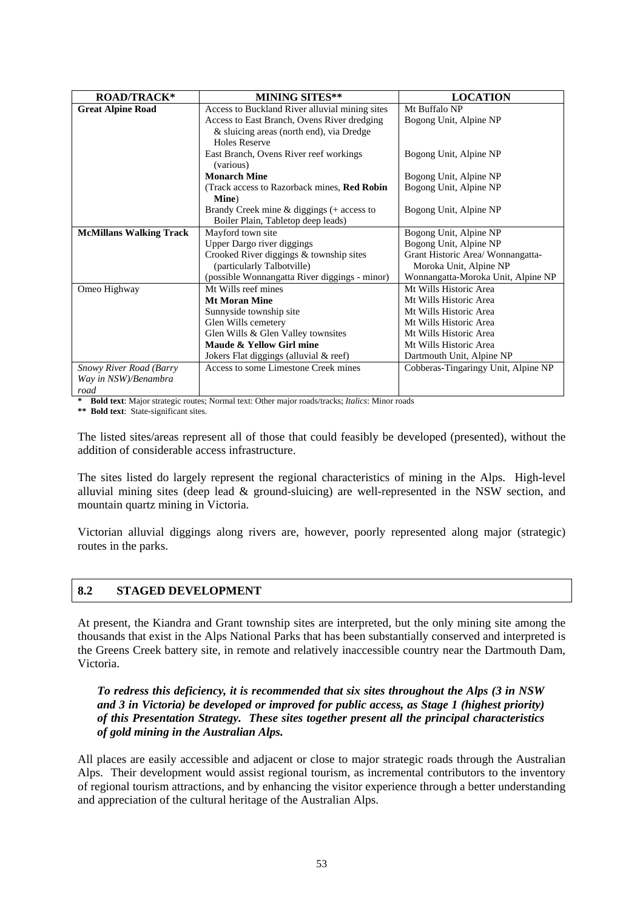| <b>ROAD/TRACK*</b>             | <b>MINING SITES**</b>                          | <b>LOCATION</b>                     |
|--------------------------------|------------------------------------------------|-------------------------------------|
|                                |                                                |                                     |
| <b>Great Alpine Road</b>       | Access to Buckland River alluvial mining sites | Mt Buffalo NP                       |
|                                | Access to East Branch, Ovens River dredging    | Bogong Unit, Alpine NP              |
|                                | & sluicing areas (north end), via Dredge       |                                     |
|                                | <b>Holes Reserve</b>                           |                                     |
|                                | East Branch, Ovens River reef workings         | Bogong Unit, Alpine NP              |
|                                | (various)                                      |                                     |
|                                | <b>Monarch Mine</b>                            | Bogong Unit, Alpine NP              |
|                                | (Track access to Razorback mines, Red Robin    | Bogong Unit, Alpine NP              |
|                                | Mine)                                          |                                     |
|                                | Brandy Creek mine $&$ diggings (+ access to    | Bogong Unit, Alpine NP              |
|                                | Boiler Plain, Tabletop deep leads)             |                                     |
| <b>McMillans Walking Track</b> | Mayford town site                              | Bogong Unit, Alpine NP              |
|                                | Upper Dargo river diggings                     | Bogong Unit, Alpine NP              |
|                                | Crooked River diggings & township sites        | Grant Historic Area/Wonnangatta-    |
|                                | (particularly Talbotville)                     | Moroka Unit, Alpine NP              |
|                                | (possible Wonnangatta River diggings - minor)  | Wonnangatta-Moroka Unit, Alpine NP  |
| Omeo Highway                   | Mt Wills reef mines                            | Mt Wills Historic Area              |
|                                | <b>Mt Moran Mine</b>                           | Mt Wills Historic Area              |
|                                | Sunnyside township site                        | Mt Wills Historic Area              |
|                                | Glen Wills cemetery                            | Mt Wills Historic Area              |
|                                | Glen Wills & Glen Valley townsites             | Mt Wills Historic Area              |
|                                | Maude & Yellow Girl mine                       | Mt Wills Historic Area              |
|                                | Jokers Flat diggings (alluvial & reef)         | Dartmouth Unit, Alpine NP           |
| <b>Snowy River Road (Barry</b> | Access to some Limestone Creek mines           | Cobberas-Tingaringy Unit, Alpine NP |
| Way in NSW)/Benambra           |                                                |                                     |
| road                           |                                                |                                     |

**\* Bold text**: Major strategic routes; Normal text: Other major roads/tracks; *Italics*: Minor roads

**\*\* Bold text**: State-significant sites.

The listed sites/areas represent all of those that could feasibly be developed (presented), without the addition of considerable access infrastructure.

The sites listed do largely represent the regional characteristics of mining in the Alps. High-level alluvial mining sites (deep lead  $\&$  ground-sluicing) are well-represented in the NSW section, and mountain quartz mining in Victoria.

Victorian alluvial diggings along rivers are, however, poorly represented along major (strategic) routes in the parks.

# **8.2 STAGED DEVELOPMENT**

At present, the Kiandra and Grant township sites are interpreted, but the only mining site among the thousands that exist in the Alps National Parks that has been substantially conserved and interpreted is the Greens Creek battery site, in remote and relatively inaccessible country near the Dartmouth Dam, Victoria.

*To redress this deficiency, it is recommended that six sites throughout the Alps (3 in NSW and 3 in Victoria) be developed or improved for public access, as Stage 1 (highest priority) of this Presentation Strategy. These sites together present all the principal characteristics of gold mining in the Australian Alps.* 

All places are easily accessible and adjacent or close to major strategic roads through the Australian Alps. Their development would assist regional tourism, as incremental contributors to the inventory of regional tourism attractions, and by enhancing the visitor experience through a better understanding and appreciation of the cultural heritage of the Australian Alps.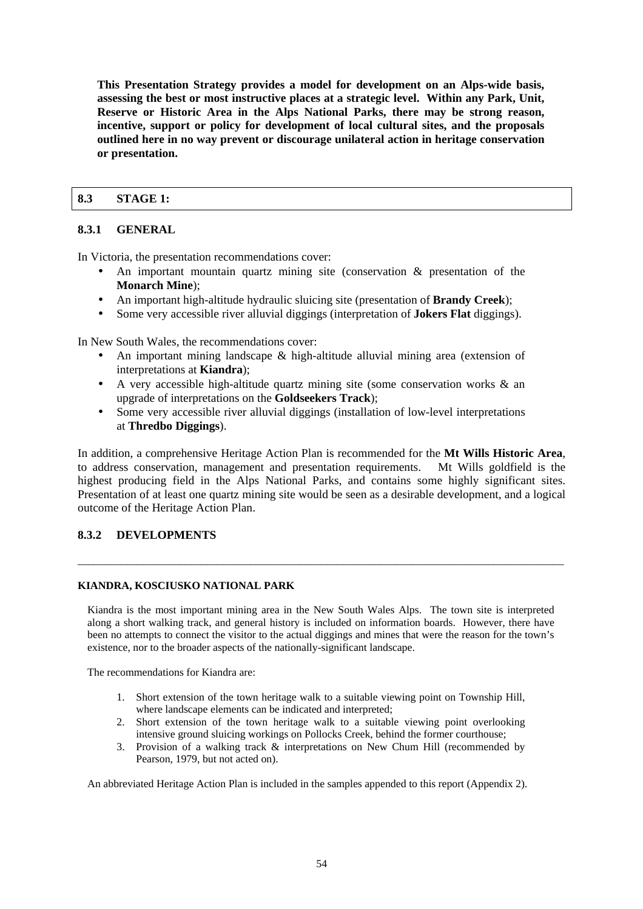**This Presentation Strategy provides a model for development on an Alps-wide basis, assessing the best or most instructive places at a strategic level. Within any Park, Unit, Reserve or Historic Area in the Alps National Parks, there may be strong reason, incentive, support or policy for development of local cultural sites, and the proposals outlined here in no way prevent or discourage unilateral action in heritage conservation or presentation.** 

### **8.3 STAGE 1:**

### **8.3.1 GENERAL**

In Victoria, the presentation recommendations cover:

- An important mountain quartz mining site (conservation  $\&$  presentation of the **Monarch Mine**);
- An important high-altitude hydraulic sluicing site (presentation of **Brandy Creek**);
- Some very accessible river alluvial diggings (interpretation of **Jokers Flat** diggings).

In New South Wales, the recommendations cover:

- An important mining landscape & high-altitude alluvial mining area (extension of interpretations at **Kiandra**);
- A very accessible high-altitude quartz mining site (some conservation works & an upgrade of interpretations on the **Goldseekers Track**);
- Some very accessible river alluvial diggings (installation of low-level interpretations at **Thredbo Diggings**).

In addition, a comprehensive Heritage Action Plan is recommended for the **Mt Wills Historic Area**, to address conservation, management and presentation requirements. Mt Wills goldfield is the highest producing field in the Alps National Parks, and contains some highly significant sites. Presentation of at least one quartz mining site would be seen as a desirable development, and a logical outcome of the Heritage Action Plan.

### **8.3.2 DEVELOPMENTS**

### **KIANDRA, KOSCIUSKO NATIONAL PARK**

Kiandra is the most important mining area in the New South Wales Alps. The town site is interpreted along a short walking track, and general history is included on information boards. However, there have been no attempts to connect the visitor to the actual diggings and mines that were the reason for the town's existence, nor to the broader aspects of the nationally-significant landscape.

\_\_\_\_\_\_\_\_\_\_\_\_\_\_\_\_\_\_\_\_\_\_\_\_\_\_\_\_\_\_\_\_\_\_\_\_\_\_\_\_\_\_\_\_\_\_\_\_\_\_\_\_\_\_\_\_\_\_\_\_\_\_\_\_\_\_\_\_\_\_\_\_\_\_\_\_\_\_\_\_\_\_\_\_\_\_\_\_\_\_

The recommendations for Kiandra are:

- 1. Short extension of the town heritage walk to a suitable viewing point on Township Hill, where landscape elements can be indicated and interpreted;
- 2. Short extension of the town heritage walk to a suitable viewing point overlooking intensive ground sluicing workings on Pollocks Creek, behind the former courthouse;
- 3. Provision of a walking track & interpretations on New Chum Hill (recommended by Pearson, 1979, but not acted on).

An abbreviated Heritage Action Plan is included in the samples appended to this report (Appendix 2).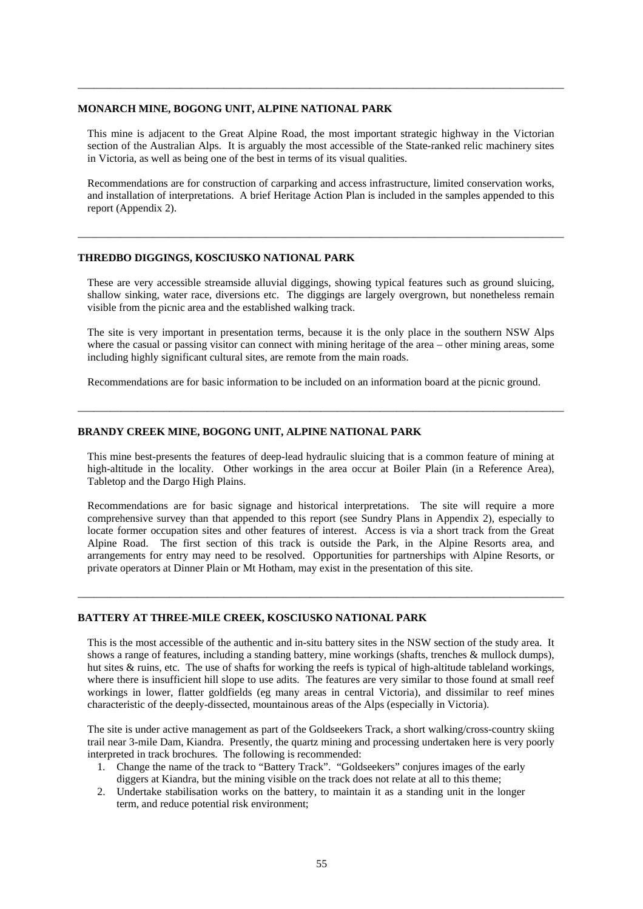#### **MONARCH MINE, BOGONG UNIT, ALPINE NATIONAL PARK**

This mine is adjacent to the Great Alpine Road, the most important strategic highway in the Victorian section of the Australian Alps. It is arguably the most accessible of the State-ranked relic machinery sites in Victoria, as well as being one of the best in terms of its visual qualities.

\_\_\_\_\_\_\_\_\_\_\_\_\_\_\_\_\_\_\_\_\_\_\_\_\_\_\_\_\_\_\_\_\_\_\_\_\_\_\_\_\_\_\_\_\_\_\_\_\_\_\_\_\_\_\_\_\_\_\_\_\_\_\_\_\_\_\_\_\_\_\_\_\_\_\_\_\_\_\_\_\_\_\_\_\_\_\_\_\_\_

Recommendations are for construction of carparking and access infrastructure, limited conservation works, and installation of interpretations. A brief Heritage Action Plan is included in the samples appended to this report (Appendix 2).

\_\_\_\_\_\_\_\_\_\_\_\_\_\_\_\_\_\_\_\_\_\_\_\_\_\_\_\_\_\_\_\_\_\_\_\_\_\_\_\_\_\_\_\_\_\_\_\_\_\_\_\_\_\_\_\_\_\_\_\_\_\_\_\_\_\_\_\_\_\_\_\_\_\_\_\_\_\_\_\_\_\_\_\_\_\_\_\_\_\_

#### **THREDBO DIGGINGS, KOSCIUSKO NATIONAL PARK**

These are very accessible streamside alluvial diggings, showing typical features such as ground sluicing, shallow sinking, water race, diversions etc. The diggings are largely overgrown, but nonetheless remain visible from the picnic area and the established walking track.

The site is very important in presentation terms, because it is the only place in the southern NSW Alps where the casual or passing visitor can connect with mining heritage of the area – other mining areas, some including highly significant cultural sites, are remote from the main roads.

Recommendations are for basic information to be included on an information board at the picnic ground.

\_\_\_\_\_\_\_\_\_\_\_\_\_\_\_\_\_\_\_\_\_\_\_\_\_\_\_\_\_\_\_\_\_\_\_\_\_\_\_\_\_\_\_\_\_\_\_\_\_\_\_\_\_\_\_\_\_\_\_\_\_\_\_\_\_\_\_\_\_\_\_\_\_\_\_\_\_\_\_\_\_\_\_\_\_\_\_\_\_\_

#### **BRANDY CREEK MINE, BOGONG UNIT, ALPINE NATIONAL PARK**

This mine best-presents the features of deep-lead hydraulic sluicing that is a common feature of mining at high-altitude in the locality. Other workings in the area occur at Boiler Plain (in a Reference Area), Tabletop and the Dargo High Plains.

Recommendations are for basic signage and historical interpretations. The site will require a more comprehensive survey than that appended to this report (see Sundry Plans in Appendix 2), especially to locate former occupation sites and other features of interest. Access is via a short track from the Great Alpine Road. The first section of this track is outside the Park, in the Alpine Resorts area, and arrangements for entry may need to be resolved. Opportunities for partnerships with Alpine Resorts, or private operators at Dinner Plain or Mt Hotham, may exist in the presentation of this site.

\_\_\_\_\_\_\_\_\_\_\_\_\_\_\_\_\_\_\_\_\_\_\_\_\_\_\_\_\_\_\_\_\_\_\_\_\_\_\_\_\_\_\_\_\_\_\_\_\_\_\_\_\_\_\_\_\_\_\_\_\_\_\_\_\_\_\_\_\_\_\_\_\_\_\_\_\_\_\_\_\_\_\_\_\_\_\_\_\_\_

#### **BATTERY AT THREE-MILE CREEK, KOSCIUSKO NATIONAL PARK**

This is the most accessible of the authentic and in-situ battery sites in the NSW section of the study area. It shows a range of features, including a standing battery, mine workings (shafts, trenches & mullock dumps), hut sites & ruins, etc. The use of shafts for working the reefs is typical of high-altitude tableland workings, where there is insufficient hill slope to use adits. The features are very similar to those found at small reef workings in lower, flatter goldfields (eg many areas in central Victoria), and dissimilar to reef mines characteristic of the deeply-dissected, mountainous areas of the Alps (especially in Victoria).

The site is under active management as part of the Goldseekers Track, a short walking/cross-country skiing trail near 3-mile Dam, Kiandra. Presently, the quartz mining and processing undertaken here is very poorly interpreted in track brochures. The following is recommended:

- 1. Change the name of the track to "Battery Track". "Goldseekers" conjures images of the early diggers at Kiandra, but the mining visible on the track does not relate at all to this theme;
- 2. Undertake stabilisation works on the battery, to maintain it as a standing unit in the longer term, and reduce potential risk environment;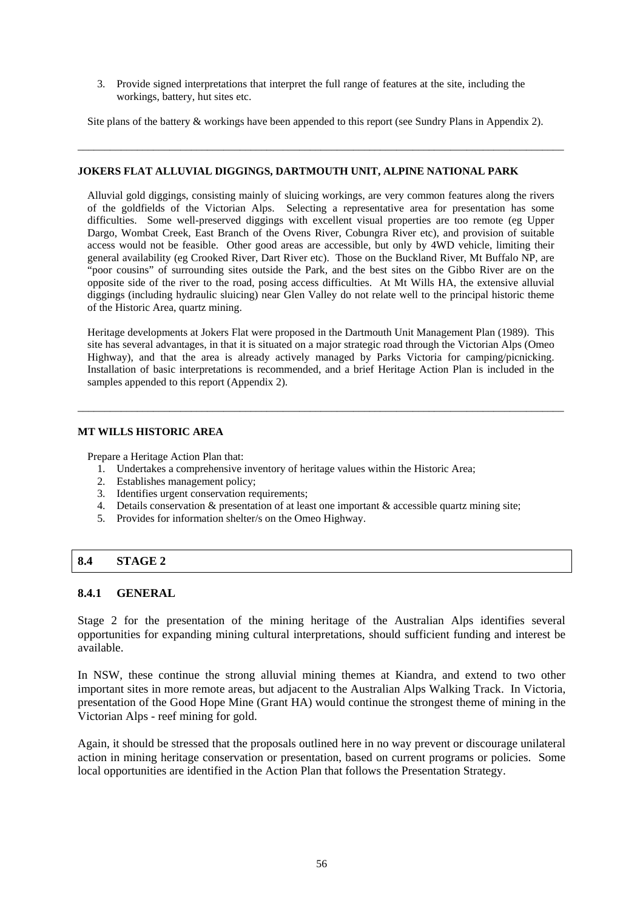3. Provide signed interpretations that interpret the full range of features at the site, including the workings, battery, hut sites etc.

Site plans of the battery & workings have been appended to this report (see Sundry Plans in Appendix 2).

\_\_\_\_\_\_\_\_\_\_\_\_\_\_\_\_\_\_\_\_\_\_\_\_\_\_\_\_\_\_\_\_\_\_\_\_\_\_\_\_\_\_\_\_\_\_\_\_\_\_\_\_\_\_\_\_\_\_\_\_\_\_\_\_\_\_\_\_\_\_\_\_\_\_\_\_\_\_\_\_\_\_\_\_\_\_\_\_\_\_

### **JOKERS FLAT ALLUVIAL DIGGINGS, DARTMOUTH UNIT, ALPINE NATIONAL PARK**

Alluvial gold diggings, consisting mainly of sluicing workings, are very common features along the rivers of the goldfields of the Victorian Alps. Selecting a representative area for presentation has some difficulties. Some well-preserved diggings with excellent visual properties are too remote (eg Upper Dargo, Wombat Creek, East Branch of the Ovens River, Cobungra River etc), and provision of suitable access would not be feasible. Other good areas are accessible, but only by 4WD vehicle, limiting their general availability (eg Crooked River, Dart River etc). Those on the Buckland River, Mt Buffalo NP, are "poor cousins" of surrounding sites outside the Park, and the best sites on the Gibbo River are on the opposite side of the river to the road, posing access difficulties. At Mt Wills HA, the extensive alluvial diggings (including hydraulic sluicing) near Glen Valley do not relate well to the principal historic theme of the Historic Area, quartz mining.

Heritage developments at Jokers Flat were proposed in the Dartmouth Unit Management Plan (1989). This site has several advantages, in that it is situated on a major strategic road through the Victorian Alps (Omeo Highway), and that the area is already actively managed by Parks Victoria for camping/picnicking. Installation of basic interpretations is recommended, and a brief Heritage Action Plan is included in the samples appended to this report (Appendix 2).

\_\_\_\_\_\_\_\_\_\_\_\_\_\_\_\_\_\_\_\_\_\_\_\_\_\_\_\_\_\_\_\_\_\_\_\_\_\_\_\_\_\_\_\_\_\_\_\_\_\_\_\_\_\_\_\_\_\_\_\_\_\_\_\_\_\_\_\_\_\_\_\_\_\_\_\_\_\_\_\_\_\_\_\_\_\_\_\_\_\_

### **MT WILLS HISTORIC AREA**

Prepare a Heritage Action Plan that:

- 1. Undertakes a comprehensive inventory of heritage values within the Historic Area;
- 2. Establishes management policy;
- 3. Identifies urgent conservation requirements;
- 4. Details conservation & presentation of at least one important & accessible quartz mining site;
- 5. Provides for information shelter/s on the Omeo Highway.

### **8.4 STAGE 2**

#### **8.4.1 GENERAL**

Stage 2 for the presentation of the mining heritage of the Australian Alps identifies several opportunities for expanding mining cultural interpretations, should sufficient funding and interest be available.

In NSW, these continue the strong alluvial mining themes at Kiandra, and extend to two other important sites in more remote areas, but adjacent to the Australian Alps Walking Track. In Victoria, presentation of the Good Hope Mine (Grant HA) would continue the strongest theme of mining in the Victorian Alps - reef mining for gold.

Again, it should be stressed that the proposals outlined here in no way prevent or discourage unilateral action in mining heritage conservation or presentation, based on current programs or policies. Some local opportunities are identified in the Action Plan that follows the Presentation Strategy.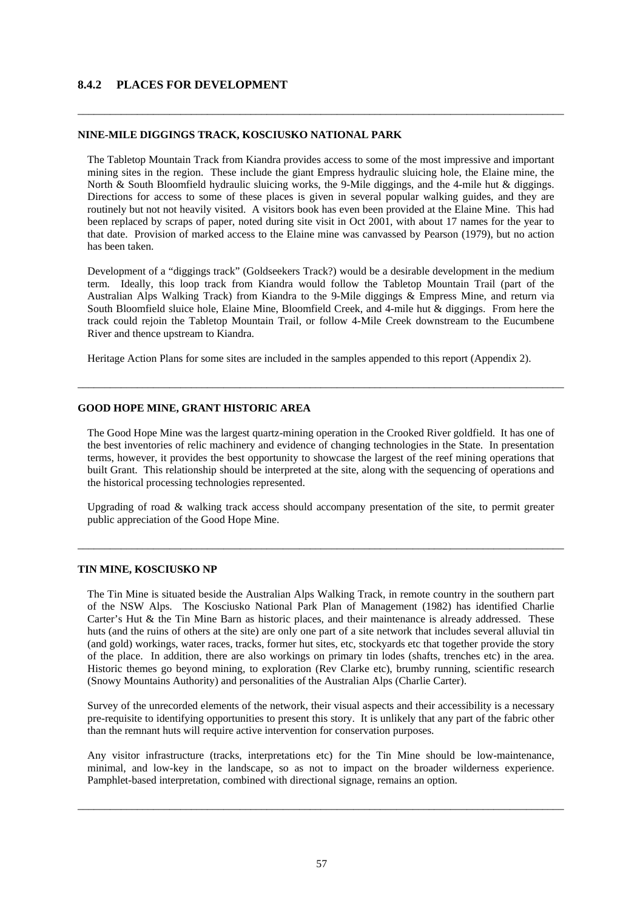### **8.4.2 PLACES FOR DEVELOPMENT**

#### **NINE-MILE DIGGINGS TRACK, KOSCIUSKO NATIONAL PARK**

The Tabletop Mountain Track from Kiandra provides access to some of the most impressive and important mining sites in the region. These include the giant Empress hydraulic sluicing hole, the Elaine mine, the North & South Bloomfield hydraulic sluicing works, the 9-Mile diggings, and the 4-mile hut & diggings. Directions for access to some of these places is given in several popular walking guides, and they are routinely but not not heavily visited. A visitors book has even been provided at the Elaine Mine. This had been replaced by scraps of paper, noted during site visit in Oct 2001, with about 17 names for the year to that date. Provision of marked access to the Elaine mine was canvassed by Pearson (1979), but no action has been taken.

\_\_\_\_\_\_\_\_\_\_\_\_\_\_\_\_\_\_\_\_\_\_\_\_\_\_\_\_\_\_\_\_\_\_\_\_\_\_\_\_\_\_\_\_\_\_\_\_\_\_\_\_\_\_\_\_\_\_\_\_\_\_\_\_\_\_\_\_\_\_\_\_\_\_\_\_\_\_\_\_\_\_\_\_\_\_\_\_\_\_

Development of a "diggings track" (Goldseekers Track?) would be a desirable development in the medium term. Ideally, this loop track from Kiandra would follow the Tabletop Mountain Trail (part of the Australian Alps Walking Track) from Kiandra to the 9-Mile diggings & Empress Mine, and return via South Bloomfield sluice hole, Elaine Mine, Bloomfield Creek, and 4-mile hut & diggings. From here the track could rejoin the Tabletop Mountain Trail, or follow 4-Mile Creek downstream to the Eucumbene River and thence upstream to Kiandra.

Heritage Action Plans for some sites are included in the samples appended to this report (Appendix 2).

#### **GOOD HOPE MINE, GRANT HISTORIC AREA**

The Good Hope Mine was the largest quartz-mining operation in the Crooked River goldfield. It has one of the best inventories of relic machinery and evidence of changing technologies in the State. In presentation terms, however, it provides the best opportunity to showcase the largest of the reef mining operations that built Grant. This relationship should be interpreted at the site, along with the sequencing of operations and the historical processing technologies represented.

\_\_\_\_\_\_\_\_\_\_\_\_\_\_\_\_\_\_\_\_\_\_\_\_\_\_\_\_\_\_\_\_\_\_\_\_\_\_\_\_\_\_\_\_\_\_\_\_\_\_\_\_\_\_\_\_\_\_\_\_\_\_\_\_\_\_\_\_\_\_\_\_\_\_\_\_\_\_\_\_\_\_\_\_\_\_\_\_\_\_

Upgrading of road & walking track access should accompany presentation of the site, to permit greater public appreciation of the Good Hope Mine.

\_\_\_\_\_\_\_\_\_\_\_\_\_\_\_\_\_\_\_\_\_\_\_\_\_\_\_\_\_\_\_\_\_\_\_\_\_\_\_\_\_\_\_\_\_\_\_\_\_\_\_\_\_\_\_\_\_\_\_\_\_\_\_\_\_\_\_\_\_\_\_\_\_\_\_\_\_\_\_\_\_\_\_\_\_\_\_\_\_\_

#### **TIN MINE, KOSCIUSKO NP**

The Tin Mine is situated beside the Australian Alps Walking Track, in remote country in the southern part of the NSW Alps. The Kosciusko National Park Plan of Management (1982) has identified Charlie Carter's Hut & the Tin Mine Barn as historic places, and their maintenance is already addressed. These huts (and the ruins of others at the site) are only one part of a site network that includes several alluvial tin (and gold) workings, water races, tracks, former hut sites, etc, stockyards etc that together provide the story of the place. In addition, there are also workings on primary tin lodes (shafts, trenches etc) in the area. Historic themes go beyond mining, to exploration (Rev Clarke etc), brumby running, scientific research (Snowy Mountains Authority) and personalities of the Australian Alps (Charlie Carter).

Survey of the unrecorded elements of the network, their visual aspects and their accessibility is a necessary pre-requisite to identifying opportunities to present this story. It is unlikely that any part of the fabric other than the remnant huts will require active intervention for conservation purposes.

Any visitor infrastructure (tracks, interpretations etc) for the Tin Mine should be low-maintenance, minimal, and low-key in the landscape, so as not to impact on the broader wilderness experience. Pamphlet-based interpretation, combined with directional signage, remains an option.

\_\_\_\_\_\_\_\_\_\_\_\_\_\_\_\_\_\_\_\_\_\_\_\_\_\_\_\_\_\_\_\_\_\_\_\_\_\_\_\_\_\_\_\_\_\_\_\_\_\_\_\_\_\_\_\_\_\_\_\_\_\_\_\_\_\_\_\_\_\_\_\_\_\_\_\_\_\_\_\_\_\_\_\_\_\_\_\_\_\_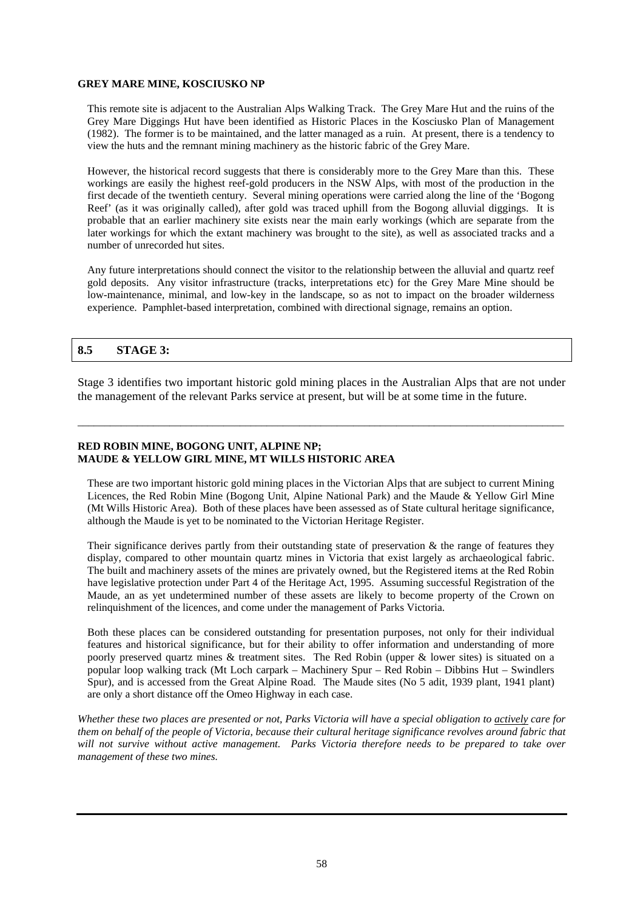#### **GREY MARE MINE, KOSCIUSKO NP**

This remote site is adjacent to the Australian Alps Walking Track. The Grey Mare Hut and the ruins of the Grey Mare Diggings Hut have been identified as Historic Places in the Kosciusko Plan of Management (1982). The former is to be maintained, and the latter managed as a ruin. At present, there is a tendency to view the huts and the remnant mining machinery as the historic fabric of the Grey Mare.

However, the historical record suggests that there is considerably more to the Grey Mare than this. These workings are easily the highest reef-gold producers in the NSW Alps, with most of the production in the first decade of the twentieth century. Several mining operations were carried along the line of the 'Bogong Reef' (as it was originally called), after gold was traced uphill from the Bogong alluvial diggings. It is probable that an earlier machinery site exists near the main early workings (which are separate from the later workings for which the extant machinery was brought to the site), as well as associated tracks and a number of unrecorded hut sites.

Any future interpretations should connect the visitor to the relationship between the alluvial and quartz reef gold deposits. Any visitor infrastructure (tracks, interpretations etc) for the Grey Mare Mine should be low-maintenance, minimal, and low-key in the landscape, so as not to impact on the broader wilderness experience. Pamphlet-based interpretation, combined with directional signage, remains an option.

### **8.5 STAGE 3:**

Stage 3 identifies two important historic gold mining places in the Australian Alps that are not under the management of the relevant Parks service at present, but will be at some time in the future.

\_\_\_\_\_\_\_\_\_\_\_\_\_\_\_\_\_\_\_\_\_\_\_\_\_\_\_\_\_\_\_\_\_\_\_\_\_\_\_\_\_\_\_\_\_\_\_\_\_\_\_\_\_\_\_\_\_\_\_\_\_\_\_\_\_\_\_\_\_\_\_\_\_\_\_\_\_\_\_\_\_\_\_\_\_\_\_\_\_\_

### **RED ROBIN MINE, BOGONG UNIT, ALPINE NP; MAUDE & YELLOW GIRL MINE, MT WILLS HISTORIC AREA**

These are two important historic gold mining places in the Victorian Alps that are subject to current Mining Licences, the Red Robin Mine (Bogong Unit, Alpine National Park) and the Maude & Yellow Girl Mine (Mt Wills Historic Area). Both of these places have been assessed as of State cultural heritage significance, although the Maude is yet to be nominated to the Victorian Heritage Register.

Their significance derives partly from their outstanding state of preservation & the range of features they display, compared to other mountain quartz mines in Victoria that exist largely as archaeological fabric. The built and machinery assets of the mines are privately owned, but the Registered items at the Red Robin have legislative protection under Part 4 of the Heritage Act, 1995. Assuming successful Registration of the Maude, an as yet undetermined number of these assets are likely to become property of the Crown on relinquishment of the licences, and come under the management of Parks Victoria.

Both these places can be considered outstanding for presentation purposes, not only for their individual features and historical significance, but for their ability to offer information and understanding of more poorly preserved quartz mines & treatment sites. The Red Robin (upper & lower sites) is situated on a popular loop walking track (Mt Loch carpark – Machinery Spur – Red Robin – Dibbins Hut – Swindlers Spur), and is accessed from the Great Alpine Road. The Maude sites (No 5 adit, 1939 plant, 1941 plant) are only a short distance off the Omeo Highway in each case.

*Whether these two places are presented or not, Parks Victoria will have a special obligation to actively care for them on behalf of the people of Victoria, because their cultural heritage significance revolves around fabric that will not survive without active management. Parks Victoria therefore needs to be prepared to take over management of these two mines.*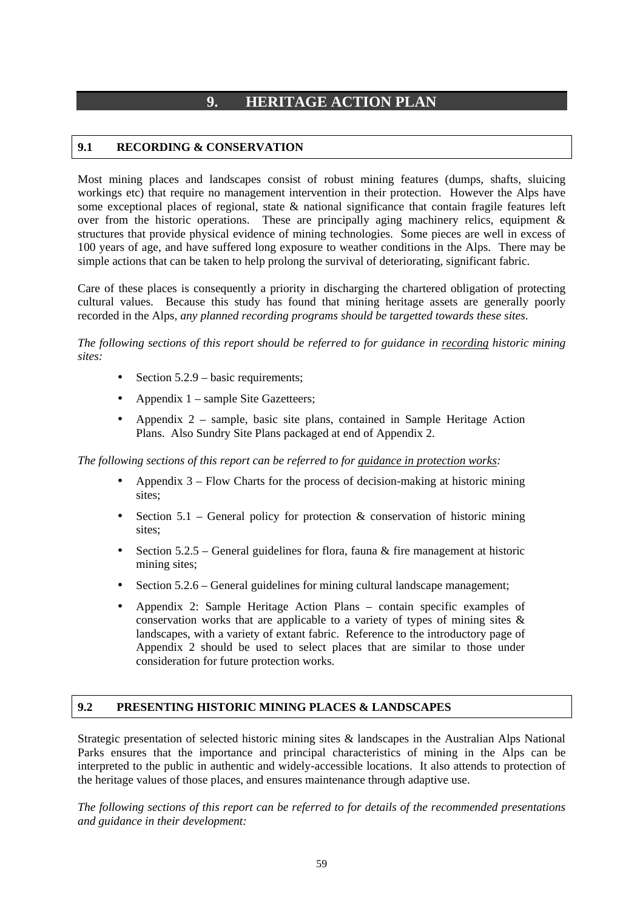# **9. HERITAGE ACTION PLAN**

# **9.1 RECORDING & CONSERVATION**

Most mining places and landscapes consist of robust mining features (dumps, shafts, sluicing workings etc) that require no management intervention in their protection. However the Alps have some exceptional places of regional, state & national significance that contain fragile features left over from the historic operations. These are principally aging machinery relics, equipment & structures that provide physical evidence of mining technologies. Some pieces are well in excess of 100 years of age, and have suffered long exposure to weather conditions in the Alps. There may be simple actions that can be taken to help prolong the survival of deteriorating, significant fabric.

Care of these places is consequently a priority in discharging the chartered obligation of protecting cultural values. Because this study has found that mining heritage assets are generally poorly recorded in the Alps, *any planned recording programs should be targetted towards these sites*.

*The following sections of this report should be referred to for guidance in recording historic mining sites:* 

- Section 5.2.9 basic requirements;
- Appendix  $1$  sample Site Gazetteers;
- Appendix 2 sample, basic site plans, contained in Sample Heritage Action Plans. Also Sundry Site Plans packaged at end of Appendix 2.

*The following sections of this report can be referred to for guidance in protection works:* 

- Appendix 3 Flow Charts for the process of decision-making at historic mining sites:
- Section  $5.1$  General policy for protection  $\&$  conservation of historic mining sites:
- Section  $5.2.5$  General guidelines for flora, fauna & fire management at historic mining sites;
- Section 5.2.6 General guidelines for mining cultural landscape management;
- Appendix 2: Sample Heritage Action Plans contain specific examples of conservation works that are applicable to a variety of types of mining sites & landscapes, with a variety of extant fabric. Reference to the introductory page of Appendix 2 should be used to select places that are similar to those under consideration for future protection works.

# **9.2 PRESENTING HISTORIC MINING PLACES & LANDSCAPES**

Strategic presentation of selected historic mining sites & landscapes in the Australian Alps National Parks ensures that the importance and principal characteristics of mining in the Alps can be interpreted to the public in authentic and widely-accessible locations. It also attends to protection of the heritage values of those places, and ensures maintenance through adaptive use.

*The following sections of this report can be referred to for details of the recommended presentations and guidance in their development:*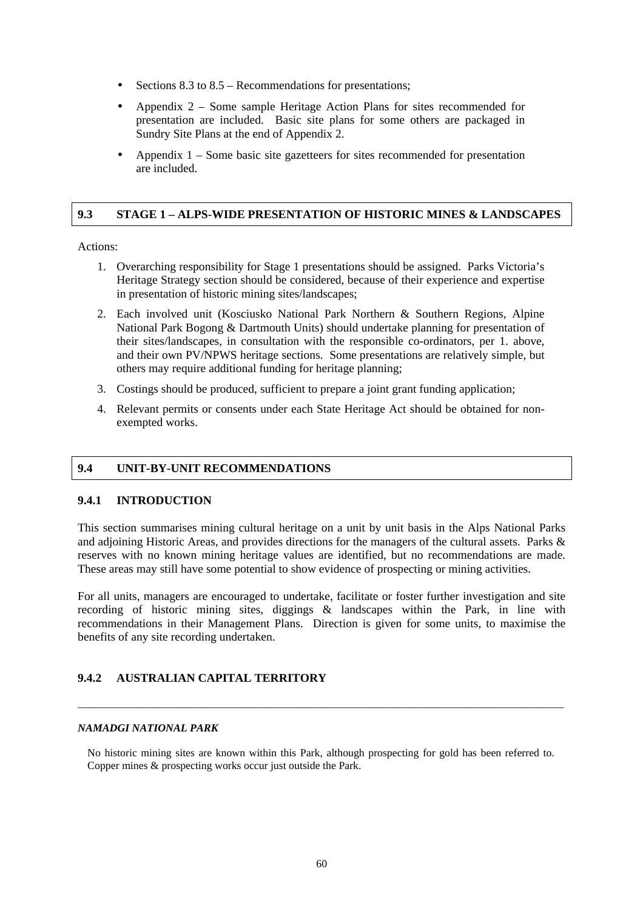- Sections 8.3 to 8.5 Recommendations for presentations;
- Appendix 2 Some sample Heritage Action Plans for sites recommended for presentation are included. Basic site plans for some others are packaged in Sundry Site Plans at the end of Appendix 2.
- Appendix 1 Some basic site gazetteers for sites recommended for presentation are included.

### **9.3 STAGE 1 – ALPS-WIDE PRESENTATION OF HISTORIC MINES & LANDSCAPES**

#### Actions:

- 1. Overarching responsibility for Stage 1 presentations should be assigned. Parks Victoria's Heritage Strategy section should be considered, because of their experience and expertise in presentation of historic mining sites/landscapes;
- 2. Each involved unit (Kosciusko National Park Northern & Southern Regions, Alpine National Park Bogong & Dartmouth Units) should undertake planning for presentation of their sites/landscapes, in consultation with the responsible co-ordinators, per 1. above, and their own PV/NPWS heritage sections. Some presentations are relatively simple, but others may require additional funding for heritage planning;
- 3. Costings should be produced, sufficient to prepare a joint grant funding application;
- 4. Relevant permits or consents under each State Heritage Act should be obtained for nonexempted works.

#### **9.4 UNIT-BY-UNIT RECOMMENDATIONS**

#### **9.4.1 INTRODUCTION**

This section summarises mining cultural heritage on a unit by unit basis in the Alps National Parks and adjoining Historic Areas, and provides directions for the managers of the cultural assets. Parks & reserves with no known mining heritage values are identified, but no recommendations are made. These areas may still have some potential to show evidence of prospecting or mining activities.

For all units, managers are encouraged to undertake, facilitate or foster further investigation and site recording of historic mining sites, diggings & landscapes within the Park, in line with recommendations in their Management Plans. Direction is given for some units, to maximise the benefits of any site recording undertaken.

### **9.4.2 AUSTRALIAN CAPITAL TERRITORY**

### *NAMADGI NATIONAL PARK*

No historic mining sites are known within this Park, although prospecting for gold has been referred to. Copper mines & prospecting works occur just outside the Park.

\_\_\_\_\_\_\_\_\_\_\_\_\_\_\_\_\_\_\_\_\_\_\_\_\_\_\_\_\_\_\_\_\_\_\_\_\_\_\_\_\_\_\_\_\_\_\_\_\_\_\_\_\_\_\_\_\_\_\_\_\_\_\_\_\_\_\_\_\_\_\_\_\_\_\_\_\_\_\_\_\_\_\_\_\_\_\_\_\_\_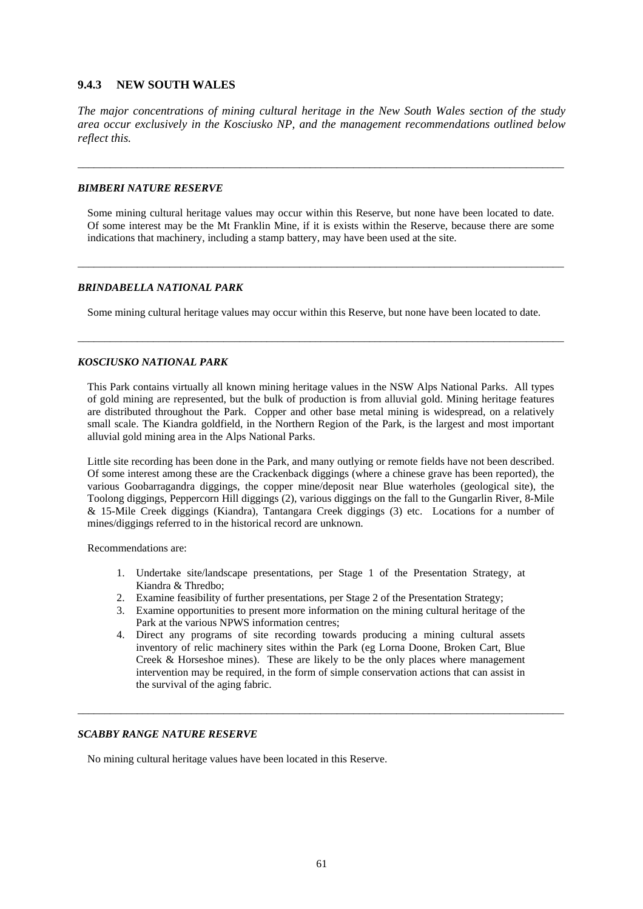### **9.4.3 NEW SOUTH WALES**

*The major concentrations of mining cultural heritage in the New South Wales section of the study area occur exclusively in the Kosciusko NP, and the management recommendations outlined below reflect this.* 

\_\_\_\_\_\_\_\_\_\_\_\_\_\_\_\_\_\_\_\_\_\_\_\_\_\_\_\_\_\_\_\_\_\_\_\_\_\_\_\_\_\_\_\_\_\_\_\_\_\_\_\_\_\_\_\_\_\_\_\_\_\_\_\_\_\_\_\_\_\_\_\_\_\_\_\_\_\_\_\_\_\_\_\_\_\_\_\_\_\_

#### *BIMBERI NATURE RESERVE*

Some mining cultural heritage values may occur within this Reserve, but none have been located to date. Of some interest may be the Mt Franklin Mine, if it is exists within the Reserve, because there are some indications that machinery, including a stamp battery, may have been used at the site.

\_\_\_\_\_\_\_\_\_\_\_\_\_\_\_\_\_\_\_\_\_\_\_\_\_\_\_\_\_\_\_\_\_\_\_\_\_\_\_\_\_\_\_\_\_\_\_\_\_\_\_\_\_\_\_\_\_\_\_\_\_\_\_\_\_\_\_\_\_\_\_\_\_\_\_\_\_\_\_\_\_\_\_\_\_\_\_\_\_\_

#### *BRINDABELLA NATIONAL PARK*

Some mining cultural heritage values may occur within this Reserve, but none have been located to date.

\_\_\_\_\_\_\_\_\_\_\_\_\_\_\_\_\_\_\_\_\_\_\_\_\_\_\_\_\_\_\_\_\_\_\_\_\_\_\_\_\_\_\_\_\_\_\_\_\_\_\_\_\_\_\_\_\_\_\_\_\_\_\_\_\_\_\_\_\_\_\_\_\_\_\_\_\_\_\_\_\_\_\_\_\_\_\_\_\_\_

#### *KOSCIUSKO NATIONAL PARK*

This Park contains virtually all known mining heritage values in the NSW Alps National Parks. All types of gold mining are represented, but the bulk of production is from alluvial gold. Mining heritage features are distributed throughout the Park. Copper and other base metal mining is widespread, on a relatively small scale. The Kiandra goldfield, in the Northern Region of the Park, is the largest and most important alluvial gold mining area in the Alps National Parks.

Little site recording has been done in the Park, and many outlying or remote fields have not been described. Of some interest among these are the Crackenback diggings (where a chinese grave has been reported), the various Goobarragandra diggings, the copper mine/deposit near Blue waterholes (geological site), the Toolong diggings, Peppercorn Hill diggings (2), various diggings on the fall to the Gungarlin River, 8-Mile & 15-Mile Creek diggings (Kiandra), Tantangara Creek diggings (3) etc. Locations for a number of mines/diggings referred to in the historical record are unknown.

Recommendations are:

- 1. Undertake site/landscape presentations, per Stage 1 of the Presentation Strategy, at Kiandra & Thredbo;
- 2. Examine feasibility of further presentations, per Stage 2 of the Presentation Strategy;
- 3. Examine opportunities to present more information on the mining cultural heritage of the Park at the various NPWS information centres;
- 4. Direct any programs of site recording towards producing a mining cultural assets inventory of relic machinery sites within the Park (eg Lorna Doone, Broken Cart, Blue Creek & Horseshoe mines). These are likely to be the only places where management intervention may be required, in the form of simple conservation actions that can assist in the survival of the aging fabric.

\_\_\_\_\_\_\_\_\_\_\_\_\_\_\_\_\_\_\_\_\_\_\_\_\_\_\_\_\_\_\_\_\_\_\_\_\_\_\_\_\_\_\_\_\_\_\_\_\_\_\_\_\_\_\_\_\_\_\_\_\_\_\_\_\_\_\_\_\_\_\_\_\_\_\_\_\_\_\_\_\_\_\_\_\_\_\_\_\_\_

#### *SCABBY RANGE NATURE RESERVE*

No mining cultural heritage values have been located in this Reserve.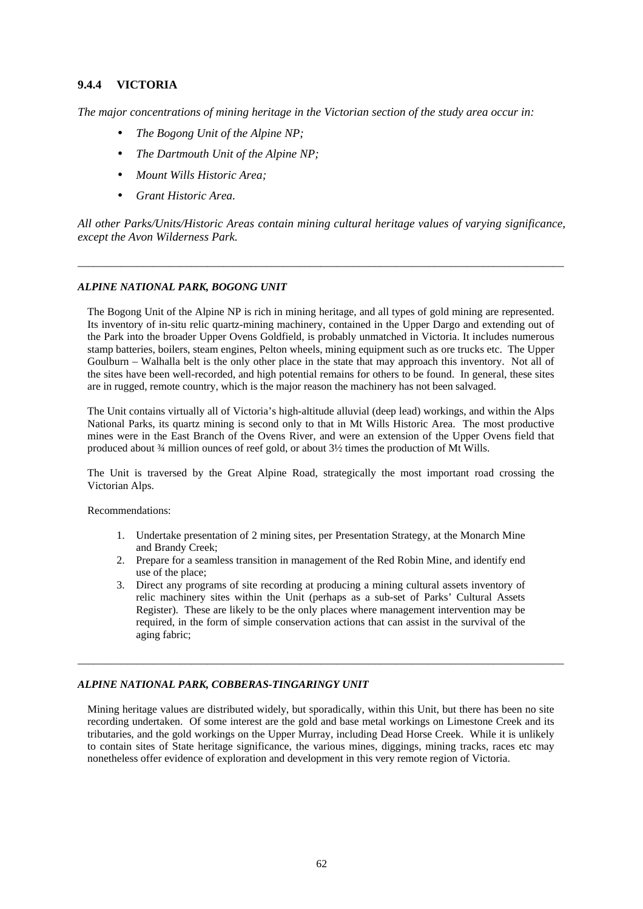### **9.4.4 VICTORIA**

*The major concentrations of mining heritage in the Victorian section of the study area occur in:* 

- *The Bogong Unit of the Alpine NP;*
- *The Dartmouth Unit of the Alpine NP;*
- *Mount Wills Historic Area;*
- *Grant Historic Area.*

*All other Parks/Units/Historic Areas contain mining cultural heritage values of varying significance, except the Avon Wilderness Park.* 

\_\_\_\_\_\_\_\_\_\_\_\_\_\_\_\_\_\_\_\_\_\_\_\_\_\_\_\_\_\_\_\_\_\_\_\_\_\_\_\_\_\_\_\_\_\_\_\_\_\_\_\_\_\_\_\_\_\_\_\_\_\_\_\_\_\_\_\_\_\_\_\_\_\_\_\_\_\_\_\_\_\_\_\_\_\_\_\_\_\_

### *ALPINE NATIONAL PARK, BOGONG UNIT*

The Bogong Unit of the Alpine NP is rich in mining heritage, and all types of gold mining are represented. Its inventory of in-situ relic quartz-mining machinery, contained in the Upper Dargo and extending out of the Park into the broader Upper Ovens Goldfield, is probably unmatched in Victoria. It includes numerous stamp batteries, boilers, steam engines, Pelton wheels, mining equipment such as ore trucks etc. The Upper Goulburn – Walhalla belt is the only other place in the state that may approach this inventory. Not all of the sites have been well-recorded, and high potential remains for others to be found. In general, these sites are in rugged, remote country, which is the major reason the machinery has not been salvaged.

The Unit contains virtually all of Victoria's high-altitude alluvial (deep lead) workings, and within the Alps National Parks, its quartz mining is second only to that in Mt Wills Historic Area. The most productive mines were in the East Branch of the Ovens River, and were an extension of the Upper Ovens field that produced about ¾ million ounces of reef gold, or about 3½ times the production of Mt Wills.

The Unit is traversed by the Great Alpine Road, strategically the most important road crossing the Victorian Alps.

Recommendations:

- 1. Undertake presentation of 2 mining sites, per Presentation Strategy, at the Monarch Mine and Brandy Creek;
- 2. Prepare for a seamless transition in management of the Red Robin Mine, and identify end use of the place;
- 3. Direct any programs of site recording at producing a mining cultural assets inventory of relic machinery sites within the Unit (perhaps as a sub-set of Parks' Cultural Assets Register). These are likely to be the only places where management intervention may be required, in the form of simple conservation actions that can assist in the survival of the aging fabric;

\_\_\_\_\_\_\_\_\_\_\_\_\_\_\_\_\_\_\_\_\_\_\_\_\_\_\_\_\_\_\_\_\_\_\_\_\_\_\_\_\_\_\_\_\_\_\_\_\_\_\_\_\_\_\_\_\_\_\_\_\_\_\_\_\_\_\_\_\_\_\_\_\_\_\_\_\_\_\_\_\_\_\_\_\_\_\_\_\_\_

#### *ALPINE NATIONAL PARK, COBBERAS-TINGARINGY UNIT*

Mining heritage values are distributed widely, but sporadically, within this Unit, but there has been no site recording undertaken. Of some interest are the gold and base metal workings on Limestone Creek and its tributaries, and the gold workings on the Upper Murray, including Dead Horse Creek. While it is unlikely to contain sites of State heritage significance, the various mines, diggings, mining tracks, races etc may nonetheless offer evidence of exploration and development in this very remote region of Victoria.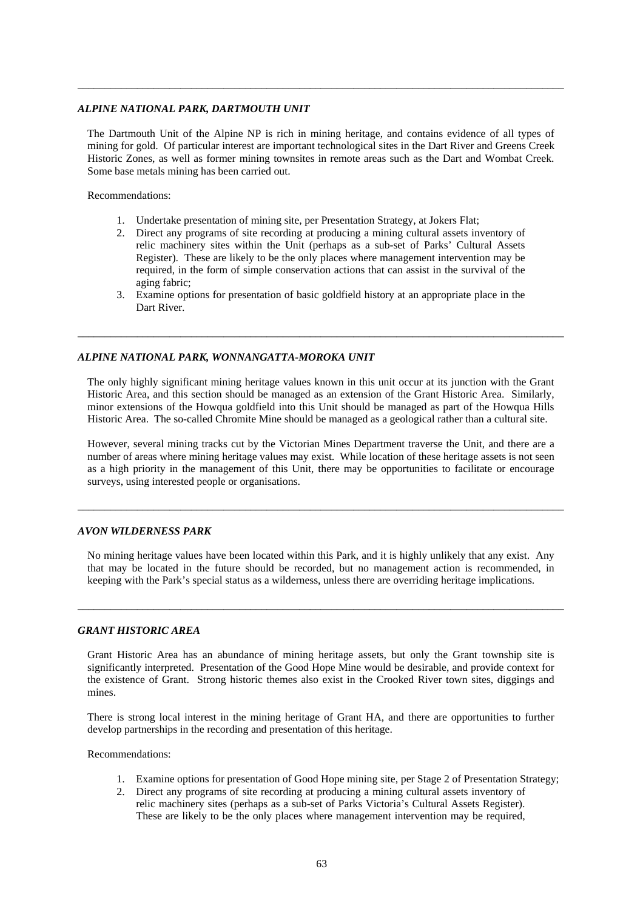#### *ALPINE NATIONAL PARK, DARTMOUTH UNIT*

The Dartmouth Unit of the Alpine NP is rich in mining heritage, and contains evidence of all types of mining for gold. Of particular interest are important technological sites in the Dart River and Greens Creek Historic Zones, as well as former mining townsites in remote areas such as the Dart and Wombat Creek. Some base metals mining has been carried out.

\_\_\_\_\_\_\_\_\_\_\_\_\_\_\_\_\_\_\_\_\_\_\_\_\_\_\_\_\_\_\_\_\_\_\_\_\_\_\_\_\_\_\_\_\_\_\_\_\_\_\_\_\_\_\_\_\_\_\_\_\_\_\_\_\_\_\_\_\_\_\_\_\_\_\_\_\_\_\_\_\_\_\_\_\_\_\_\_\_\_

Recommendations:

- 1. Undertake presentation of mining site, per Presentation Strategy, at Jokers Flat;
- 2. Direct any programs of site recording at producing a mining cultural assets inventory of relic machinery sites within the Unit (perhaps as a sub-set of Parks' Cultural Assets Register). These are likely to be the only places where management intervention may be required, in the form of simple conservation actions that can assist in the survival of the aging fabric;
- 3. Examine options for presentation of basic goldfield history at an appropriate place in the Dart River.

\_\_\_\_\_\_\_\_\_\_\_\_\_\_\_\_\_\_\_\_\_\_\_\_\_\_\_\_\_\_\_\_\_\_\_\_\_\_\_\_\_\_\_\_\_\_\_\_\_\_\_\_\_\_\_\_\_\_\_\_\_\_\_\_\_\_\_\_\_\_\_\_\_\_\_\_\_\_\_\_\_\_\_\_\_\_\_\_\_\_

#### *ALPINE NATIONAL PARK, WONNANGATTA-MOROKA UNIT*

The only highly significant mining heritage values known in this unit occur at its junction with the Grant Historic Area, and this section should be managed as an extension of the Grant Historic Area. Similarly, minor extensions of the Howqua goldfield into this Unit should be managed as part of the Howqua Hills Historic Area. The so-called Chromite Mine should be managed as a geological rather than a cultural site.

However, several mining tracks cut by the Victorian Mines Department traverse the Unit, and there are a number of areas where mining heritage values may exist. While location of these heritage assets is not seen as a high priority in the management of this Unit, there may be opportunities to facilitate or encourage surveys, using interested people or organisations.

\_\_\_\_\_\_\_\_\_\_\_\_\_\_\_\_\_\_\_\_\_\_\_\_\_\_\_\_\_\_\_\_\_\_\_\_\_\_\_\_\_\_\_\_\_\_\_\_\_\_\_\_\_\_\_\_\_\_\_\_\_\_\_\_\_\_\_\_\_\_\_\_\_\_\_\_\_\_\_\_\_\_\_\_\_\_\_\_\_\_

#### *AVON WILDERNESS PARK*

No mining heritage values have been located within this Park, and it is highly unlikely that any exist. Any that may be located in the future should be recorded, but no management action is recommended, in keeping with the Park's special status as a wilderness, unless there are overriding heritage implications.

\_\_\_\_\_\_\_\_\_\_\_\_\_\_\_\_\_\_\_\_\_\_\_\_\_\_\_\_\_\_\_\_\_\_\_\_\_\_\_\_\_\_\_\_\_\_\_\_\_\_\_\_\_\_\_\_\_\_\_\_\_\_\_\_\_\_\_\_\_\_\_\_\_\_\_\_\_\_\_\_\_\_\_\_\_\_\_\_\_\_

#### *GRANT HISTORIC AREA*

Grant Historic Area has an abundance of mining heritage assets, but only the Grant township site is significantly interpreted. Presentation of the Good Hope Mine would be desirable, and provide context for the existence of Grant. Strong historic themes also exist in the Crooked River town sites, diggings and mines.

There is strong local interest in the mining heritage of Grant HA, and there are opportunities to further develop partnerships in the recording and presentation of this heritage.

Recommendations:

- 1. Examine options for presentation of Good Hope mining site, per Stage 2 of Presentation Strategy;
- 2. Direct any programs of site recording at producing a mining cultural assets inventory of relic machinery sites (perhaps as a sub-set of Parks Victoria's Cultural Assets Register). These are likely to be the only places where management intervention may be required,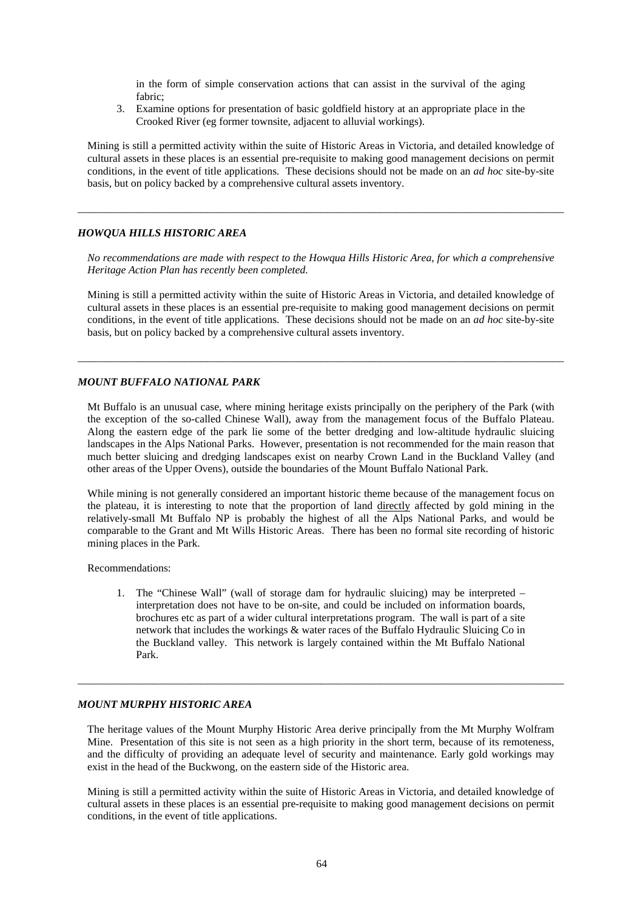in the form of simple conservation actions that can assist in the survival of the aging fabric;

3. Examine options for presentation of basic goldfield history at an appropriate place in the Crooked River (eg former townsite, adjacent to alluvial workings).

Mining is still a permitted activity within the suite of Historic Areas in Victoria, and detailed knowledge of cultural assets in these places is an essential pre-requisite to making good management decisions on permit conditions, in the event of title applications. These decisions should not be made on an *ad hoc* site-by-site basis, but on policy backed by a comprehensive cultural assets inventory.

\_\_\_\_\_\_\_\_\_\_\_\_\_\_\_\_\_\_\_\_\_\_\_\_\_\_\_\_\_\_\_\_\_\_\_\_\_\_\_\_\_\_\_\_\_\_\_\_\_\_\_\_\_\_\_\_\_\_\_\_\_\_\_\_\_\_\_\_\_\_\_\_\_\_\_\_\_\_\_\_\_\_\_\_\_\_\_\_\_\_

#### *HOWQUA HILLS HISTORIC AREA*

*No recommendations are made with respect to the Howqua Hills Historic Area, for which a comprehensive Heritage Action Plan has recently been completed.* 

Mining is still a permitted activity within the suite of Historic Areas in Victoria, and detailed knowledge of cultural assets in these places is an essential pre-requisite to making good management decisions on permit conditions, in the event of title applications. These decisions should not be made on an *ad hoc* site-by-site basis, but on policy backed by a comprehensive cultural assets inventory.

\_\_\_\_\_\_\_\_\_\_\_\_\_\_\_\_\_\_\_\_\_\_\_\_\_\_\_\_\_\_\_\_\_\_\_\_\_\_\_\_\_\_\_\_\_\_\_\_\_\_\_\_\_\_\_\_\_\_\_\_\_\_\_\_\_\_\_\_\_\_\_\_\_\_\_\_\_\_\_\_\_\_\_\_\_\_\_\_\_\_

#### *MOUNT BUFFALO NATIONAL PARK*

Mt Buffalo is an unusual case, where mining heritage exists principally on the periphery of the Park (with the exception of the so-called Chinese Wall), away from the management focus of the Buffalo Plateau. Along the eastern edge of the park lie some of the better dredging and low-altitude hydraulic sluicing landscapes in the Alps National Parks. However, presentation is not recommended for the main reason that much better sluicing and dredging landscapes exist on nearby Crown Land in the Buckland Valley (and other areas of the Upper Ovens), outside the boundaries of the Mount Buffalo National Park.

While mining is not generally considered an important historic theme because of the management focus on the plateau, it is interesting to note that the proportion of land directly affected by gold mining in the relatively-small Mt Buffalo NP is probably the highest of all the Alps National Parks, and would be comparable to the Grant and Mt Wills Historic Areas. There has been no formal site recording of historic mining places in the Park.

Recommendations:

1. The "Chinese Wall" (wall of storage dam for hydraulic sluicing) may be interpreted – interpretation does not have to be on-site, and could be included on information boards, brochures etc as part of a wider cultural interpretations program. The wall is part of a site network that includes the workings & water races of the Buffalo Hydraulic Sluicing Co in the Buckland valley. This network is largely contained within the Mt Buffalo National Park.

\_\_\_\_\_\_\_\_\_\_\_\_\_\_\_\_\_\_\_\_\_\_\_\_\_\_\_\_\_\_\_\_\_\_\_\_\_\_\_\_\_\_\_\_\_\_\_\_\_\_\_\_\_\_\_\_\_\_\_\_\_\_\_\_\_\_\_\_\_\_\_\_\_\_\_\_\_\_\_\_\_\_\_\_\_\_\_\_\_\_

# *MOUNT MURPHY HISTORIC AREA*

The heritage values of the Mount Murphy Historic Area derive principally from the Mt Murphy Wolfram Mine. Presentation of this site is not seen as a high priority in the short term, because of its remoteness, and the difficulty of providing an adequate level of security and maintenance. Early gold workings may exist in the head of the Buckwong, on the eastern side of the Historic area.

Mining is still a permitted activity within the suite of Historic Areas in Victoria, and detailed knowledge of cultural assets in these places is an essential pre-requisite to making good management decisions on permit conditions, in the event of title applications.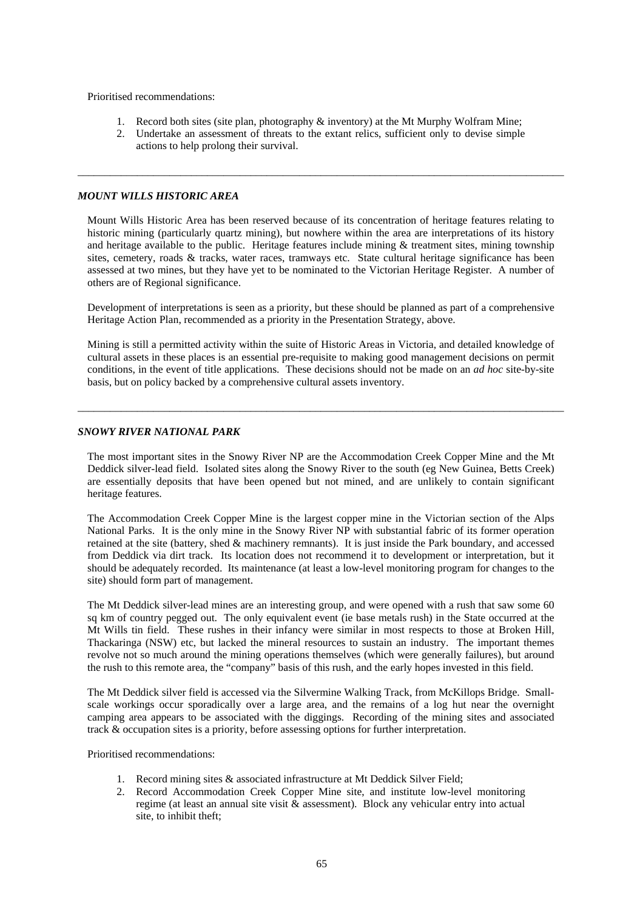Prioritised recommendations:

- 1. Record both sites (site plan, photography & inventory) at the Mt Murphy Wolfram Mine;
- 2. Undertake an assessment of threats to the extant relics, sufficient only to devise simple actions to help prolong their survival.

\_\_\_\_\_\_\_\_\_\_\_\_\_\_\_\_\_\_\_\_\_\_\_\_\_\_\_\_\_\_\_\_\_\_\_\_\_\_\_\_\_\_\_\_\_\_\_\_\_\_\_\_\_\_\_\_\_\_\_\_\_\_\_\_\_\_\_\_\_\_\_\_\_\_\_\_\_\_\_\_\_\_\_\_\_\_\_\_\_\_

### *MOUNT WILLS HISTORIC AREA*

Mount Wills Historic Area has been reserved because of its concentration of heritage features relating to historic mining (particularly quartz mining), but nowhere within the area are interpretations of its history and heritage available to the public. Heritage features include mining & treatment sites, mining township sites, cemetery, roads & tracks, water races, tramways etc. State cultural heritage significance has been assessed at two mines, but they have yet to be nominated to the Victorian Heritage Register. A number of others are of Regional significance.

Development of interpretations is seen as a priority, but these should be planned as part of a comprehensive Heritage Action Plan, recommended as a priority in the Presentation Strategy, above.

Mining is still a permitted activity within the suite of Historic Areas in Victoria, and detailed knowledge of cultural assets in these places is an essential pre-requisite to making good management decisions on permit conditions, in the event of title applications. These decisions should not be made on an *ad hoc* site-by-site basis, but on policy backed by a comprehensive cultural assets inventory.

\_\_\_\_\_\_\_\_\_\_\_\_\_\_\_\_\_\_\_\_\_\_\_\_\_\_\_\_\_\_\_\_\_\_\_\_\_\_\_\_\_\_\_\_\_\_\_\_\_\_\_\_\_\_\_\_\_\_\_\_\_\_\_\_\_\_\_\_\_\_\_\_\_\_\_\_\_\_\_\_\_\_\_\_\_\_\_\_\_\_

#### *SNOWY RIVER NATIONAL PARK*

The most important sites in the Snowy River NP are the Accommodation Creek Copper Mine and the Mt Deddick silver-lead field. Isolated sites along the Snowy River to the south (eg New Guinea, Betts Creek) are essentially deposits that have been opened but not mined, and are unlikely to contain significant heritage features.

The Accommodation Creek Copper Mine is the largest copper mine in the Victorian section of the Alps National Parks. It is the only mine in the Snowy River NP with substantial fabric of its former operation retained at the site (battery, shed & machinery remnants). It is just inside the Park boundary, and accessed from Deddick via dirt track. Its location does not recommend it to development or interpretation, but it should be adequately recorded. Its maintenance (at least a low-level monitoring program for changes to the site) should form part of management.

The Mt Deddick silver-lead mines are an interesting group, and were opened with a rush that saw some 60 sq km of country pegged out. The only equivalent event (ie base metals rush) in the State occurred at the Mt Wills tin field. These rushes in their infancy were similar in most respects to those at Broken Hill, Thackaringa (NSW) etc, but lacked the mineral resources to sustain an industry. The important themes revolve not so much around the mining operations themselves (which were generally failures), but around the rush to this remote area, the "company" basis of this rush, and the early hopes invested in this field.

The Mt Deddick silver field is accessed via the Silvermine Walking Track, from McKillops Bridge. Smallscale workings occur sporadically over a large area, and the remains of a log hut near the overnight camping area appears to be associated with the diggings. Recording of the mining sites and associated track & occupation sites is a priority, before assessing options for further interpretation.

Prioritised recommendations:

- 1. Record mining sites & associated infrastructure at Mt Deddick Silver Field;
- 2. Record Accommodation Creek Copper Mine site, and institute low-level monitoring regime (at least an annual site visit & assessment). Block any vehicular entry into actual site, to inhibit theft;